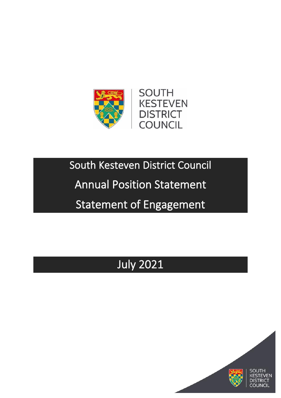

# South Kesteven District Council

## Annual Position Statement

# Statement of Engagement

# July 2021

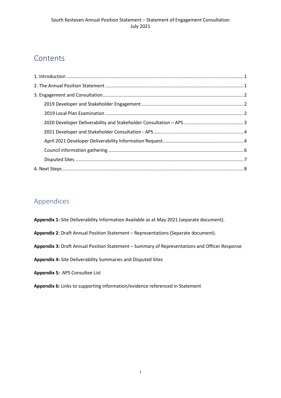## Contents

### Appendices

**Appendix 1:** Site Deliverability Information Available as at May 2021 (separate document).

**Appendix 2**: Draft Annual Position Statement – Representations (Separate document).

**Appendix 3:** Draft Annual Position Statement – Summary of Representations and Officer Response

**Appendix 4:** Site Deliverability Summaries and Disputed Sites

**Appendix 5:** APS Consultee List

**Appendix 6:** Links to supporting information/evidence referenced in Statement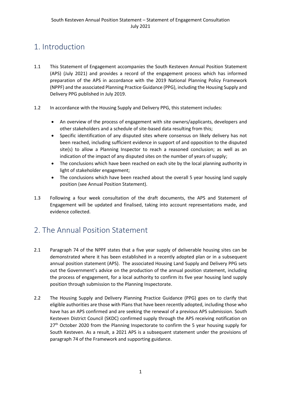## <span id="page-2-0"></span>1. Introduction

- 1.1 This Statement of Engagement accompanies the South Kesteven Annual Position Statement (APS) (July 2021) and provides a record of the engagement process which has informed preparation of the APS in accordance with the 2019 National Planning Policy Framework (NPPF) and the associated Planning Practice Guidance (PPG), including the Housing Supply and Delivery PPG published in July 2019.
- 1.2 In accordance with the Housing Supply and Delivery PPG, this statement includes:
	- An overview of the process of engagement with site owners/applicants, developers and other stakeholders and a schedule of site-based data resulting from this;
	- Specific identification of any disputed sites where consensus on likely delivery has not been reached, including sufficient evidence in support of and opposition to the disputed site(s) to allow a Planning Inspector to reach a reasoned conclusion; as well as an indication of the impact of any disputed sites on the number of years of supply;
	- The conclusions which have been reached on each site by the local planning authority in light of stakeholder engagement;
	- The conclusions which have been reached about the overall 5 year housing land supply position (see Annual Position Statement).
- 1.3 Following a four week consultation of the draft documents, the APS and Statement of Engagement will be updated and finalised, taking into account representations made, and evidence collected.

## <span id="page-2-1"></span>2. The Annual Position Statement

- 2.1 Paragraph 74 of the NPPF states that a five year supply of deliverable housing sites can be demonstrated where it has been established in a recently adopted plan or in a subsequent annual position statement (APS). The associated Housing Land Supply and Delivery PPG sets out the Government's advice on the production of the annual position statement, including the process of engagement, for a local authority to confirm its five year housing land supply position through submission to the Planning Inspectorate.
- 2.2 The Housing Supply and Delivery Planning Practice Guidance (PPG) goes on to clarify that eligible authorities are those with Plans that have been recently adopted, including those who have has an APS confirmed and are seeking the renewal of a previous APS submission. South Kesteven District Council (SKDC) confirmed supply through the APS receiving notification on 27<sup>th</sup> October 2020 from the Planning Inspectorate to confirm the 5 year housing supply for South Kesteven. As a result, a 2021 APS is a subsequent statement under the provisions of paragraph 74 of the Framework and supporting guidance.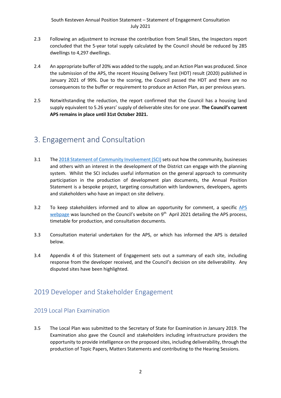- 2.3 Following an adjustment to increase the contribution from Small Sites, the Inspectors report concluded that the 5-year total supply calculated by the Council should be reduced by 285 dwellings to 4,297 dwellings.
- 2.4 An appropriate buffer of 20% was added to the supply, and an Action Plan was produced. Since the submission of the APS, the recent Housing Delivery Test (HDT) result (2020) published in January 2021 of 99%. Due to the scoring, the Council passed the HDT and there are no consequences to the buffer or requirement to produce an Action Plan, as per previous years.
- 2.5 Notwithstanding the reduction, the report confirmed that the Council has a housing land supply equivalent to 5.26 years' supply of deliverable sites for one year. **The Council's current APS remains in place until 31st October 2021.**

## <span id="page-3-0"></span>3. Engagement and Consultation

- 3.1 Th[e 2018 Statement of Community Involvement \(SCI\)](http://www.southkesteven.gov.uk/CHttpHandler.ashx?id=25104&p=0) sets out how the community, businesses and others with an interest in the development of the District can engage with the planning system. Whilst the SCI includes useful information on the general approach to community participation in the production of development plan documents, the Annual Position Statement is a bespoke project, targeting consultation with landowners, developers, agents and stakeholders who have an impact on site delivery.
- 3.2 To keep stakeholders informed and to allow an opportunity for comment, a specific [APS](http://www.southkesteven.gov.uk/index.aspx?articleid=14991)  [webpage](http://www.southkesteven.gov.uk/index.aspx?articleid=14991) was launched on the Council's website on 9<sup>th</sup> April 2021 detailing the APS process, timetable for production, and consultation documents.
- 3.3 Consultation material undertaken for the APS, or which has informed the APS is detailed below.
- 3.4 Appendix 4 of this Statement of Engagement sets out a summary of each site, including response from the developer received, and the Council's decision on site deliverability. Any disputed sites have been highlighted.

### <span id="page-3-1"></span>2019 Developer and Stakeholder Engagement

#### <span id="page-3-2"></span>2019 Local Plan Examination

3.5 The Local Plan was submitted to the Secretary of State for Examination in January 2019. The Examination also gave the Council and stakeholders including infrastructure providers the opportunity to provide intelligence on the proposed sites, including deliverability, through the production of Topic Papers, Matters Statements and contributing to the Hearing Sessions.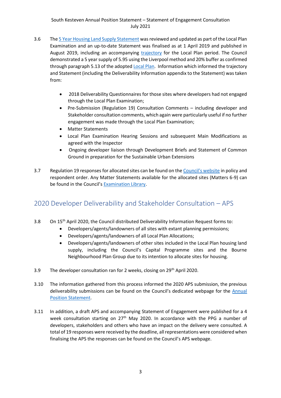#### South Kesteven Annual Position Statement – Statement of Engagement Consultation July 2021

- 3.6 Th[e 5 Year Housing Land Supply Statement](http://www.southkesteven.gov.uk/CHttpHandler.ashx?id=25193) was reviewed and updated as part of the Local Plan Examination and an up-to-date Statement was finalised as at 1 April 2019 and published in August 2019, including an accompanying [trajectory](http://www.southkesteven.gov.uk/CHttpHandler.ashx?id=25636) for the Local Plan period. The Council demonstrated a 5 year supply of 5.95 using the Liverpool method and 20% buffer as confirmed through paragraph 5.13 of the adopted [Local Plan.](http://www.southkesteven.gov.uk/index.aspx?articleid=14904) Information which informed the trajectory and Statement (including the Deliverability Information appendix to the Statement) was taken from:
	- 2018 Deliverability Questionnaires for those sites where developers had not engaged through the Local Plan Examination;
	- Pre-Submission (Regulation 19) Consultation Comments including developer and Stakeholder consultation comments, which again were particularly useful if no further engagement was made through the Local Plan Examination;
	- Matter Statements
	- Local Plan Examination Hearing Sessions and subsequent Main Modifications as agreed with the Inspector
	- Ongoing developer liaison through Development Briefs and Statement of Common Ground in preparation for the Sustainable Urban Extensions
- 3.7 Regulation 19 responses for allocated sites can be found on the [Council's website](http://www.southkesteven.gov.uk/index.aspx?articleid=14393) in policy and respondent order. Any Matter Statements available for the allocated sites (Matters 6-9) can be found in the Council's [Examination Library.](http://www.southkesteven.gov.uk/index.aspx?articleid=14391)

### <span id="page-4-0"></span>2020 Developer Deliverability and Stakeholder Consultation – APS

- 3.8 On 15th April 2020, the Council distributed Deliverability Information Request forms to:
	- Developers/agents/landowners of all sites with extant planning permissions;
	- Developers/agents/landowners of all Local Plan Allocations;
	- Developers/agents/landowners of other sites included in the Local Plan housing land supply, including the Council's Capital Programme sites and the Bourne Neighbourhood Plan Group due to its intention to allocate sites for housing.
- 3.9 The developer consultation ran for 2 weeks, closing on  $29<sup>th</sup>$  April 2020.
- 3.10 The information gathered from this process informed the 2020 APS submission, the previous deliverability submissions can be found on the Council's dedicated webpage for the Annual [Position Statement.](http://www.southkesteven.gov.uk/index.aspx?articleid=14991)
- 3.11 In addition, a draft APS and accompanying Statement of Engagement were published for a 4 week consultation starting on  $27<sup>th</sup>$  May 2020. In accordance with the PPG a number of developers, stakeholders and others who have an impact on the delivery were consulted. A total of 19 responses were received by the deadline, all representations were considered when finalising the APS the responses can be found on the Council's APS webpage.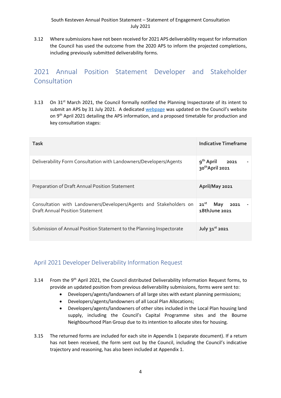3.12 Where submissions have not been received for 2021 APS deliverability request for information the Council has used the outcome from the 2020 APS to inform the projected completions, including previously submitted deliverability forms.

## <span id="page-5-0"></span>2021 Annual Position Statement Developer and Stakeholder **Consultation**

3.13 On 31<sup>st</sup> March 2021, the Council formally notified the Planning Inspectorate of its intent to submit an APS by 31 July 2021. A dedicated [webpage](http://www.southkesteven.gov.uk/index.aspx?articleid=14991) was updated on the Council's website on 9<sup>th</sup> April 2021 detailing the APS information, and a proposed timetable for production and key consultation stages:

| <b>Task</b>                                                                                                  | Indicative Timeframe                       |
|--------------------------------------------------------------------------------------------------------------|--------------------------------------------|
| Deliverability Form Consultation with Landowners/Developers/Agents                                           | $9^{th}$ April 2021<br>30th April 2021     |
| Preparation of Draft Annual Position Statement                                                               | April/May 2021                             |
| Consultation with Landowners/Developers/Agents and Stakeholders on<br><b>Draft Annual Position Statement</b> | May<br>$21^{st}$<br>2021<br>18th June 2021 |
| Submission of Annual Position Statement to the Planning Inspectorate                                         | July $31^{st}$ 2021                        |

#### <span id="page-5-1"></span>April 2021 Developer Deliverability Information Request

- 3.14 From the 9<sup>th</sup> April 2021, the Council distributed Deliverability Information Request forms, to provide an updated position from previous deliverability submissions, forms were sent to:
	- Developers/agents/landowners of all large sites with extant planning permissions;
	- Developers/agents/landowners of all Local Plan Allocations;
	- Developers/agents/landowners of other sites included in the Local Plan housing land supply, including the Council's Capital Programme sites and the Bourne Neighbourhood Plan Group due to its intention to allocate sites for housing.
- 3.15 The returned forms are included for each site in Appendix 1 (separate document). If a return has not been received, the form sent out by the Council, including the Council's indicative trajectory and reasoning, has also been included at Appendix 1.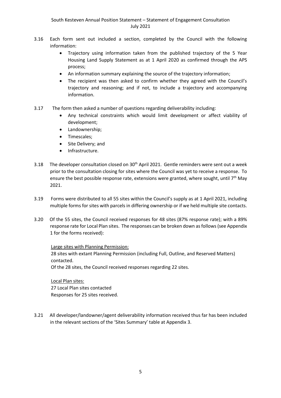- 3.16 Each form sent out included a section, completed by the Council with the following information:
	- Trajectory using information taken from the published trajectory of the 5 Year Housing Land Supply Statement as at 1 April 2020 as confirmed through the APS process;
	- An information summary explaining the source of the trajectory information;
	- The recipient was then asked to confirm whether they agreed with the Council's trajectory and reasoning; and if not, to include a trajectory and accompanying information.
- 3.17 The form then asked a number of questions regarding deliverability including:
	- Any technical constraints which would limit development or affect viability of development;
	- Landownership;
	- Timescales;
	- Site Delivery; and
	- Infrastructure.
- 3.18 The developer consultation closed on  $30<sup>th</sup>$  April 2021. Gentle reminders were sent out a week prior to the consultation closing for sites where the Council was yet to receive a response. To ensure the best possible response rate, extensions were granted, where sought, until 7<sup>th</sup> May 2021.
- 3.19 Forms were distributed to all 55 sites within the Council's supply as at 1 April 2021, including multiple forms for sites with parcels in differing ownership or if we held multiple site contacts.
- 3.20 Of the 55 sites, the Council received responses for 48 sites (87% response rate); with a 89% response rate for Local Plan sites. The responses can be broken down as follows(see Appendix 1 for the forms received):

Large sites with Planning Permission:

28 sites with extant Planning Permission (including Full, Outline, and Reserved Matters) contacted.

Of the 28 sites, the Council received responses regarding 22 sites.

Local Plan sites: 27 Local Plan sites contacted Responses for 25 sites received.

3.21 All developer/landowner/agent deliverability information received thus far has been included in the relevant sections of the 'Sites Summary' table at Appendix 3.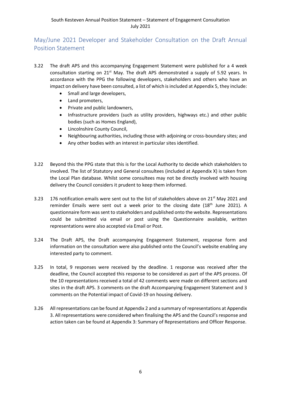#### <span id="page-7-0"></span>May/June 2021 Developer and Stakeholder Consultation on the Draft Annual Position Statement

- 3.22 The draft APS and this accompanying Engagement Statement were published for a 4 week consultation starting on  $21<sup>st</sup>$  May. The draft APS demonstrated a supply of 5.92 years. In accordance with the PPG the following developers, stakeholders and others who have an impact on delivery have been consulted, a list of which is included at Appendix 5, they include:
	- Small and large developers,
	- Land promoters,
	- Private and public landowners,
	- Infrastructure providers (such as utility providers, highways etc.) and other public bodies (such as Homes England),
	- Lincolnshire County Council,
	- Neighbouring authorities, including those with adjoining or cross-boundary sites; and
	- Any other bodies with an interest in particular sites identified.
- 3.22 Beyond this the PPG state that this is for the Local Authority to decide which stakeholders to involved. The list of Statutory and General consultees (included at Appendix X) is taken from the Local Plan database. Whilst some consultees may not be directly involved with housing delivery the Council considers it prudent to keep them informed.
- 3.23 176 notification emails were sent out to the list of stakeholders above on  $21^{st}$  May 2021 and reminder Emails were sent out a week prior to the closing date (18<sup>th</sup> June 2021). A questionnaire form was sent to stakeholders and published onto the website. Representations could be submitted via email or post using the Questionnaire available, written representations were also accepted via Email or Post.
- 3.24 The Draft APS, the Draft accompanying Engagement Statement, response form and information on the consultation were also published onto the Council's website enabling any interested party to comment.
- 3.25 In total, 9 responses were received by the deadline. 1 response was received after the deadline, the Council accepted this response to be considered as part of the APS process. Of the 10 representations received a total of 42 comments were made on different sections and sites in the draft APS. 3 comments on the draft Accompanying Engagement Statement and 3 comments on the Potential impact of Covid-19 on housing delivery.
- 3.26 All representations can be found at Appendix 2 and a summary of representations at Appendix 3. All representations were considered when finalising the APS and the Council's response and action taken can be found at Appendix 3: Summary of Representations and Officer Response.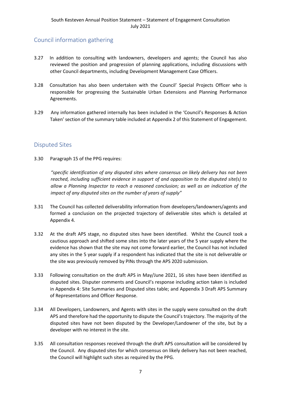#### Council information gathering

- 3.27 In addition to consulting with landowners, developers and agents; the Council has also reviewed the position and progression of planning applications, including discussions with other Council departments, including Development Management Case Officers.
- 3.28 Consultation has also been undertaken with the Council' Special Projects Officer who is responsible for progressing the Sustainable Urban Extensions and Planning Performance Agreements.
- 3.29 Any information gathered internally has been included in the 'Council's Responses & Action Taken' section of the summary table included at Appendix 2 of this Statement of Engagement.

#### <span id="page-8-0"></span>Disputed Sites

3.30 Paragraph 15 of the PPG requires:

*"specific identification of any disputed sites where consensus on likely delivery has not been reached, including sufficient evidence in support of and opposition to the disputed site(s) to allow a Planning Inspector to reach a reasoned conclusion; as well as an indication of the impact of any disputed sites on the number of years of supply"*

- 3.31 The Council has collected deliverability information from developers/landowners/agents and formed a conclusion on the projected trajectory of deliverable sites which is detailed at Appendix 4.
- 3.32 At the draft APS stage, no disputed sites have been identified. Whilst the Council took a cautious approach and shifted some sites into the later years of the 5 year supply where the evidence has shown that the site may not come forward earlier, the Council has not included any sites in the 5 year supply if a respondent has indicated that the site is not deliverable or the site was previously removed by PINs through the APS 2020 submission.
- 3.33 Following consultation on the draft APS in May/June 2021, 16 sites have been identified as disputed sites. Disputer comments and Council's response including action taken is included in Appendix 4: Site Summaries and Disputed sites table; and Appendix 3 Draft APS Summary of Representations and Officer Response.
- 3.34 All Developers, Landowners, and Agents with sites in the supply were consulted on the draft APS and therefore had the opportunity to dispute the Council's trajectory. The majority of the disputed sites have not been disputed by the Developer/Landowner of the site, but by a developer with no interest in the site.
- 3.35 All consultation responses received through the draft APS consultation will be considered by the Council. Any disputed sites for which consensus on likely delivery has not been reached, the Council will highlight such sites as required by the PPG.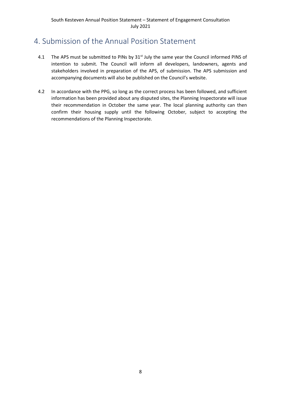## <span id="page-9-0"></span>4. Submission of the Annual Position Statement

- 4.1 The APS must be submitted to PINs by 31<sup>st</sup> July the same year the Council informed PINS of intention to submit. The Council will inform all developers, landowners, agents and stakeholders involved in preparation of the APS, of submission. The APS submission and accompanying documents will also be published on the Council's website.
- 4.2 In accordance with the PPG, so long as the correct process has been followed, and sufficient information has been provided about any disputed sites, the Planning Inspectorate will issue their recommendation in October the same year. The local planning authority can then confirm their housing supply until the following October, subject to accepting the recommendations of the Planning Inspectorate.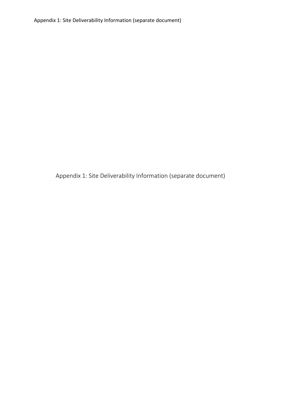Appendix 1: Site Deliverability Information (separate document)

Appendix 1: Site Deliverability Information (separate document)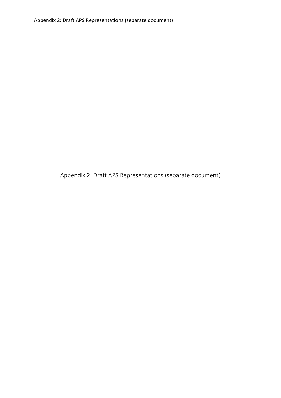Appendix 2: Draft APS Representations (separate document)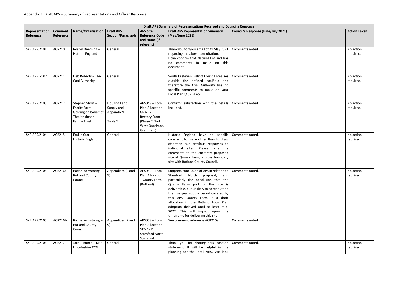|                             |                             |                                                                                                          |                                                            |                                                                                                                      | Draft APS Summary of Representations Received and Council's Response                                                                                                                                                                                                                                                                                                                                                                       |                                            |                        |
|-----------------------------|-----------------------------|----------------------------------------------------------------------------------------------------------|------------------------------------------------------------|----------------------------------------------------------------------------------------------------------------------|--------------------------------------------------------------------------------------------------------------------------------------------------------------------------------------------------------------------------------------------------------------------------------------------------------------------------------------------------------------------------------------------------------------------------------------------|--------------------------------------------|------------------------|
| Representation<br>Reference | <b>Comment</b><br>Reference | Name/Organisation                                                                                        | <b>Draft APS</b><br>Section/Paragraph                      | <b>APS Site</b><br><b>Reference Code</b><br>and Name (if<br>relevant)                                                | <b>Draft APS Representation Summary</b><br>(May/June 2021)                                                                                                                                                                                                                                                                                                                                                                                 | <b>Council's Response (June/July 2021)</b> | <b>Action Taken</b>    |
| <b>SKR.APS.2101</b>         | <b>ACR210</b>               | Roslyn Deeming-<br>Natural England                                                                       | General                                                    |                                                                                                                      | Thank you for your email of 21 May 2021<br>regarding the above consultation.<br>I can confirm that Natural England has<br>no comments to make on this<br>document.                                                                                                                                                                                                                                                                         | Comments noted.                            | No action<br>required. |
| <b>SKR.APR.2102</b>         | ACR211                      | Deb Roberts - The<br>Coal Authority                                                                      | General                                                    |                                                                                                                      | South Kesteven District Council area lies<br>outside the defined coalfield and<br>therefore the Coal Authority has no<br>specific comments to make on your<br>Local Plans / SPDs etc.                                                                                                                                                                                                                                                      | Comments noted.                            | No action<br>required. |
| <b>SKR.APS.2103</b>         | <b>ACR212</b>               | Stephen Short-<br><b>Escritt Barrell</b><br>Golding on behalf of<br>The Jenkinson<br><b>Family Trust</b> | <b>Housing Land</b><br>Supply and<br>Appendix 9<br>Table 5 | APS048 - Local<br>Plan Allocation<br>GR3-H2:<br><b>Rectory Farm</b><br>(Phase 2 North<br>West Quadrant,<br>Grantham) | Confirms satisfaction with the details<br>included.                                                                                                                                                                                                                                                                                                                                                                                        | Comments noted.                            | No action<br>required. |
| <b>SKR.APS.2104</b>         | <b>ACR215</b>               | Emilie Carr -<br><b>Historic England</b>                                                                 | General                                                    |                                                                                                                      | Historic England have no specific<br>comment to make other than to draw<br>attention our previous responses to<br>individual sites. Please note the<br>comments to the currently proposed<br>site at Quarry Farm, a cross boundary<br>site with Rutland County Council.                                                                                                                                                                    | Comments noted.                            | No action<br>required. |
| <b>SKR.APS.2105</b>         | ACR216a                     | Rachel Armstrong-<br><b>Rutland County</b><br>Council                                                    | Appendices (2 and<br>9)                                    | APS060 - Local<br>Plan Allocation<br>- Quarry Farm<br>(Rutland)                                                      | Supports conclusion of APS in relation to<br>Stamford North proposal, and<br>particularly the conclusion that the<br>Quarry Farm part of the site is<br>deliverable, but unlikely to contribute to<br>the five year supply period covered by<br>this APS. Quarry Farm is a draft<br>allocation in the Rutland Local Plan<br>adoption delayed until at least mid-<br>2022. This will impact upon the<br>timeframe for delivering this site. | Comments noted.                            | No action<br>required. |
| <b>SKR.APS.2105</b>         | ACR216b                     | Rachel Armstrong-<br><b>Rutland County</b><br>Council                                                    | Appendices (2 and<br>9)                                    | APS058 - Local<br>Plan Allocation<br>STM1-H1:<br>Stamford North,<br>Stamford                                         | See comment reference ACR216a.                                                                                                                                                                                                                                                                                                                                                                                                             | Comments noted.                            |                        |
| <b>SKR.APS.2106</b>         | <b>ACR217</b>               | Jacqui Bunce - NHS<br>Lincolnshire CCG                                                                   | General                                                    |                                                                                                                      | Thank you for sharing this position<br>statement. It will be helpful in the<br>planning for the local NHS. We look                                                                                                                                                                                                                                                                                                                         | Comments noted.                            | No action<br>required. |

| <b>Action Taken</b>    |
|------------------------|
| No action<br>required. |
| No action<br>required. |
| No action<br>required. |
| No action<br>required. |
| No action<br>required. |
|                        |
| No action<br>required. |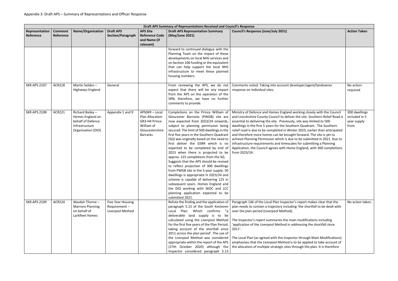|                             | Draft APS Summary of Representations Received and Council's Response |                                                                                                  |                                                       |                                                                                                        |                                                                                                                                                                                                                                                                                                                                                                                                                                                                                                                                                                                                                                                                                                                                                                                                                       |                                                                                                                                                                                                                                                                                                                                                                                                                                                                                                                                                                                                                                                                                                                 |                                                       |  |
|-----------------------------|----------------------------------------------------------------------|--------------------------------------------------------------------------------------------------|-------------------------------------------------------|--------------------------------------------------------------------------------------------------------|-----------------------------------------------------------------------------------------------------------------------------------------------------------------------------------------------------------------------------------------------------------------------------------------------------------------------------------------------------------------------------------------------------------------------------------------------------------------------------------------------------------------------------------------------------------------------------------------------------------------------------------------------------------------------------------------------------------------------------------------------------------------------------------------------------------------------|-----------------------------------------------------------------------------------------------------------------------------------------------------------------------------------------------------------------------------------------------------------------------------------------------------------------------------------------------------------------------------------------------------------------------------------------------------------------------------------------------------------------------------------------------------------------------------------------------------------------------------------------------------------------------------------------------------------------|-------------------------------------------------------|--|
| Representation<br>Reference | <b>Comment</b><br>Reference                                          | <b>Name/Organisation</b>                                                                         | <b>Draft APS</b><br>Section/Paragraph                 | <b>APS Site</b><br><b>Reference Code</b><br>and Name (if<br>relevant)                                  | <b>Draft APS Representation Summary</b><br>(May/June 2021)                                                                                                                                                                                                                                                                                                                                                                                                                                                                                                                                                                                                                                                                                                                                                            | <b>Council's Response (June/July 2021)</b>                                                                                                                                                                                                                                                                                                                                                                                                                                                                                                                                                                                                                                                                      | <b>Action Taken</b>                                   |  |
|                             |                                                                      |                                                                                                  |                                                       |                                                                                                        | forward to continued dialogue with the<br>Planning Team on the impact of these<br>developments on local NHS services and<br>on Section 106 funding or the equivalent<br>that can help support the local NHS<br>infrastructure to meet these planned<br>housing numbers.                                                                                                                                                                                                                                                                                                                                                                                                                                                                                                                                               |                                                                                                                                                                                                                                                                                                                                                                                                                                                                                                                                                                                                                                                                                                                 |                                                       |  |
| <b>SKR.APS.2107</b>         | <b>ACR218</b>                                                        | Martin Seldon-<br>Highways England                                                               | General                                               |                                                                                                        | expect that there will be any impact<br>from the APS on the operation of the<br>SRN; therefore, we have no further<br>comments to provide.                                                                                                                                                                                                                                                                                                                                                                                                                                                                                                                                                                                                                                                                            | From reviewing the APS, we do not   Comments noted. Taking into account developer/agent/landowner<br>response on individual sites.                                                                                                                                                                                                                                                                                                                                                                                                                                                                                                                                                                              | No action<br>required                                 |  |
| <b>SKR.APS.2108</b>         | <b>ACR221</b>                                                        | Richard Bailey-<br>Homes England on<br>behalf of Defence<br>Infrastructure<br>Organisation (DIO) | Appendix 1 and 9                                      | APS049 - Local<br>Plan Allocation<br>GR3-H4 Prince<br>William of<br>Gloucestershire<br><b>Barracks</b> | Completions on the Prince William of<br>Gloucester Barracks (PWGB) site are<br>now expected from 2023/24 onwards,<br>subject to planning permission being<br>secured. The limit of 500 dwellings in the<br>first five years in the Southern Quadrant<br>(SQ) was originally based on the need to<br>first deliver the GSRR which is no<br>expected to be completed by end of<br>2023 when there is projected to be<br>approx. 125 completions from the SQ.<br>Suggests that the APS should be revised<br>to reflect projection of 300 dwellings<br>from PWGB site in the 5-year supply. 50<br>dwellings is appropriate in 2023/24 and<br>scheme is capable of delivering 125 in<br>subsequent years. Homes England and<br>the DIO working with SKDC and LCC<br>planning application expected to be<br>submitted 2021. | Ministry of Defence and Homes England working closely with the Council<br>and Lincolnshire County Council to deliver the site. Southern Relief Road is<br>essential to delivering the site. Previously, site was limited to 500<br>dwellings in the first 5 years for the Southern Quadrant. The Southern<br>relief road is due to be completed in Winter 2023, earlier than anticipated<br>and therefore more homes can be brought forward. The site is yet to<br>achieve Planning Permission which is due to be submitted in 2021. Due to<br>infrastructure requirements and timescales for submitting a Planning<br>Application, the Council agrees with Home England, with 300 completions<br>from 2023/24. | 300 dwellings<br>included in 5<br>year supply<br>from |  |
| <b>SKR.APS.2109</b>         | <b>ACR224</b>                                                        | Alasdair Thorne -<br><b>Marrons Planning</b><br>on behalf of<br>Larkfleet Homes                  | Five Year Housing<br>Requirement-<br>Liverpool Method |                                                                                                        | Refute the finding and the application of<br>paragraph 5.13 of the South Kesteven<br>Local Plan. Which confirms<br>"a<br>deliverable land supply is to be<br>calculated using the Liverpool Method<br>for the first five years of the Plan Period,<br>taking account of the shortfall since<br>2011 across the plan period'. The use of<br>the Liverpool Method was considered<br>appropriate within the report of the APS<br>(27th October 2020) although the<br>Inspector considered paragraph 5.13                                                                                                                                                                                                                                                                                                                 | Paragraph 146 of the Local Plan Inspector's report makes clear that the<br>plan needs to contain a trajectory including 'the shortfall to be dealt with<br>over the plan period (Liverpool Method).<br>The Inspector's report summaries the main modifications including<br>'application of the Liverpool Method in addressing the shortfall since<br>2011'.<br>The Local Plan (as agreed with the Inspector through Main Modifications)<br>emphasises that the Liverpool Method is to be applied to take account of<br>the allocation of multiple strategic sites through the plan. It is therefore                                                                                                            | No action tak                                         |  |

|                                                                                                                                                                                                                                                                     | <b>Action Taken</b>                                   |
|---------------------------------------------------------------------------------------------------------------------------------------------------------------------------------------------------------------------------------------------------------------------|-------------------------------------------------------|
|                                                                                                                                                                                                                                                                     |                                                       |
| er/agent/landowner                                                                                                                                                                                                                                                  | No action<br>required                                 |
| ing closely with the Council<br>site. Southern Relief Road is<br>was limited to 500<br>Quadrant. The Southern<br>023, earlier than anticipated<br>ward. The site is yet to<br>e submitted in 2021. Due to<br>r submitting a Planning<br>gland, with 300 completions | 300 dwellings<br>included in 5<br>year supply<br>from |
| port makes clear that the<br>e shortfall to be dealt with                                                                                                                                                                                                           | No action taken.                                      |
| odifications including<br>sing the shortfall since                                                                                                                                                                                                                  |                                                       |
| <b>Irough Main Modifications)</b><br>applied to take account of<br>th the plan. It is therefore                                                                                                                                                                     |                                                       |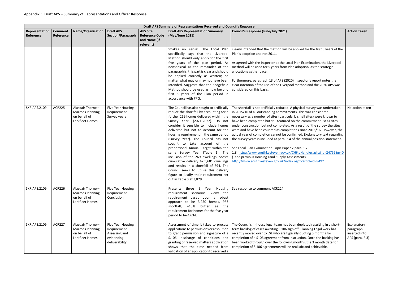|                             | Draft APS Summary of Representations Received and Council's Response |                                                                                 |                                                                                           |                                                                       |                                                                                                                                                                                                                                                                                                                                                                                                                                                                                                                                                                                                                                                                                                                                                                                                                                                                                                                                                                                                                                                                                                                                                                                    |                                                                                                                                                                                                                                                                                                                                                                                                                                                                                                                                                                                                                                                                                                                                                                                                                                                                                                                                                                                                                                                                                                                                                                                                                                                                                                                                                    |                                                              |  |
|-----------------------------|----------------------------------------------------------------------|---------------------------------------------------------------------------------|-------------------------------------------------------------------------------------------|-----------------------------------------------------------------------|------------------------------------------------------------------------------------------------------------------------------------------------------------------------------------------------------------------------------------------------------------------------------------------------------------------------------------------------------------------------------------------------------------------------------------------------------------------------------------------------------------------------------------------------------------------------------------------------------------------------------------------------------------------------------------------------------------------------------------------------------------------------------------------------------------------------------------------------------------------------------------------------------------------------------------------------------------------------------------------------------------------------------------------------------------------------------------------------------------------------------------------------------------------------------------|----------------------------------------------------------------------------------------------------------------------------------------------------------------------------------------------------------------------------------------------------------------------------------------------------------------------------------------------------------------------------------------------------------------------------------------------------------------------------------------------------------------------------------------------------------------------------------------------------------------------------------------------------------------------------------------------------------------------------------------------------------------------------------------------------------------------------------------------------------------------------------------------------------------------------------------------------------------------------------------------------------------------------------------------------------------------------------------------------------------------------------------------------------------------------------------------------------------------------------------------------------------------------------------------------------------------------------------------------|--------------------------------------------------------------|--|
| Representation<br>Reference | <b>Comment</b><br>Reference                                          | <b>Name/Organisation</b>                                                        | <b>Draft APS</b><br><b>Section/Paragraph</b>                                              | <b>APS Site</b><br><b>Reference Code</b><br>and Name (if<br>relevant) | <b>Draft APS Representation Summary</b><br>(May/June 2021)                                                                                                                                                                                                                                                                                                                                                                                                                                                                                                                                                                                                                                                                                                                                                                                                                                                                                                                                                                                                                                                                                                                         | <b>Council's Response (June/July 2021)</b>                                                                                                                                                                                                                                                                                                                                                                                                                                                                                                                                                                                                                                                                                                                                                                                                                                                                                                                                                                                                                                                                                                                                                                                                                                                                                                         | <b>Action Taken</b>                                          |  |
| <b>SKR.APS.2109</b>         | <b>ACR225</b>                                                        | Alasdair Thorne -<br><b>Marrons Planning</b><br>on behalf of<br>Larkfleet Homes | <b>Five Year Housing</b><br>Requirement-<br>Survey years                                  |                                                                       | 'makes no sense'. The Local Plan<br>specifically says that the Liverpool<br>Method should only apply for the first<br>five years of the plan period. As<br>nonsensical as the remainder of the<br>paragraph is, this part is clear and should<br>be applied correctly as written; no<br>matter what may or may not have been<br>intended. Suggests that the Sedgefield<br>Method should be used as now beyond<br>first 5 years of the Plan period in<br>accordance with PPG.<br>The Council has also sought to artificially<br>reduce the shortfall by accounting for a<br>further 269 homes delivered within 'the<br>Survey Year' (2021-2022). Do not<br>consider it sensible to include homes<br>delivered but not to account for the<br>housing requirement in the same period<br>(Survey Year). The Council has not<br>sought to take account of the<br>proportional Annual Target within the<br>same Survey Year (Table 1). The<br>inclusion of the 269 dwellings boosts<br>cumulative delivery to 5,681 dwellings<br>and results in a shortfall of 694. The<br>Council seeks to utilise this delivery<br>figure to justify their requirement set<br>out in Table 3 at 3,829. | clearly intended that the method will be applied for the first 5 years of the<br>Plan's adoption and not 2011.<br>As agreed with the Inspector at the Local Plan Examination, the Liverpool<br>method will be used for 5 years from Plan adoption, as the strategic<br>allocations gather pace.<br>Furthermore, paragraph 13 of APS (2020) Inspector's report notes the<br>clear intention of the use of the Liverpool method and the 2020 APS was<br>considered on this basis.<br>The shortfall is not artificially reduced. A physical survey was undertaken<br>in 2015/16 of all outstanding commitments. This was considered<br>necessary as a number of sites (particularly small sites) were known to<br>have been completed but still featured on the commitment list as sites<br>under construction but not completed. As a result of the survey the sites<br>were and have been counted as completions since 2015/16. However, the<br>actual year of completion cannot be confirmed. Explanatory text regarding<br>the survey years is included at para. 2.4 of the annual position statement.<br>See Local Plan Examination Topic Paper 2 para. 1.7-<br>1.8.(http://www.southkesteven.gov.uk/CHttpHandler.ashx?id=24756&p=0<br>and previous Housing Land Supply Assessments<br>http://www.southkesteven.gov.uk/index.aspx?articleid=8492 | No action taken                                              |  |
| <b>SKR.APS.2109</b>         | <b>ACR226</b>                                                        | Alasdair Thorne -<br><b>Marrons Planning</b><br>on behalf of<br>Larkfleet Homes | Five Year Housing<br>Requirement -<br>Conclusion                                          |                                                                       | Presents three 5 Year Housing<br>requirement scenarios. Views the<br>requirement based upon a robust<br>approach to be 3,250 homes, 963<br>shortfall, +10%<br>buffer as<br>the<br>requirement for homes for the five year<br>period to be 4,634.                                                                                                                                                                                                                                                                                                                                                                                                                                                                                                                                                                                                                                                                                                                                                                                                                                                                                                                                   | See response to comment ACR224                                                                                                                                                                                                                                                                                                                                                                                                                                                                                                                                                                                                                                                                                                                                                                                                                                                                                                                                                                                                                                                                                                                                                                                                                                                                                                                     |                                                              |  |
| <b>SKR.APS.2109</b>         | <b>ACR227</b>                                                        | Alasdair Thorne -<br><b>Marrons Planning</b><br>on behalf of<br>Larkfleet Homes | <b>Five Year Housing</b><br>Requirement-<br>Assessing and<br>evidencing<br>deliverability |                                                                       | Assessment of time it takes to process<br>applications to permissions or resolution<br>to grant permission and signature of a<br>S.106, discharge of conditions and<br>granting of reserved matters application<br>shows that the time needed from<br>validation of an application to received a                                                                                                                                                                                                                                                                                                                                                                                                                                                                                                                                                                                                                                                                                                                                                                                                                                                                                   | The Council's in-house legal team has been depleted resulting in a short-<br>term backlog of cases awaiting S.106 sign off. Planning Legal work has<br>recently moved over to LSL who are typically quoting 3 months for<br>completion of a S106 agreement from instruction. Once the backlog has<br>been worked through over the following months, the 3 month date for<br>completion of S.106 agreements will be realistic and achievable.                                                                                                                                                                                                                                                                                                                                                                                                                                                                                                                                                                                                                                                                                                                                                                                                                                                                                                       | Explanatory<br>paragraph<br>inserted into<br>APS (para. 2.3) |  |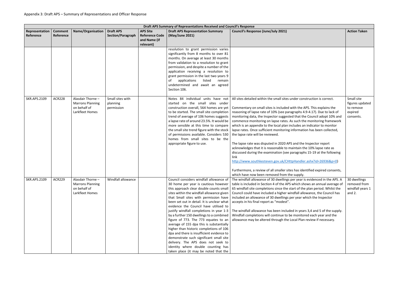| Draft APS Summary of Representations Received and Council's Response |                             |                                                                                 |                                              |                                                                       |                                                                                                                                                                                                                                                                                                                                                                                                                                                                                                                                                                                                                                                                                                                                             |                                                                                                                                                                                                                                                                                                                                                                                                                                                                                                                                                                                                                                                                                                                                                                                                                                                                                                                                                                                                             |                                                                    |  |
|----------------------------------------------------------------------|-----------------------------|---------------------------------------------------------------------------------|----------------------------------------------|-----------------------------------------------------------------------|---------------------------------------------------------------------------------------------------------------------------------------------------------------------------------------------------------------------------------------------------------------------------------------------------------------------------------------------------------------------------------------------------------------------------------------------------------------------------------------------------------------------------------------------------------------------------------------------------------------------------------------------------------------------------------------------------------------------------------------------|-------------------------------------------------------------------------------------------------------------------------------------------------------------------------------------------------------------------------------------------------------------------------------------------------------------------------------------------------------------------------------------------------------------------------------------------------------------------------------------------------------------------------------------------------------------------------------------------------------------------------------------------------------------------------------------------------------------------------------------------------------------------------------------------------------------------------------------------------------------------------------------------------------------------------------------------------------------------------------------------------------------|--------------------------------------------------------------------|--|
| Representation<br>Reference                                          | <b>Comment</b><br>Reference | <b>Name/Organisation</b>                                                        | <b>Draft APS</b><br><b>Section/Paragraph</b> | <b>APS Site</b><br><b>Reference Code</b><br>and Name (if<br>relevant) | <b>Draft APS Representation Summary</b><br>(May/June 2021)                                                                                                                                                                                                                                                                                                                                                                                                                                                                                                                                                                                                                                                                                  | <b>Council's Response (June/July 2021)</b>                                                                                                                                                                                                                                                                                                                                                                                                                                                                                                                                                                                                                                                                                                                                                                                                                                                                                                                                                                  | <b>Action Taken</b>                                                |  |
|                                                                      |                             |                                                                                 |                                              |                                                                       | resolution to grant permission varies<br>significantly from 8 months to over 81<br>months. On average at least 30 months<br>from validation to a resolution to grant<br>permission, and despite a number of the<br>application receiving a resolution to<br>grant permission in the last two years 9<br>listed<br>οf<br>applications<br>remain<br>undetermined and await an agreed<br>Section 106.                                                                                                                                                                                                                                                                                                                                          |                                                                                                                                                                                                                                                                                                                                                                                                                                                                                                                                                                                                                                                                                                                                                                                                                                                                                                                                                                                                             |                                                                    |  |
| <b>SKR.APS.2109</b>                                                  | <b>ACR228</b>               | Alasdair Thorne -<br><b>Marrons Planning</b><br>on behalf of<br>Larkfleet Homes | Small sites with<br>planning<br>permission   |                                                                       | Notes 84 individual units have not<br>started on the small sites under<br>construction overall, 564 homes are yet<br>to be started. The small site completion<br>trend of average of 106 homes suggests<br>a lapse rate of around 23.5%. It would be<br>more sensible at this time to compare<br>the small site trend figure with the stock<br>of permissions available. Considers 530<br>homes from small sites to be the<br>appropriate figure to use.                                                                                                                                                                                                                                                                                    | All sites detailed within the small sites under construction is correct.<br>Commentary on small sites is included with the APS. This explains the<br>reasoning of lapse rate of 10% (see paragraphs 4.9-4.17). Due to lack of<br>monitoring data, the Inspector suggested that the Council adopt 10% and<br>commence monitoring on lapse rates. As such the monitoring framework<br>which is an appendix to the local plan includes an indicator to monitor<br>lapse rates. Once sufficient monitoring information has been collected,<br>the lapse rate will be reviewed.<br>The lapse rate was disputed in 2020 APS and the Inspector report<br>acknowledges that it is reasonable to maintain the 10% lapse rate as<br>discussed during the examination (see paragraphs 15-19 at the following<br>link<br>http://www.southkesteven.gov.uk/CHttpHandler.ashx?id=26936&p=0)<br>Furthermore, a review of all smaller sites has identified expired consents,<br>which have now been removed from the supply. | Small site<br>figures updated<br>to remove<br>expired<br>consents. |  |
| <b>SKR.APS.2109</b>                                                  | <b>ACR229</b>               | Alasdair Thorne -<br><b>Marrons Planning</b><br>on behalf of<br>Larkfleet Homes | Windfall allowance                           |                                                                       | Council considers windfall allowance of<br>30 home per year is cautious however<br>this approach clear double counts small<br>sites within the windfall allowance given<br>that Small sites with permission have<br>been set out in detail. It is unclear what<br>evidence the Council have utilised to<br>justify windfall completions in year 1-3<br>by a further 150 dwellings to a combined<br>figure of 773. The 773 equates to an<br>average of 155 dpa this is substantially<br>higher than historic completions of 106<br>dpa and there is insufficient evidence to<br>demonstrate such significant small site<br>delivery. The APS does not seek to<br>identity where double counting has<br>taken place (it may be noted that the | The windfall allowance of 30 dwellings per year is evidenced in the APS. A<br>table is included in Section 4 of the APS which shows an annual average of<br>65 windfall site completions since the start of the plan period. Whilst the<br>Council could have included a higher windfall allowance, the Council has<br>included an allowance of 30 dwellings per year which the Inspector<br>accepts in his final report as "modest".<br>The windfall allowance has been included in years 3,4 and 5 of the supply.<br>Windfall completions will continue to be monitored each year and the<br>allowance may be altered through the Local Plan review if necessary.                                                                                                                                                                                                                                                                                                                                         | 30 dwellings<br>removed from<br>windfall years 1<br>and $2.$       |  |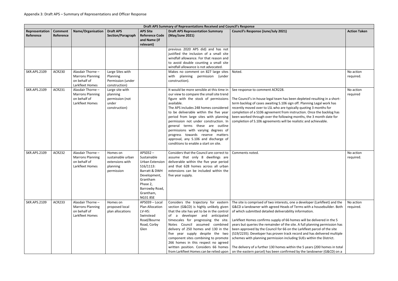|                             | Draft APS Summary of Representations Received and Council's Response |                                                                                 |                                                                            |                                                                                                                                                                      |                                                                                                                                                                                                                                                                                                                                                                                                                                                                                                                 |                                                                                                                                                                                                                                                                                                                                                                                                                                                                                                                                                                                                                                                                                                                                                                 |                        |  |  |
|-----------------------------|----------------------------------------------------------------------|---------------------------------------------------------------------------------|----------------------------------------------------------------------------|----------------------------------------------------------------------------------------------------------------------------------------------------------------------|-----------------------------------------------------------------------------------------------------------------------------------------------------------------------------------------------------------------------------------------------------------------------------------------------------------------------------------------------------------------------------------------------------------------------------------------------------------------------------------------------------------------|-----------------------------------------------------------------------------------------------------------------------------------------------------------------------------------------------------------------------------------------------------------------------------------------------------------------------------------------------------------------------------------------------------------------------------------------------------------------------------------------------------------------------------------------------------------------------------------------------------------------------------------------------------------------------------------------------------------------------------------------------------------------|------------------------|--|--|
| Representation<br>Reference | <b>Comment</b><br>Reference                                          | <b>Name/Organisation</b>                                                        | <b>Draft APS</b><br>Section/Paragraph                                      | <b>APS Site</b><br><b>Reference Code</b><br>and Name (if<br>relevant)                                                                                                | <b>Draft APS Representation Summary</b><br>(May/June 2021)                                                                                                                                                                                                                                                                                                                                                                                                                                                      | <b>Council's Response (June/July 2021)</b>                                                                                                                                                                                                                                                                                                                                                                                                                                                                                                                                                                                                                                                                                                                      | <b>Action Taken</b>    |  |  |
|                             |                                                                      |                                                                                 |                                                                            |                                                                                                                                                                      | previous 2020 APS did) and has not<br>justified the inclusion of a small site<br>windfall allowance. For that reason and<br>to avoid double counting a small site<br>windfall allowance is not advocated.                                                                                                                                                                                                                                                                                                       |                                                                                                                                                                                                                                                                                                                                                                                                                                                                                                                                                                                                                                                                                                                                                                 |                        |  |  |
| <b>SKR.APS.2109</b>         | <b>ACR230</b>                                                        | Alasdair Thorne -<br><b>Marrons Planning</b><br>on behalf of<br>Larkfleet Homes | Large Sites with<br>Planning<br>Permission (under<br>construction)         |                                                                                                                                                                      | Makes no comment on 827 large sites<br>with planning permission (under<br>construction).                                                                                                                                                                                                                                                                                                                                                                                                                        | Noted.                                                                                                                                                                                                                                                                                                                                                                                                                                                                                                                                                                                                                                                                                                                                                          | No action<br>required. |  |  |
| <b>SKR.APS.2109</b>         | <b>ACR231</b>                                                        | Alasdair Thorne -<br><b>Marrons Planning</b><br>on behalf of<br>Larkfleet Homes | Large site with<br>planning<br>permission (not<br>under<br>construction)   |                                                                                                                                                                      | It would be more sensible at this time in<br>our view to compare the small site trend<br>figure with the stock of permissions<br>available.<br>The APS includes 248 homes considered<br>to be deliverable within the five year<br>period from large sites with planning<br>permission not under construction. In<br>general terms these are outline<br>permissions with varying degrees of<br>progress towards reserve matters<br>approval, any S.106 and discharge of<br>conditions to enable a start on site. | See response to comment ACR228.<br>The Council's in-house legal team has been depleted resulting in a short-<br>term backlog of cases awaiting S.106 sign off. Planning Legal work has<br>recently moved over to LSL who are typically quoting 3 months for<br>completion of a S106 agreement from instruction. Once the backlog has<br>been worked through over the following months, the 3 month date for<br>completion of S.106 agreements will be realistic and achievable.                                                                                                                                                                                                                                                                                 | No action<br>required  |  |  |
| <b>SKR.APS.2109</b>         | <b>ACR232</b>                                                        | Alasdair Thorne -<br><b>Marrons Planning</b><br>on behalf of<br>Larkfleet Homes | Homes on<br>sustainable urban<br>extensions with<br>planning<br>permission | APS032-<br>Sustainable<br>Urban Extension<br>$S16/1113$ :<br>Barratt & DWH<br>Development,<br>Grantham<br>Phase 2,<br>Barrowby Road,<br>Grantham,<br><b>NG31 8SE</b> | Considers that the Council are correct to<br>assume that only 8 dwellings are<br>deliverable within the five year period<br>and that 628 homes across all urban<br>extensions can be included within the<br>five year supply.                                                                                                                                                                                                                                                                                   | Comments noted.                                                                                                                                                                                                                                                                                                                                                                                                                                                                                                                                                                                                                                                                                                                                                 | No action<br>required. |  |  |
| <b>SKR.APS.2109</b>         | <b>ACR233</b>                                                        | Alasdair Thorne -<br><b>Marrons Planning</b><br>on behalf of<br>Larkfleet Homes | Homes on<br>proposed local<br>plan allocations                             | APS039 - Local<br>Plan Allocation<br>LV-H5:<br>Swinstead<br>Road/Bourne<br>Road, Corby<br>Glen                                                                       | Considers the trajectory for eastern<br>section (G&CD) is highly unlikely given<br>that the site has yet to be in the control<br>developer and anticipated<br>of a<br>timescales for progressing the site.<br>Notes Council assumed combined<br>delivery of 250 homes and 130 in the<br>five year supply despite the two<br>component sites combining to promote<br>266 homes in this respect no agreed<br>written position. Considers 66 homes<br>from Larkfleet Homes can be relied upon                      | The site is comprised of two interests, one a developer (Larkfleet) and the<br>G&CD a landowner with agreed Heads of Terms with a housebuilder. Both<br>of which submitted detailed deliverability information.<br>Larkfleet Homes confirms supply of 66 homes will be delivered in the 5<br>years but queries the remainder of the site. A full planning permission has<br>been approved by the Council for 66 on the Larkfleet parcel of the site<br>(S19/2235). Developer has proven track record and has delivered multiple<br>schemes with planning permission including SUEs within the District.<br>The delivery of a further 130 homes within the 5 years (200 homes in total<br>on the eastern parcel) has been confirmed by the landowner (G&CD) on a | No action<br>required. |  |  |

|                                                                                                                                                                | <b>Action Taken</b>    |
|----------------------------------------------------------------------------------------------------------------------------------------------------------------|------------------------|
|                                                                                                                                                                |                        |
|                                                                                                                                                                | No action<br>required. |
| pleted resulting in a short-<br>Planning Legal work has<br>uoting 3 months for<br>ion. Once the backlog has<br>ths, the 3 month date for<br>ic and achievable. | No action<br>required  |
|                                                                                                                                                                | No action<br>required. |
| eveloper (Larkfleet) and the<br>ns with a housebuilder. Both<br>rmation.                                                                                       | No action<br>required. |
| will be delivered in the 5<br>full planning permission has<br>rkfleet parcel of the site<br>d and has delivered multiple<br>UEs within the District.           |                        |
| E 5 years (200 homes in total<br>the landowner (G&CD) on a                                                                                                     |                        |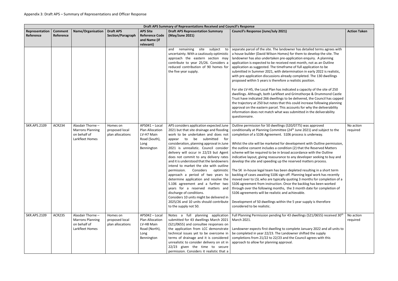|                             |                             |                                                                                 |                                                |                                                                                        | Draft APS Summary of Representations Received and Council's Response                                                                                                                                                                                                                                                                                                                                                                                                                                                                                                                                                                                                                                                                                                    |                                                                                                                                                                                                                                                                                                                                                                                                                                                                                                                                                                                                                                                                                                                                                                                                                                                                                                                                                                                                                                                                                                                                       |                       |
|-----------------------------|-----------------------------|---------------------------------------------------------------------------------|------------------------------------------------|----------------------------------------------------------------------------------------|-------------------------------------------------------------------------------------------------------------------------------------------------------------------------------------------------------------------------------------------------------------------------------------------------------------------------------------------------------------------------------------------------------------------------------------------------------------------------------------------------------------------------------------------------------------------------------------------------------------------------------------------------------------------------------------------------------------------------------------------------------------------------|---------------------------------------------------------------------------------------------------------------------------------------------------------------------------------------------------------------------------------------------------------------------------------------------------------------------------------------------------------------------------------------------------------------------------------------------------------------------------------------------------------------------------------------------------------------------------------------------------------------------------------------------------------------------------------------------------------------------------------------------------------------------------------------------------------------------------------------------------------------------------------------------------------------------------------------------------------------------------------------------------------------------------------------------------------------------------------------------------------------------------------------|-----------------------|
| Representation<br>Reference | <b>Comment</b><br>Reference | <b>Name/Organisation</b>                                                        | <b>Draft APS</b><br>Section/Paragraph          | <b>APS Site</b><br><b>Reference Code</b><br>and Name (if<br>relevant)                  | <b>Draft APS Representation Summary</b><br>(May/June 2021)                                                                                                                                                                                                                                                                                                                                                                                                                                                                                                                                                                                                                                                                                                              | <b>Council's Response (June/July 2021)</b>                                                                                                                                                                                                                                                                                                                                                                                                                                                                                                                                                                                                                                                                                                                                                                                                                                                                                                                                                                                                                                                                                            | <b>Action Taken</b>   |
|                             |                             |                                                                                 |                                                |                                                                                        | remaining<br>site<br>subject<br>and<br>to<br>uncertainty. With a cautiously optimistic<br>approach the eastern section may<br>contribute to year 25/26. Considers a<br>reduced contribution of 90 homes for<br>the five year supply.                                                                                                                                                                                                                                                                                                                                                                                                                                                                                                                                    | separate parcel of the site. The landowner has detailed terms agrees with<br>a house builder (David Wilson Homes) for them to develop the site. The<br>landowner has also undertaken pre-application enquiry. A planning<br>application is expected to be received next month, not as an Outline<br>application as suggested. The timeframe of full application to be<br>submitted in Summer 2021, with determination in early 2022 is realistic,<br>with pre-application discussions already completed. The 130 dwellings<br>proposed within 5 years is therefore a realistic position.<br>For site LV-H5, the Local Plan has indicated a capacity of the site of 250<br>dwellings. Although, both Larkfleet and Grimsthorpe & Drummond Castle<br>Trust have indicated 266 dwellings to be delivered, the Council has capped<br>the trajectory at 250 but notes that this could increase following planning<br>approval on the eastern parcel. This accounts for why the deliverability<br>information does not match what was submitted in the deliverability<br>questionnaire.                                                     |                       |
| <b>SKR.APS.2109</b>         | <b>ACR234</b>               | Alasdair Thorne -<br><b>Marrons Planning</b><br>on behalf of<br>Larkfleet Homes | Homes on<br>proposed local<br>plan allocations | APS041 - Local<br>Plan Allocation<br>LV-H7 Main<br>Road (South),<br>Long<br>Bennington | APS considers application expected June<br>2021 but that site drainage and flooding<br>work to be undertaken and does not<br>be submitted<br>for<br>to<br>appear<br>consideration, planning approval in June<br>2021 is unrealistic. Council consider<br>delivery will occur in 22/23 but Agent<br>does not commit to any delivery rates<br>and it is understood that the landowners<br>intend to market the site with outline<br>permission.<br>Considers optimistic<br>approach a period of two years to<br>determine application and resolve the<br>S.106 agreement and a further two<br>years for a reserved matters and<br>discharge of conditions.<br>Considers 10 units might be delivered in<br>2025/26 and 10 units should contribute<br>to the supply not 50. | Outline permission for 50 dwellings (S20/0775) was approved<br>conditionally at Planning Committee (24 <sup>th</sup> June 2021) and subject to the<br>completion of a S106 Agreement. S106 process is underway.<br>Whilst the site will be marketed for development with Outline permission,<br>the outline consent includes a condition (2) that the Reserved Matters<br>scheme will be required to be in broad accordance with the Outline<br>indicative layout, giving reassurance to any developer seeking to buy and<br>develop the site and speeding up the reserved matters process.<br>The SK in-house legal team has been depleted resulting in a short term<br>backlog of cases awaiting S106 sign off. Planning legal work has recently<br>moved over to LSL who are typically quoting 3 months for completion of a<br>S106 agreement from instruction. Once the backlog has been worked<br>through over the following months, the 3 month date for completion of<br>S106 agreements will be realistic and achievable.<br>Development of 50 dwellings within the 5 year supply is therefore<br>considered to be realistic. | No action<br>required |
| <b>SKR.APS.2109</b>         | <b>ACR235</b>               | Alasdair Thorne -<br><b>Marrons Planning</b><br>on behalf of<br>Larkfleet Homes | Homes on<br>proposed local<br>plan allocations | APS042 - Local<br>Plan Allocation<br>LV-H8 Main<br>Road (North),<br>Long<br>Bennington | Notes a full planning application<br>submitted for 43 dwellings March 2021<br>(S21/0655) and consultee responses on<br>the application from LCC demonstrate<br>technical issues yet to be overcome in<br>terms of drainage and it is considered<br>unrealistic to consider delivery on sit in<br>22/23 given the time to secure<br>permission. Considers it realistic that a                                                                                                                                                                                                                                                                                                                                                                                            | Full Planning Permission pending for 43 dwellings (S21/0655) received 30 <sup>th</sup><br>March 2021.<br>Landowner expects first dwelling to complete January 2022 and all units to<br>be completed in year 22/23. The Landowner shifted the supply<br>completions from 21/22 to 22/23 and the Council agrees with this<br>approach to allow for planning approval.                                                                                                                                                                                                                                                                                                                                                                                                                                                                                                                                                                                                                                                                                                                                                                   | No action<br>required |

|                                                                                                                                                                                                                 | <b>Action Taken</b>   |
|-----------------------------------------------------------------------------------------------------------------------------------------------------------------------------------------------------------------|-----------------------|
| detailed terms agrees with<br>n to develop the site. The<br>n enquiry. A planning<br>onth, not as an Outline<br>Il application to be<br>on in early 2022 is realistic,<br>leted. The 130 dwellings<br>position. |                       |
| apacity of the site of 250<br>thorpe & Drummond Castle<br>ered, the Council has capped<br>increase following planning<br>for why the deliverability<br>ted in the deliverability                                |                       |
| ) was approved<br>e 2021) and subject to the<br>ss is underway.                                                                                                                                                 | No action<br>required |
| ent with Outline permission,<br>at the Reserved Matters<br>ance with the Outline<br>veloper seeking to buy and<br>I matters process.                                                                            |                       |
| I resulting in a short term<br>ng legal work has recently<br>months for completion of a<br>acklog has been worked<br>nth date for completion of<br>ble.                                                         |                       |
| r supply is therefore                                                                                                                                                                                           |                       |
| ngs (S21/0655) received 30 <sup>th</sup>                                                                                                                                                                        | No action<br>required |
| January 2022 and all units to<br>hifted the supply<br>ncil agrees with this                                                                                                                                     |                       |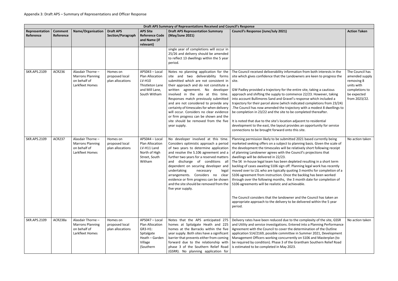|                             | Draft APS Summary of Representations Received and Council's Response |                                                                                 |                                                |                                                                                                      |                                                                                                                                                                                                                                                                                                                                                                                                                                                                                                                  |                                                                                                                                                                                                                                                                                                                                                                                                                                                                                                                                                                                                                                                                                                                                                                                                                              |                                                                                                                 |  |  |  |
|-----------------------------|----------------------------------------------------------------------|---------------------------------------------------------------------------------|------------------------------------------------|------------------------------------------------------------------------------------------------------|------------------------------------------------------------------------------------------------------------------------------------------------------------------------------------------------------------------------------------------------------------------------------------------------------------------------------------------------------------------------------------------------------------------------------------------------------------------------------------------------------------------|------------------------------------------------------------------------------------------------------------------------------------------------------------------------------------------------------------------------------------------------------------------------------------------------------------------------------------------------------------------------------------------------------------------------------------------------------------------------------------------------------------------------------------------------------------------------------------------------------------------------------------------------------------------------------------------------------------------------------------------------------------------------------------------------------------------------------|-----------------------------------------------------------------------------------------------------------------|--|--|--|
| Representation<br>Reference | <b>Comment</b><br>Reference                                          | <b>Name/Organisation</b>                                                        | <b>Draft APS</b><br>Section/Paragraph          | <b>APS Site</b><br><b>Reference Code</b><br>and Name (if<br>relevant)                                | <b>Draft APS Representation Summary</b><br>(May/June 2021)                                                                                                                                                                                                                                                                                                                                                                                                                                                       | <b>Council's Response (June/July 2021)</b>                                                                                                                                                                                                                                                                                                                                                                                                                                                                                                                                                                                                                                                                                                                                                                                   | <b>Action Taken</b>                                                                                             |  |  |  |
|                             |                                                                      |                                                                                 |                                                |                                                                                                      | single year of completions will occur in<br>25/26 and delivery should be amended<br>to reflect 13 dwellings within the 5 year<br>period.                                                                                                                                                                                                                                                                                                                                                                         |                                                                                                                                                                                                                                                                                                                                                                                                                                                                                                                                                                                                                                                                                                                                                                                                                              |                                                                                                                 |  |  |  |
| <b>SKR.APS.2109</b>         | <b>ACR236</b>                                                        | Alasdair Thorne -<br><b>Marrons Planning</b><br>on behalf of<br>Larkfleet Homes | Homes on<br>proposed local<br>plan allocations | APS043 - Local<br>Plan Allocation<br>LV-H10<br>Thistleton Lane<br>and Mill Lane,<br>South Witham     | Notes no planning application for the<br>site and two deliverability forms<br>submitted which are not consistent in<br>their approach and do not constitute a<br>written agreement. No developer<br>involved in the site at this time.<br>Responses match previously submitted<br>and are not considered to provide any<br>certainty of timescales for when delivery<br>will occur. Considers no clear evidence<br>or firm progress can be shown and the<br>site should be removed from the five<br>year supply. | The Council received deliverability information from both interests in the<br>site which gives confidence that the Landowners are keen to progress the<br>site.<br>GW Padley provided a trajectory for the entire site, taking a cautious<br>approach and shifting the supply to commence 22/23. However, taking<br>into account Bullimores Sand and Gravel's response which included a<br>trajectory for their parcel alone (which indicated completions from 23/24)<br>. The Council has now amended the trajectory with a modest 8 dwellings to<br>be completion in 23/22 and the site to be completed thereafter.<br>It is noted that due to the site's location adjacent to residential<br>development to the east, the layout provides an opportunity for service<br>connections to be brought forward onto this site. | The Council has<br>amended supply<br>removing 8<br>units with<br>completions to<br>be expected<br>from 2023/22. |  |  |  |
| <b>SKR.APS.2109</b>         | <b>ACR237</b>                                                        | Alasdair Thorne -<br><b>Marrons Planning</b><br>on behalf of<br>Larkfleet Homes | Homes on<br>proposed local<br>plan allocations | APS044 - Local<br>Plan Allocation<br>LV-H11 Land<br>North of High<br>Street, South<br>Witham         | No developer involved at this time.<br>Considers optimistic approach a period<br>of two years to determine application<br>and resolve the S.106 agreement and a<br>further two years for a reserved matters<br>discharge of conditions all<br>and<br>dependent on securing developer and<br>undertaking<br>necessary<br>legal<br>evidence or firm progress can be shown<br>and the site should be removed from the<br>five year supply.                                                                          | Planning permission likely to be submitted 2021 based currently being<br>marketed seeking offers on a subject to planning basis. Given the scale of<br>the development the timescales will be relatively short following receipt<br>of planning Landowner agrees with the Council's projections that<br>dwellings will be delivered in 22/23.<br>The SK in-house legal team has been depleted resulting in a short term<br>backlog of cases awaiting S106 sign off. Planning legal work has recently<br>moved over to LSL who are typically quoting 3 months for completion of a<br>arrangements. Considers no clear   S106 agreement from instruction. Once the backlog has been worked<br>through over the following months, the 3 month date for completion of<br>S106 agreements will be realistic and achievable.       | No action taken                                                                                                 |  |  |  |
|                             |                                                                      |                                                                                 |                                                |                                                                                                      |                                                                                                                                                                                                                                                                                                                                                                                                                                                                                                                  | The Council considers that the landowner and the Council has taken an<br>appropriate approach to the delivery to be delivered within the 5 year<br>period.                                                                                                                                                                                                                                                                                                                                                                                                                                                                                                                                                                                                                                                                   |                                                                                                                 |  |  |  |
| <b>SKR.APS.2109</b>         | ACR238a                                                              | Alasdair Thorne -<br><b>Marrons Planning</b><br>on behalf of<br>Larkfleet Homes | Homes on<br>proposed local<br>plan allocations | APS047 - Local<br>Plan Allocation<br>GR3-H1:<br>Spitalgate<br>Heath - Garden<br>Village<br>(Southern | homes at Spitalgate Heath and 225<br>homes at the Barracks within the five<br>year supply. Both sites have a significant<br>barrier that prevents either from coming<br>forward due to the relationship with<br>phase 3 of the Southern Relief Road<br>(GSRR). No planning application for                                                                                                                                                                                                                       | Notes that the APS anticipated 275   Delivery rates have been reduced due to the complexity of the site, GSSR<br>and Utility and service investigations. Entered into a Planning Performance<br>Agreement with the Council to cover the determination of the Outline<br>application S14/2169, possible committee in Summer 2021, Development<br>Management Officers working concurrently on S106 and Masterplan (to<br>be required by condition). Phase 3 of the Grantham Southern Relief Road<br>is estimated to be completed in May 2023.                                                                                                                                                                                                                                                                                  | No action taken                                                                                                 |  |  |  |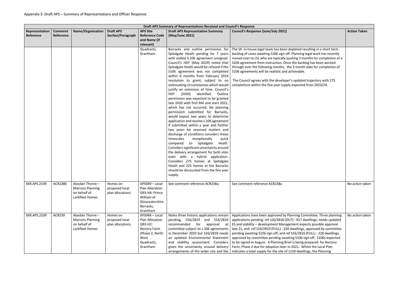|                             | Draft APS Summary of Representations Received and Council's Response |                                                                                 |                                                |                                                                                                                          |                                                                                                                                                                                                                                                                                                                                                                                                                                                                                                                                                                                                                                                                                                                                                                                                                                                                                                                                                                                                                                                                                                                                                 |                                                                                                                                                                                                                                                                                                                                                                                                                                                                                                                                                                                                                                                                                  |                     |  |  |  |  |
|-----------------------------|----------------------------------------------------------------------|---------------------------------------------------------------------------------|------------------------------------------------|--------------------------------------------------------------------------------------------------------------------------|-------------------------------------------------------------------------------------------------------------------------------------------------------------------------------------------------------------------------------------------------------------------------------------------------------------------------------------------------------------------------------------------------------------------------------------------------------------------------------------------------------------------------------------------------------------------------------------------------------------------------------------------------------------------------------------------------------------------------------------------------------------------------------------------------------------------------------------------------------------------------------------------------------------------------------------------------------------------------------------------------------------------------------------------------------------------------------------------------------------------------------------------------|----------------------------------------------------------------------------------------------------------------------------------------------------------------------------------------------------------------------------------------------------------------------------------------------------------------------------------------------------------------------------------------------------------------------------------------------------------------------------------------------------------------------------------------------------------------------------------------------------------------------------------------------------------------------------------|---------------------|--|--|--|--|
| Representation<br>Reference | <b>Comment</b><br>Reference                                          | <b>Name/Organisation</b>                                                        | <b>Draft APS</b><br>Section/Paragraph          | <b>APS Site</b><br><b>Reference Code</b><br>and Name (if<br>relevant)                                                    | <b>Draft APS Representation Summary</b><br>(May/June 2021)                                                                                                                                                                                                                                                                                                                                                                                                                                                                                                                                                                                                                                                                                                                                                                                                                                                                                                                                                                                                                                                                                      | <b>Council's Response (June/July 2021)</b>                                                                                                                                                                                                                                                                                                                                                                                                                                                                                                                                                                                                                                       | <b>Action Taken</b> |  |  |  |  |
|                             |                                                                      |                                                                                 |                                                | Quadrant),<br>Grantham                                                                                                   | Barracks and outline permission for<br>Spitalgate Heath pending for 7 years<br>with stalled S.106 agreement unsigned.<br>Spitalgate Heath would be refused if the<br>S106 agreement was not completed<br>within 6 months from February 2019<br>resolution to grant; subject to no<br>extenuating circumstances which would<br>justify an extension of time. Council's<br><b>HDT</b><br>(2020)<br>identified<br>Outline<br>permission was expected to be granted<br>late 2020 with first RM and start 2021,<br>which has not occurred. No planning<br>permission submitted for Barracks,<br>would expect two years to determine<br>application and resolve s.106 agreement<br>if submitted within a year and further<br>two years for reserved matters and<br>discharge of conditions considers these<br>timescales<br>exceptionally<br>quick<br>compared<br>to Spitalgate<br>Heath.<br>Considers significant uncertainty around<br>the delivery arrangement for both sites<br>even with a hybrid application.<br>Considers 275 homes at Spitalgate<br>Heath and 225 homes at the Barracks<br>should be discounted from the five year<br>supply. | The SK in-house legal team has been depleted resulting in a short term<br>backlog of cases awaiting S106 sign off. Planning legal work has recently<br>moved over to LSL who are typically quoting 3 months for completion of a<br>Council's HDT (May 2019) noted that $\vert$ S106 agreement from instruction. Once the backlog has been worked<br>through over the following months, the 3 month date for completion of<br>S106 agreements will be realistic and achievable.<br>The Council agrees with the developer's updated trajectory with 275<br>completions within the five year supply expected from 2023/24.                                                          |                     |  |  |  |  |
| <b>SKR.APS.2109</b>         | ACR238b                                                              | Alasdair Thorne -<br><b>Marrons Planning</b><br>on behalf of<br>Larkfleet Homes | Homes on<br>proposed local<br>plan allocations | APS049 - Local<br>Plan Allocation<br>GR3-H4: Prince<br>William of<br>Gloucestershire<br>Barracks,<br>Grantham            | See comment reference ACR238a.                                                                                                                                                                                                                                                                                                                                                                                                                                                                                                                                                                                                                                                                                                                                                                                                                                                                                                                                                                                                                                                                                                                  | See comment reference ACR238a                                                                                                                                                                                                                                                                                                                                                                                                                                                                                                                                                                                                                                                    | No action taken     |  |  |  |  |
| <b>SKR.APS.2109</b>         | <b>ACR239</b>                                                        | Alasdair Thorne -<br><b>Marrons Planning</b><br>on behalf of<br>Larkfleet Homes | Homes on<br>proposed local<br>plan allocations | APS048 - Local<br>Plan Allocation<br>GR3-H2:<br><b>Rectory Farm</b><br>(Phase 2, North<br>West<br>Quadrant),<br>Grantham | Notes three historic applications remain<br>pending, S16/2819 and S16/2816<br>recommended<br>for<br>approval<br>at<br>committee subject to s.106 agreements<br>in December 2020 but S16/2818 needs<br>an updated Environmental Statement<br>and viability assessment. Considers<br>given the uncertainty around delivery<br>arrangements of the wider site and the                                                                                                                                                                                                                                                                                                                                                                                                                                                                                                                                                                                                                                                                                                                                                                              | Applications have been approved by Planning Committee. Three planning<br>applications pending: ref s16/2818 (OUT) - 817 dwellings; needs updated<br>ES and viability - development Management expects possible approval<br>late 21, and ref S16/2819 (FULL) - 220 dwellings, approved by committee<br>pending awaiting S106 sign off; and ref S16/2816 (FULL) - 228 dwellings,<br>approved by committee pending awaiting S106 sign off. S106s expected<br>to be signed in August. A Planning Brief is being prepared for Rectory<br>Farm, Phase 2 due for adoption later in 2021. Whilst the Local Plan<br>indicates a total supply for the site of 1150 dwellings, the Planning | No action taken     |  |  |  |  |

|                             | <b>Action Taken</b> |
|-----------------------------|---------------------|
|                             |                     |
|                             |                     |
|                             |                     |
| I resulting in a short term |                     |
| ng legal work has recently  |                     |
| months for completion of a  |                     |
| cklog has been worked       |                     |
| nth date for completion of  |                     |
|                             |                     |
| ١le.                        |                     |
|                             |                     |
| ted trajectory with 275     |                     |
| ed from 2023/24.            |                     |
|                             |                     |
|                             |                     |
|                             |                     |
|                             |                     |
|                             |                     |
|                             |                     |
|                             |                     |
|                             |                     |
|                             |                     |
|                             |                     |
|                             |                     |
|                             |                     |
|                             |                     |
|                             |                     |
|                             |                     |
|                             |                     |
|                             |                     |
|                             |                     |
|                             |                     |
|                             |                     |
|                             |                     |
|                             |                     |
|                             |                     |
|                             | No action taken     |
|                             |                     |
|                             |                     |
|                             |                     |
|                             |                     |
|                             |                     |
|                             |                     |
|                             |                     |
| Committee. Three planning   | No action taken     |
| dwellings; needs updated    |                     |
| xpects possible approval    |                     |
| gs, approved by committee   |                     |
| 316 (FULL) - 228 dwellings, |                     |
| 6 sign off. S106s expected  |                     |
| ng prepared for Rectory     |                     |
| Whilst the Local Plan       |                     |
| ellings, the Planning       |                     |
|                             |                     |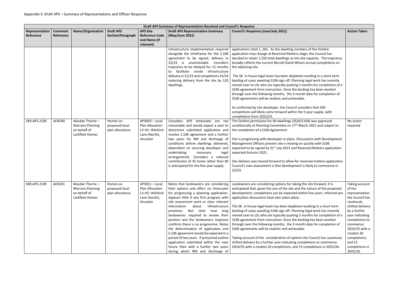|                             | Draft APS Summary of Representations Received and Council's Response |                                                                                 |                                                |                                                                                   |                                                                                                                                                                                                                                                                                                                                                                                                                                                                                                                                                                                                                                                                                |                                                                                                                                                                                                                                                                                                                                                                                                                                                                                                                                                                                                                                                                                                                                                                                                                                                                                                                                                        |                                                                                                                                                                                                                                                         |  |  |  |  |
|-----------------------------|----------------------------------------------------------------------|---------------------------------------------------------------------------------|------------------------------------------------|-----------------------------------------------------------------------------------|--------------------------------------------------------------------------------------------------------------------------------------------------------------------------------------------------------------------------------------------------------------------------------------------------------------------------------------------------------------------------------------------------------------------------------------------------------------------------------------------------------------------------------------------------------------------------------------------------------------------------------------------------------------------------------|--------------------------------------------------------------------------------------------------------------------------------------------------------------------------------------------------------------------------------------------------------------------------------------------------------------------------------------------------------------------------------------------------------------------------------------------------------------------------------------------------------------------------------------------------------------------------------------------------------------------------------------------------------------------------------------------------------------------------------------------------------------------------------------------------------------------------------------------------------------------------------------------------------------------------------------------------------|---------------------------------------------------------------------------------------------------------------------------------------------------------------------------------------------------------------------------------------------------------|--|--|--|--|
| Representation<br>Reference | <b>Comment</b><br>Reference                                          | <b>Name/Organisation</b>                                                        | <b>Draft APS</b><br>Section/Paragraph          | <b>APS Site</b><br><b>Reference Code</b><br>and Name (if<br>relevant)             | <b>Draft APS Representation Summary</b><br>(May/June 2021)                                                                                                                                                                                                                                                                                                                                                                                                                                                                                                                                                                                                                     | <b>Council's Response (June/July 2021)</b>                                                                                                                                                                                                                                                                                                                                                                                                                                                                                                                                                                                                                                                                                                                                                                                                                                                                                                             | <b>Action Taken</b>                                                                                                                                                                                                                                     |  |  |  |  |
|                             |                                                                      |                                                                                 |                                                |                                                                                   | infrastructure implementation required<br>alongside the timeframe for the S.106<br>agreement to be signed, delivery in<br>22/23 is unachievable. Considers<br>trajectory to be delayed for 12 months<br>facilitate onsite infrastructure<br>delivery in 22/23 and completions 23/24<br>reducing delivery from the site by 120<br>dwellings.                                                                                                                                                                                                                                                                                                                                    | applications total 1, 265. As the dwelling numbers of the Outline<br>application may change at Reserved Matters stage, the Council has<br>decided to retain 1,150 total dwellings as the site capacity. The trajectory<br>broadly reflects the current Barratt David Wilson annual completions on<br>the adjoining site.<br>The SK in-house legal team has been depleted resulting in a short term<br>backlog of cases awaiting S106 sign off. Planning legal work has recently<br>moved over to LSL who are typically quoting 3 months for completion of a<br>S106 agreement from instruction. Once the backlog has been worked<br>through over the following months, the 3 month date for completion of<br>S106 agreements will be realistic and achievable.                                                                                                                                                                                         |                                                                                                                                                                                                                                                         |  |  |  |  |
|                             |                                                                      |                                                                                 |                                                |                                                                                   |                                                                                                                                                                                                                                                                                                                                                                                                                                                                                                                                                                                                                                                                                | As confirmed by site developer, the Council considers that 330<br>completions will likely come forward within the 5 year supply, with<br>completions from 2022/23.                                                                                                                                                                                                                                                                                                                                                                                                                                                                                                                                                                                                                                                                                                                                                                                     |                                                                                                                                                                                                                                                         |  |  |  |  |
| <b>SKR.APS.2109</b>         | <b>ACR240</b>                                                        | Alasdair Thorne -<br><b>Marrons Planning</b><br>on behalf of<br>Larkfleet Homes | Homes on<br>proposed local<br>plan allocations | APS050 - Local<br>Plan Allocation<br>LV-H1: Wilsford<br>Lane (North),<br>Ancaster | Considers APS timescales are not<br>reasonable and would expect a year to<br>determine submitted application and<br>resolve S.106 agreement and a further<br>two years for RM and discharge of<br>conditions before dwellings delivered,<br>dependent on securing developer and<br>undertaking<br>necessary<br>legal<br>arrangements. Considers a reduced<br>contribution of 35 home rather than 96<br>is anticipated for the five year supply.                                                                                                                                                                                                                                | The Outline permission for 96 dwellings (SS20/1169) was approved<br>conditionally at Planning Committee on 17 <sup>th</sup> March 2021 and subject to<br>the completion of a S106 Agreement.<br>Site is progressing with developer in place. Discussions with Development<br>Management Officers present site is moving on quickly with S106<br>expected to be signed by 31 <sup>st</sup> July 2021 and Reserved Matters application<br>expected Autumn 2021.<br>Site delivery was moved forward to allow for reserved matters application.<br>Council's own assessment is that development is likely to commence in<br>22/23.                                                                                                                                                                                                                                                                                                                         | No action<br>required                                                                                                                                                                                                                                   |  |  |  |  |
| <b>SKR.APS.2109</b>         | <b>ACR241</b>                                                        | Alasdair Thorne -<br><b>Marrons Planning</b><br>on behalf of<br>Larkfleet Homes | Homes on<br>proposed local<br>plan allocations | APS051-Local<br>Plan Allocation<br>LV-H2: Wilsford<br>Lane (South),<br>Ancaster   | Notes that landowners are considering<br>their options and offers no timescales<br>for progressing a planning application.<br>Appears little if any firm progress with<br>site assessment work or clear relevant<br>information<br>about<br>infrastructure<br>Not clear<br>how<br>long<br>provision.<br>landowners required to review their<br>position and the landowners response<br>confirms there is no programme. Notes<br>the determination of application and<br>S.106 agreement would be expected in a<br>period of two years if presumed outline<br>application submitted within the near<br>future then with a further two years<br>during which RM and discharge of | Landowners are considering options for taking the site forward. It is<br>anticipated that, given the size of the site and the nature of the proposed<br>development, completions can be expected within five years. Informal pre<br>application discussions have also taken place.<br>The SK in-house legal team has been depleted resulting in a short term<br>backlog of cases awaiting S106 sign off. Planning legal work has recently<br>moved over to LSL who are typically quoting 3 months for completion of a<br>S106 agreement from instruction. Once the backlog has been worked<br>through over the following months, the 3 month date for completion of<br>S106 agreements will be realistic and achievable.<br>Taking account of the consideration of options the Council has cautiously<br>shifted delivery by a further year indicating completions to commence<br>2024/25 with a modest 20 completions; and 15 completions in 2025/26. | Taking account<br>of the<br>representation<br>the Council has<br>cautiously<br>shifted delivery<br>by a further<br>year indicating<br>completions to<br>commence<br>2024/25 with a<br>modest 20<br>completions;<br>and 15<br>completions in<br>2025/26. |  |  |  |  |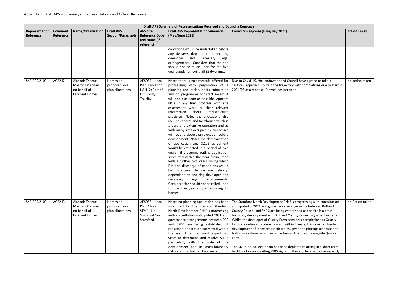|                             | Draft APS Summary of Representations Received and Council's Response |                                                                                 |                                                |                                                                              |                                                                                                                                                                                                                                                                                                                                                                                                                                                                                                                                                                                                                                                                                                                                                                                                                                                                                                                                                                                                                                                                 |                                                                                                                                                                                                                                                                                                                                                                                                                                                                                                                                                                                                                                                                                                                                                                                                   |                     |  |  |  |
|-----------------------------|----------------------------------------------------------------------|---------------------------------------------------------------------------------|------------------------------------------------|------------------------------------------------------------------------------|-----------------------------------------------------------------------------------------------------------------------------------------------------------------------------------------------------------------------------------------------------------------------------------------------------------------------------------------------------------------------------------------------------------------------------------------------------------------------------------------------------------------------------------------------------------------------------------------------------------------------------------------------------------------------------------------------------------------------------------------------------------------------------------------------------------------------------------------------------------------------------------------------------------------------------------------------------------------------------------------------------------------------------------------------------------------|---------------------------------------------------------------------------------------------------------------------------------------------------------------------------------------------------------------------------------------------------------------------------------------------------------------------------------------------------------------------------------------------------------------------------------------------------------------------------------------------------------------------------------------------------------------------------------------------------------------------------------------------------------------------------------------------------------------------------------------------------------------------------------------------------|---------------------|--|--|--|
| Representation<br>Reference | <b>Comment</b><br>Reference                                          | <b>Name/Organisation</b>                                                        | <b>Draft APS</b><br>Section/Paragraph          | <b>APS Site</b><br><b>Reference Code</b><br>and Name (if<br>relevant)        | <b>Draft APS Representation Summary</b><br>(May/June 2021)                                                                                                                                                                                                                                                                                                                                                                                                                                                                                                                                                                                                                                                                                                                                                                                                                                                                                                                                                                                                      | <b>Council's Response (June/July 2021)</b>                                                                                                                                                                                                                                                                                                                                                                                                                                                                                                                                                                                                                                                                                                                                                        | <b>Action Taken</b> |  |  |  |
|                             |                                                                      |                                                                                 |                                                |                                                                              | conditions would be undertaken before<br>any delivery, dependent on securing<br>developer and necessary legal<br>arrangements. Considers that the site<br>should not be relied upon for the five<br>year supply removing all 35 dwellings.                                                                                                                                                                                                                                                                                                                                                                                                                                                                                                                                                                                                                                                                                                                                                                                                                      |                                                                                                                                                                                                                                                                                                                                                                                                                                                                                                                                                                                                                                                                                                                                                                                                   |                     |  |  |  |
| <b>SKR.APS.2109</b>         | <b>ACR242</b>                                                        | Alasdair Thorne -<br><b>Marrons Planning</b><br>on behalf of<br>Larkfleet Homes | Homes on<br>proposed local<br>plan allocations | APS055 - Local<br>Plan Allocation<br>LV-H12: Part of<br>Elm Farm,<br>Thurlby | Notes there is no timescale offered for<br>progressing with preparation of a<br>planning application or its submission<br>and no programme for start except it<br>will occur as soon as possible. Appears<br>little if any firm progress with site<br>assessment work or clear relevant<br>information<br>about<br>infrastructure<br>provision. Notes the allocations also<br>includes a farm and farmhouse which is<br>a busy and extensive operation and as<br>with many sites occupied by businesses<br>will require closure or relocation before<br>development. Notes the determination<br>of application and S.106 agreement<br>would be expected in a period of two<br>years if presumed outline application<br>submitted within the near future then<br>with a further two years during which<br>RM and discharge of conditions would<br>be undertaken before any delivery,<br>dependent on securing developer and<br>legal<br>arrangements.<br>necessary<br>Considers site should not be relied upon<br>for the five year supply removing 20<br>homes. | Due to Covid-19, the landowner and Council have agreed to take a<br>cautious approach, shifting the trajectory with completions due to start in<br>2024/25 at a modest 10 dwellings per year.                                                                                                                                                                                                                                                                                                                                                                                                                                                                                                                                                                                                     | No action taken     |  |  |  |
| <b>SKR.APS.2109</b>         | <b>ACR243</b>                                                        | Alasdair Thorne -<br><b>Marrons Planning</b><br>on behalf of<br>Larkfleet Homes | Homes on<br>proposed local<br>plan allocations | APS058 - Local<br>Plan Allocation<br>STM1-H1:<br>Stamford North,<br>Stamford | Notes no planning application has been<br>submitted for the site and Stamford<br>North Development Brief is progressing<br>with consultation anticipated 2021 and<br>governance arrangements between RCC<br>and SKDC are being established. If<br>presumed application submitted within<br>the near future, then would expect two<br>years to determine and resolve S.106<br>particularly with the scale of the<br>development and its cross-boundary                                                                                                                                                                                                                                                                                                                                                                                                                                                                                                                                                                                                           | The Stamford North Development Brief is progressing with consultation<br>anticipated in 2021 and governance arrangements between Rutland<br>County Council and SKDC are being established as the site is a cross-<br>boundary development with Rutland County Council (Quarry Farm site).<br>Whilst the developer of Quarry Farm considers completions at Quarry<br>Farm are unlikely to come forward within 5 years, this does not hinder<br>development of Stamford North which, given the phasing schedule and<br>traffic work done so far can come forward before or alongside Quarry<br>Farm.<br>The SK in-house legal team has been depleted resulting in a short term<br>nature and a further two years during   backlog of cases awaiting S106 sign off. Planning legal work has recently | No Action taken     |  |  |  |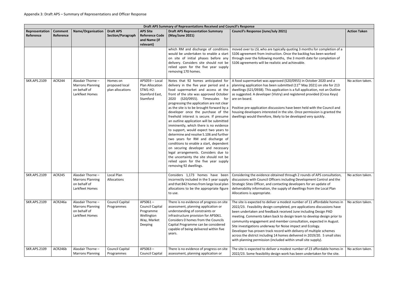|                             | Draft APS Summary of Representations Received and Council's Response |                                                                                 |                                                |                                                                                        |                                                                                                                                                                                                                                                                                                                                                                                                                                                                                                                                                                                                                                                                                                                                                                                                                                  |                                                                                                                                                                                                                                                                                                                                                                                                                                                                                                                                                                                                                                                             |                     |  |  |  |  |
|-----------------------------|----------------------------------------------------------------------|---------------------------------------------------------------------------------|------------------------------------------------|----------------------------------------------------------------------------------------|----------------------------------------------------------------------------------------------------------------------------------------------------------------------------------------------------------------------------------------------------------------------------------------------------------------------------------------------------------------------------------------------------------------------------------------------------------------------------------------------------------------------------------------------------------------------------------------------------------------------------------------------------------------------------------------------------------------------------------------------------------------------------------------------------------------------------------|-------------------------------------------------------------------------------------------------------------------------------------------------------------------------------------------------------------------------------------------------------------------------------------------------------------------------------------------------------------------------------------------------------------------------------------------------------------------------------------------------------------------------------------------------------------------------------------------------------------------------------------------------------------|---------------------|--|--|--|--|
| Representation<br>Reference | <b>Comment</b><br>Reference                                          | Name/Organisation                                                               | <b>Draft APS</b><br>Section/Paragraph          | <b>APS Site</b><br><b>Reference Code</b><br>and Name (if<br>relevant)                  | <b>Draft APS Representation Summary</b><br>(May/June 2021)                                                                                                                                                                                                                                                                                                                                                                                                                                                                                                                                                                                                                                                                                                                                                                       | Council's Response (June/July 2021)                                                                                                                                                                                                                                                                                                                                                                                                                                                                                                                                                                                                                         | <b>Action Taken</b> |  |  |  |  |
|                             |                                                                      |                                                                                 |                                                |                                                                                        | which RM and discharge of conditions<br>would be undertaken to enable a start<br>on site of initial phases before any<br>delivery. Considers site should not be<br>relied upon for the five year supply<br>removing 170 homes.                                                                                                                                                                                                                                                                                                                                                                                                                                                                                                                                                                                                   | moved over to LSL who are typically quoting 3 months for completion of a<br>S106 agreement from instruction. Once the backlog has been worked<br>through over the following months, the 3 month date for completion of<br>S106 agreements will be realistic and achievable.                                                                                                                                                                                                                                                                                                                                                                                 |                     |  |  |  |  |
| <b>SKR.APS.2109</b>         | <b>ACR244</b>                                                        | Alasdair Thorne -<br><b>Marrons Planning</b><br>on behalf of<br>Larkfleet Homes | Homes on<br>proposed local<br>plan allocations | APS059 - Local<br>Plan Allocation<br>STM1-H2:<br>Stamford East,<br>Stamford            | Notes that 92 homes anticipated for<br>delivery in the five year period and a<br>food supermarket and access at the<br>front of the site was approved October<br>2020 (S20/0955). Timescales for<br>progressing the application are not clear<br>as the site is to be brought forward by a<br>developer once the purchase of the<br>freehold interest is secure. If presume<br>an outline application will be submitted<br>imminently, which there is no evidence<br>to support, would expect two years to<br>determine and resolve S.106 and further<br>two years for RM and discharge of<br>conditions to enable a start, dependent<br>on securing developer and necessary<br>legal arrangements. Considers due to<br>the uncertainty the site should not be<br>relied upon for the five year supply<br>removing 92 dwellings. | A food supermarket was approved (S20/0955) in October 2020 and a<br>planning application has been submitted (11 <sup>th</sup> May 2021) on site for 213<br>dwellings (S21/0938). This application is a full application, not an Outline<br>as suggested. A developer (Vistry) and registered provided (Cross Keys)<br>are on board.<br>Positive pre-application discussions have been held with the Council and<br>housing developers interested in the site. Once permission is granted the<br>dwellings would therefore, likely to be developed very quickly.                                                                                             | No action taken.    |  |  |  |  |
| <b>SKR.APS.2109</b>         | <b>ACR245</b>                                                        | Alasdair Thorne -<br><b>Marrons Planning</b><br>on behalf of<br>Larkfleet Homes | Local Plan<br>Allocations                      |                                                                                        | Considers 1,173 homes have been<br>incorrectly included in the 5 year supply<br>and that 842 homes from large local plan<br>allocations to be the appropriate figure<br>to use.                                                                                                                                                                                                                                                                                                                                                                                                                                                                                                                                                                                                                                                  | Considering the evidence obtained through 2 rounds of APS consultation,<br>discussions with Council Officers including Development Control and the<br>Strategic Sites Officer, and contacting developers for an update of<br>deliverability information, the supply of dwellings from the Local Plan<br>Allocations is appropriate.                                                                                                                                                                                                                                                                                                                         | No action taken.    |  |  |  |  |
| <b>SKR.APS.2109</b>         | ACR246a                                                              | Alasdair Thorne -<br><b>Marrons Planning</b><br>on behalf of<br>Larkfleet Homes | <b>Council Capital</b><br>Programmes           | APS061-<br><b>Council Capital</b><br>Programme<br>Wellington<br>Way, Market<br>Deeping | There is no evidence of progress on site<br>assessment, planning application or<br>understanding of constraints or<br>infrastructure provision for APS061.<br>Considers 0 homes from the Councils<br>Capital Programme can be considered<br>capable of being delivered within five<br>years.                                                                                                                                                                                                                                                                                                                                                                                                                                                                                                                                     | The site is expected to deliver a modest number of 11 affordable homes in<br>2022/23. Feasibility design completed, pre applications discussions have<br>been undertaken and feedback received June including Design PAD<br>meeting. Comments taken back to design team to develop design prior to<br>community engagement and member consultation, expected in August.<br>Site investigations underway for Noise impact and Ecology.<br>Developer has proven track record with delivery of multiple schemes<br>across the district including 14 homes delivered in 2019/20. 5 small sites<br>with planning permission (included within small site supply). | No action taken.    |  |  |  |  |
| <b>SKR.APS.2109</b>         | ACR246b                                                              | Alasdair Thorne -<br><b>Marrons Planning</b>                                    | <b>Council Capital</b><br>Programmes           | APS063-<br><b>Council Capital</b>                                                      | There is no evidence of progress on site<br>assessment, planning application or                                                                                                                                                                                                                                                                                                                                                                                                                                                                                                                                                                                                                                                                                                                                                  | The site is expected to deliver a modest number of 23 affordable homes in<br>2022/23. Some feasibility design work has been undertaken for the site.                                                                                                                                                                                                                                                                                                                                                                                                                                                                                                        | No action taken.    |  |  |  |  |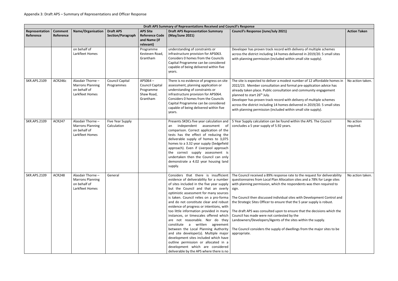|                             | Draft APS Summary of Representations Received and Council's Response |                                                                                 |                                       |                                                                          |                                                                                                                                                                                                                                                                                                                                                                                                                                                                                                                                                                                                                                                                                                                           |                                                                                                                                                                                                                                                                                                                                                                                                                                                                                                                                                                                                                                                                                                                    |                        |  |  |  |
|-----------------------------|----------------------------------------------------------------------|---------------------------------------------------------------------------------|---------------------------------------|--------------------------------------------------------------------------|---------------------------------------------------------------------------------------------------------------------------------------------------------------------------------------------------------------------------------------------------------------------------------------------------------------------------------------------------------------------------------------------------------------------------------------------------------------------------------------------------------------------------------------------------------------------------------------------------------------------------------------------------------------------------------------------------------------------------|--------------------------------------------------------------------------------------------------------------------------------------------------------------------------------------------------------------------------------------------------------------------------------------------------------------------------------------------------------------------------------------------------------------------------------------------------------------------------------------------------------------------------------------------------------------------------------------------------------------------------------------------------------------------------------------------------------------------|------------------------|--|--|--|
| Representation<br>Reference | <b>Comment</b><br>Reference                                          | <b>Name/Organisation</b>                                                        | <b>Draft APS</b><br>Section/Paragraph | <b>APS Site</b><br><b>Reference Code</b><br>and Name (if<br>relevant)    | <b>Draft APS Representation Summary</b><br>(May/June 2021)                                                                                                                                                                                                                                                                                                                                                                                                                                                                                                                                                                                                                                                                | <b>Council's Response (June/July 2021)</b>                                                                                                                                                                                                                                                                                                                                                                                                                                                                                                                                                                                                                                                                         | <b>Action Taken</b>    |  |  |  |
|                             |                                                                      | on behalf of<br>Larkfleet Homes                                                 |                                       | Programme<br>Kesteven Road,<br>Grantham                                  | understanding of constraints or<br>infrastructure provision for APS063.<br>Considers 0 homes from the Councils<br>Capital Programme can be considered<br>capable of being delivered within five<br>years.                                                                                                                                                                                                                                                                                                                                                                                                                                                                                                                 | Developer has proven track record with delivery of multiple schemes<br>across the district including 14 homes delivered in 2019/20. 5 small sites<br>with planning permission (included within small site supply).                                                                                                                                                                                                                                                                                                                                                                                                                                                                                                 |                        |  |  |  |
| <b>SKR.APS.2109</b>         | ACR246c                                                              | Alasdair Thorne -<br><b>Marrons Planning</b><br>on behalf of<br>Larkfleet Homes | <b>Council Capital</b><br>Programmes  | APS064-<br><b>Council Capital</b><br>Programme<br>Shaw Road,<br>Grantham | There is no evidence of progress on site<br>assessment, planning application or<br>understanding of constraints or<br>infrastructure provision for APS064.<br>Considers 0 homes from the Councils<br>Capital Programme can be considered<br>capable of being delivered within five<br>years.                                                                                                                                                                                                                                                                                                                                                                                                                              | The site is expected to deliver a modest number of 12 affordable homes in<br>2022/23. Member consultation and formal pre-application advice has<br>already taken place. Public consultation and community engagement<br>planned to start 26 <sup>th</sup> July.<br>Developer has proven track record with delivery of multiple schemes<br>across the district including 14 homes delivered in 2019/20. 5 small sites<br>with planning permission (included within small site supply).                                                                                                                                                                                                                              | No action taken.       |  |  |  |
| <b>SKR.APS.2109</b>         | <b>ACR247</b>                                                        | Alasdair Thorne -<br><b>Marrons Planning</b><br>on behalf of<br>Larkfleet Homes | Five Year Supply<br>Calculation       |                                                                          | Presents SKDCs five year calculation and<br>independent assessment<br>of<br>an<br>comparison. Correct application of the<br>tests has the effect of reducing the<br>deliverable supply of homes to 3,075<br>homes to a 3.32 year supply (Sedgefield<br>approach). Even if Liverpool approach<br>the correct supply assessment is<br>undertaken then the Council can only<br>demonstrate a 4.02 year housing land<br>supply.                                                                                                                                                                                                                                                                                               | 5 Year Supply calculation can be found within the APS. The Council<br>concludes a 5 year supply of 5.92 years.                                                                                                                                                                                                                                                                                                                                                                                                                                                                                                                                                                                                     | No action<br>required. |  |  |  |
| <b>SKR.APS.2109</b>         | <b>ACR248</b>                                                        | Alasdair Thorne -<br><b>Marrons Planning</b><br>on behalf of<br>Larkfleet Homes | General                               |                                                                          | evidence of deliverability for a number<br>of sites included in the five year supply<br>but the Council and that an overly   sign.<br>optimistic assessment for many sources<br>is taken. Council relies on a pro-forma<br>and do not constitute clear and robust<br>evidence of progress or intentions, with<br>too little information provided in many<br>instances, or timescales offered which<br>are not reasonable. Nor do they<br>constitute a written agreement<br>between the Local Planning Authority<br>and site developer(s). Multiple major<br>development sites included which have<br>outline permission or allocated in a<br>development which are considered<br>deliverable by the APS where there is no | Considers that there is insufficient   The Council received a 89% response rate to the request for deliverability<br>questionnaires from Local Plan Allocation sites and a 78% for Large sites<br>with planning permission, which the respondents was then required to<br>The Council then discussed individual sites with Development Control and<br>the Strategic Sites Officer to ensure that the 5 year supply is robust.<br>The draft APS was consulted upon to ensure that the decisions which the<br>Council has made were not contested by the<br>Landowners/Developers/Agents of the sites within the supply.<br>The Council considers the supply of dwellings from the major sites to be<br>appropriate. | No action taken.       |  |  |  |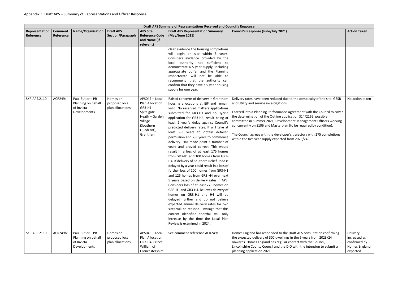|                             | Draft APS Summary of Representations Received and Council's Response |                                                                      |                                                |                                                                                                                                |                                                                                                                                                                                                                                                                                                                                                                                                                                                                                                                                                                                                                                                                                                                                                                                                                                                                                                                                                                                                                                                                                                                                                  |                                                                                                                                                                                                                                                                                                                                                                                                                                                                                                                                               |                                                                       |  |  |  |
|-----------------------------|----------------------------------------------------------------------|----------------------------------------------------------------------|------------------------------------------------|--------------------------------------------------------------------------------------------------------------------------------|--------------------------------------------------------------------------------------------------------------------------------------------------------------------------------------------------------------------------------------------------------------------------------------------------------------------------------------------------------------------------------------------------------------------------------------------------------------------------------------------------------------------------------------------------------------------------------------------------------------------------------------------------------------------------------------------------------------------------------------------------------------------------------------------------------------------------------------------------------------------------------------------------------------------------------------------------------------------------------------------------------------------------------------------------------------------------------------------------------------------------------------------------|-----------------------------------------------------------------------------------------------------------------------------------------------------------------------------------------------------------------------------------------------------------------------------------------------------------------------------------------------------------------------------------------------------------------------------------------------------------------------------------------------------------------------------------------------|-----------------------------------------------------------------------|--|--|--|
| Representation<br>Reference | <b>Comment</b><br>Reference                                          | <b>Name/Organisation</b>                                             | <b>Draft APS</b><br>Section/Paragraph          | <b>APS Site</b><br><b>Reference Code</b><br>and Name (if<br>relevant)                                                          | <b>Draft APS Representation Summary</b><br>(May/June 2021)                                                                                                                                                                                                                                                                                                                                                                                                                                                                                                                                                                                                                                                                                                                                                                                                                                                                                                                                                                                                                                                                                       | <b>Council's Response (June/July 2021)</b>                                                                                                                                                                                                                                                                                                                                                                                                                                                                                                    | <b>Action Taken</b>                                                   |  |  |  |
|                             |                                                                      |                                                                      |                                                |                                                                                                                                | clear evidence the housing completions<br>will begin on site within 5 years.<br>Considers evidence provided by the<br>local authority not sufficient to<br>demonstrate a 5 year supply, including<br>appropriate buffer and the Planning<br>Inspectorate will not be able to<br>recommend that the authority can<br>confirm that they have a 5 year housing<br>supply for one year.                                                                                                                                                                                                                                                                                                                                                                                                                                                                                                                                                                                                                                                                                                                                                              |                                                                                                                                                                                                                                                                                                                                                                                                                                                                                                                                               |                                                                       |  |  |  |
| <b>SKR.APS.2110</b>         | ACR249a                                                              | Paul Butler - PB<br>Planning on behalf<br>of Invicta<br>Developments | Homes on<br>proposed local<br>plan allocations | APS047 - Local<br>Plan Allocation<br>GR3-H1:<br>Spitalgate<br>Heath - Garden<br>Village<br>(Southern<br>Quadrant),<br>Grantham | Raised concerns of delivery in Grantham<br>housing allocations at EiP and remain<br>valid. No reserved matters applications<br>submitted for GR3-H1 and no Hybrid<br>application for GR3-H4, result being at<br>least 2 year's delay against Council's<br>predicted delivery rates. It will take at<br>least 2-3 years to obtain detailed<br>permission and 2-3 years to commence<br>delivery. Has made point a number of<br>years and proved correct. This would<br>result in a loss of at least 175 homes<br>from GR3-H1 and 100 homes from GR3-<br>H4. If delivery of Southern Relief Road is<br>delayed by a year could result in a loss of<br>further loss of 100 homes from GR3-H1<br>and 125 homes from GR3-H4 over next<br>5 years based on delivery rates in APS.<br>Considers loss of at least 275 homes on<br>GR3-H1 and GR3-H4. Believes delivery of<br>homes on GR3-H1 and H4 will be<br>delayed further and do not believe<br>expected annual delivery rates for two<br>sites will be realised. Envisage that this<br>current identified shortfall will only<br>increase by the time the Local Plan<br>Review is examined in 2024. | Delivery rates have been reduced due to the complexity of the site, GSSR<br>and Utility and service investigations.<br>Entered into a Planning Performance Agreement with the Council to cover<br>the determination of the Outline application S14/2169, possible<br>committee in Summer 2021, Development Management Officers working<br>concurrently on S106 and Masterplan (to be required by condition).<br>The Council agrees with the developer's trajectory with 275 completions<br>within the five year supply expected from 2023/24. | No action taken                                                       |  |  |  |
| <b>SKR.APS.2110</b>         | ACR249b                                                              | Paul Butler - PB<br>Planning on behalf<br>of Invicta<br>Developments | Homes on<br>proposed local<br>plan allocations | APS049 - Local<br>Plan Allocation<br>GR3-H4: Prince<br>William of<br>Gloucestershire                                           | See comment reference ACR249a                                                                                                                                                                                                                                                                                                                                                                                                                                                                                                                                                                                                                                                                                                                                                                                                                                                                                                                                                                                                                                                                                                                    | Homes England has responded to the Draft APS consultation confirming<br>the expected delivery of 300 dwellings in the 5 years from 2023/24<br>onwards. Homes England has regular contact with the Council,<br>Lincolnshire County Council and the DIO with the intension to submit a<br>planning application 2021.                                                                                                                                                                                                                            | Delivery<br>increased as<br>confirmed by<br>Homes England<br>expected |  |  |  |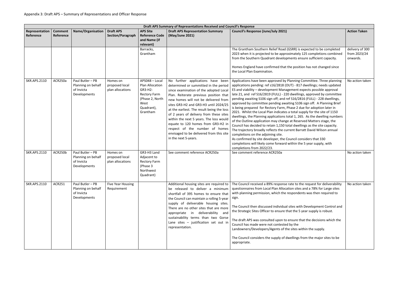|                             | Draft APS Summary of Representations Received and Council's Response |                                                                      |                                                |                                                                                                                          |                                                                                                                                                                                                                                                                                                                                                                                                                                                                                                                                 |                                                                                                                                                                                                                                                                                                                                                                                                                                                                                                                                                                                                                                                                                                                                                                                                                                                                                                                                                                                                                                                                                                                                          |                                             |  |  |  |  |
|-----------------------------|----------------------------------------------------------------------|----------------------------------------------------------------------|------------------------------------------------|--------------------------------------------------------------------------------------------------------------------------|---------------------------------------------------------------------------------------------------------------------------------------------------------------------------------------------------------------------------------------------------------------------------------------------------------------------------------------------------------------------------------------------------------------------------------------------------------------------------------------------------------------------------------|------------------------------------------------------------------------------------------------------------------------------------------------------------------------------------------------------------------------------------------------------------------------------------------------------------------------------------------------------------------------------------------------------------------------------------------------------------------------------------------------------------------------------------------------------------------------------------------------------------------------------------------------------------------------------------------------------------------------------------------------------------------------------------------------------------------------------------------------------------------------------------------------------------------------------------------------------------------------------------------------------------------------------------------------------------------------------------------------------------------------------------------|---------------------------------------------|--|--|--|--|
| Representation<br>Reference | <b>Comment</b><br>Reference                                          | <b>Name/Organisation</b>                                             | <b>Draft APS</b><br>Section/Paragraph          | <b>APS Site</b><br><b>Reference Code</b><br>and Name (if<br>relevant)                                                    | <b>Draft APS Representation Summary</b><br>(May/June 2021)                                                                                                                                                                                                                                                                                                                                                                                                                                                                      | <b>Council's Response (June/July 2021)</b>                                                                                                                                                                                                                                                                                                                                                                                                                                                                                                                                                                                                                                                                                                                                                                                                                                                                                                                                                                                                                                                                                               | <b>Action Taken</b>                         |  |  |  |  |
|                             |                                                                      |                                                                      |                                                | Barracks,<br>Grantham                                                                                                    |                                                                                                                                                                                                                                                                                                                                                                                                                                                                                                                                 | The Grantham Southern Relief Road (GSRR) is expected to be completed<br>2023 when it is projected to be approximately 125 completions combined<br>from the Southern Quadrant developments ensure sufficient capacity.<br>Homes England have confirmed that the position has not changed since<br>the Local Plan Examination.                                                                                                                                                                                                                                                                                                                                                                                                                                                                                                                                                                                                                                                                                                                                                                                                             | delivery of 300<br>from 2023/24<br>onwards. |  |  |  |  |
| <b>SKR.APS.2110</b>         | ACR250a                                                              | Paul Butler - PB<br>Planning on behalf<br>of Invicta<br>Developments | Homes on<br>proposed local<br>plan allocations | APS048 - Local<br>Plan Allocation<br>GR3-H2:<br><b>Rectory Farm</b><br>(Phase 2, North<br>West<br>Quadrant),<br>Grantham | No further applications have been<br>determined or summitted in the period<br>since examination of the adopted Local<br>Plan. Reiterate previous position that<br>new homes will not be delivered from<br>sites GR3-H2 and GR3-H3 until 2024/25<br>at the earliest. The result being the loss<br>of 2 years of delivery from these sites<br>within the next 5 years. The loss would<br>equate to 120 homes from GR3-H2 in<br>respect of the number of homes<br>envisaged to be delivered from this site<br>in the next 5-years. | Applications have been approved by Planning Committee. Three planning<br>applications pending: ref s16/2818 (OUT) - 817 dwellings; needs updated<br>ES and viability - development Management expects possible approval<br>late 21, and ref S16/2819 (FULL) - 220 dwellings, approved by committee<br>pending awaiting S106 sign off; and ref S16/2816 (FULL) - 228 dwellings,<br>approved by committee pending awaiting S106 sign off. A Planning Brief<br>is being prepared for Rectory Farm, Phase 2 due for adoption later in<br>2021. Whilst the Local Plan indicates a total supply for the site of 1150<br>dwellings, the Planning applications total 1, 265. As the dwelling numbers<br>of the Outline application may change at Reserved Matters stage, the<br>Council has decided to retain 1,150 total dwellings as the site capacity.<br>The trajectory broadly reflects the current Barratt David Wilson annual<br>completions on the adjoining site.<br>As confirmed by site developer, the Council considers that 330<br>completions will likely come forward within the 5 year supply, with<br>completions from 2022/23. | No action taken                             |  |  |  |  |
| <b>SKR.APS.2110</b>         | ACR250b                                                              | Paul Butler - PB<br>Planning on behalf<br>of Invicta<br>Developments | Homes on<br>proposed local<br>plan allocations | GR3-H3 Land<br>Adjacent to<br><b>Rectory Farm</b><br>(Phase 3<br>Northwest<br>Quadrant)                                  | See comment reference ACR250a                                                                                                                                                                                                                                                                                                                                                                                                                                                                                                   | See comment reference ACR250a                                                                                                                                                                                                                                                                                                                                                                                                                                                                                                                                                                                                                                                                                                                                                                                                                                                                                                                                                                                                                                                                                                            | No action taken                             |  |  |  |  |
| <b>SKR.APS.2110</b>         | <b>ACR251</b>                                                        | Paul Butler - PB<br>Planning on behalf<br>of Invicta<br>Developments | Five Year Housing<br>Requirement               |                                                                                                                          | Additional housing sites are required to<br>be released to deliver a minimum<br>shortfall of 395 homes to ensure that<br>the Council can maintain a rolling 5-year<br>supply of deliverable housing sites.<br>There are no other sites that are more<br>appropriate in deliverability and<br>sustainability terms than two Gorse<br>Lane sites - justification set out in<br>representation.                                                                                                                                    | The Council received a 89% response rate to the request for deliverability<br>questionnaires from Local Plan Allocation sites and a 78% for Large sites<br>with planning permission, which the respondents was then required to<br>sign.<br>The Council then discussed individual sites with Development Control and<br>the Strategic Sites Officer to ensure that the 5 year supply is robust.<br>The draft APS was consulted upon to ensure that the decisions which the<br>Council has made were not contested by the<br>Landowners/Developers/Agents of the sites within the supply.<br>The Council considers the supply of dwellings from the major sites to be<br>appropriate.                                                                                                                                                                                                                                                                                                                                                                                                                                                     | No action taken                             |  |  |  |  |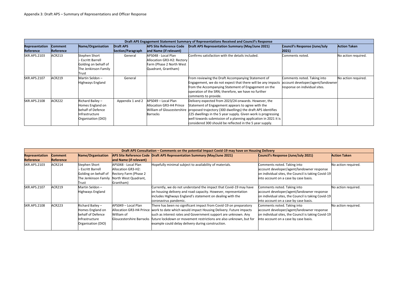|                       | Draft APS Engagement Statement Summary of Representations Received and Council's Response |                                                                                                  |                   |                                                                                                      |                                                                                                                                                                                                                                                                                                                                                                                                      |                                                                                                   |                     |  |  |  |  |  |
|-----------------------|-------------------------------------------------------------------------------------------|--------------------------------------------------------------------------------------------------|-------------------|------------------------------------------------------------------------------------------------------|------------------------------------------------------------------------------------------------------------------------------------------------------------------------------------------------------------------------------------------------------------------------------------------------------------------------------------------------------------------------------------------------------|---------------------------------------------------------------------------------------------------|---------------------|--|--|--|--|--|
| <b>Representation</b> | <b>Comment</b>                                                                            | Name/Organisation                                                                                | <b>Draft APS</b>  | <b>APS Site Reference Code</b>                                                                       | <b>Draft APS Representation Summary (May/June 2021)</b>                                                                                                                                                                                                                                                                                                                                              | Council's Response (June/July                                                                     | <b>Action Taken</b> |  |  |  |  |  |
| Reference             | <b>Reference</b>                                                                          |                                                                                                  | Section/Paragraph | and Name (if relevant)                                                                               |                                                                                                                                                                                                                                                                                                                                                                                                      | 2021)                                                                                             |                     |  |  |  |  |  |
| <b>SKR.APS.2103</b>   | ACR213                                                                                    | Stephen Short<br>- Escritt Barrell<br>Golding on behalf of<br>The Jenkinson Family<br>Trust      | General           | APS048 - Local Plan<br>Allocation GR3-H2: Rectory<br>Farm (Phase 2 North West<br>Quadrant, Grantham) | Confirms satisfaction with the details included.                                                                                                                                                                                                                                                                                                                                                     | Comments noted.                                                                                   | No action required. |  |  |  |  |  |
| <b>SKR.APS.2107</b>   | ACR219                                                                                    | Martin Seldon-<br>Highways England                                                               | General           |                                                                                                      | From reviewing the Draft Accompanying Statement of<br>Engagement, we do not expect that there will be any impacts<br>from the Accompanying Statement of Engagement on the<br>operation of the SRN; therefore, we have no further<br>comments to provide.                                                                                                                                             | Comments noted. Taking into<br>account developer/agent/landowner<br>response on individual sites. | No action required. |  |  |  |  |  |
| <b>SKR.APS.2108</b>   | ACR222                                                                                    | Richard Bailey -<br>Homes England on<br>behalf of Defence<br>nfrastructure<br>Organisation (DIO) | Appendix 1 and 2  | APS049 - Local Plan<br>Allocation GR3-H4 Prince<br><b>Barracks</b>                                   | Delivery expected from 2023/24 onwards. However, the<br>Statement of Engagement appears to agree with the<br>William of Gloucestershire proposed trajectory (300 dwellings) the draft APS identifies<br>225 dwellings in the 5 year supply. Given work is progressing<br>well towards submission of a planning application in 2021 it is<br>considered 300 should be reflected in the 5 year supply. |                                                                                                   |                     |  |  |  |  |  |

|                       | Draft APS Consultation - Comments on the potential Impact Covid-19 may have on Housing Delivery |                        |                                 |                                                                          |                                                     |                     |  |  |  |  |  |
|-----------------------|-------------------------------------------------------------------------------------------------|------------------------|---------------------------------|--------------------------------------------------------------------------|-----------------------------------------------------|---------------------|--|--|--|--|--|
| <b>Representation</b> | <b>Comment</b>                                                                                  | Name/Organisation      |                                 | APS Site Reference Code Draft APS Representation Summary (May/June 2021) | <b>Council's Response (June/July 2021)</b>          | <b>Action Taken</b> |  |  |  |  |  |
| <b>Reference</b>      | <b>Reference</b>                                                                                |                        | and Name (if relevant)          |                                                                          |                                                     |                     |  |  |  |  |  |
| <b>SKR.APS.2103</b>   | <b>ACR214</b>                                                                                   | Stephen Short          | APS048 - Local Plan             | Hopefully minimal subject to availability of materials.                  | Comments noted. Taking into                         | No action required. |  |  |  |  |  |
|                       |                                                                                                 | <b>Escritt Barrell</b> | Allocation GR3-H2:              |                                                                          | account developer/agent/landowner response          |                     |  |  |  |  |  |
|                       |                                                                                                 | Golding on behalf of   | Rectory Farm (Phase 2           |                                                                          | on individual sites, the Council is taking Covid-19 |                     |  |  |  |  |  |
|                       |                                                                                                 | The Jenkinson Family   | North West Quadrant,            |                                                                          | into account on a case by case basis.               |                     |  |  |  |  |  |
|                       |                                                                                                 | Trust                  | Grantham)                       |                                                                          |                                                     |                     |  |  |  |  |  |
| <b>SKR.APS.2107</b>   | ACR219                                                                                          | Martin Seldon -        |                                 | Currently, we do not understand the impact that Covid-19 may have        | Comments noted. Taking into                         | No action required. |  |  |  |  |  |
|                       |                                                                                                 | Highways England       |                                 | on housing delivery and road capacity. However, representation           | account developer/agent/landowner response          |                     |  |  |  |  |  |
|                       |                                                                                                 |                        |                                 | includes Highways England's statement on dealing with the                | on individual sites, the Council is taking Covid-19 |                     |  |  |  |  |  |
|                       |                                                                                                 |                        |                                 | coronavirus pandemic.                                                    | into account on a case by case basis.               |                     |  |  |  |  |  |
| <b>SKR.APS.2108</b>   | <b>ACR223</b>                                                                                   | Richard Bailey -       | APS049 - Local Plan             | There has been no significant impact from Covid-19 on preparatory        | Comments noted. Taking into                         | No action required. |  |  |  |  |  |
|                       |                                                                                                 | Homes England on       | <b>Allocation GR3-H4 Prince</b> | work to date which would impact Housing Delivery. Future impacts         | account developer/agent/landowner response          |                     |  |  |  |  |  |
|                       |                                                                                                 | behalf of Defence      | William of                      | such as interest rates and Government support are unknown. Any           | on individual sites, the Council is taking Covid-19 |                     |  |  |  |  |  |
|                       |                                                                                                 | Infrastructure         | <b>Gloucestershire Barracks</b> | future lockdown or movement restrictions are also unknown, but for       | into account on a case by case basis.               |                     |  |  |  |  |  |
|                       |                                                                                                 | Organisation (DIO)     |                                 | example could delay delivery during construction.                        |                                                     |                     |  |  |  |  |  |
|                       |                                                                                                 |                        |                                 |                                                                          |                                                     |                     |  |  |  |  |  |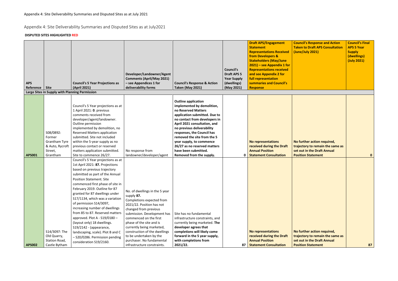## Appendix 4: Site Deliverability Summaries and Disputed Sites as at July2021

#### **DISPUTED SITES HIGHLIGHTED RED**

| <b>APS</b>       |                                                                                       | <b>Council's 5 Year Projections as</b>                                                                                                                                                                                                                                                                                                                                                                                                                                                                                                            | Developer/Landowner/Agent<br><b>Comments (April/May 2021)</b><br>- see Appendices 1 for                                                                                                                                                                                                                       | <b>Council's Response &amp; Action</b>                                                                                                                                                                                                                                                                                                                                                       | <b>Council's</b><br><b>Draft APS 5</b><br><b>Year Supply</b><br>(dwellings) | <b>Draft APS/Engagement</b><br><b>Statement</b><br><b>Representations Received</b><br>from Developers &<br><b>Stakeholders (May/June</b><br>$2021$ ) – see Appendix 1 for<br><b>Representations received</b><br>and see Appendix 2 for<br>full representation<br>summaries and Council's | <b>Council's Response and Action</b><br><b>Taken to Draft APS Consultation</b><br>(June/July 2021)                          | <b>Council's Final</b><br><b>APS 5 Year</b><br><b>Supply</b><br>(dwellings)<br>(July 2021) |
|------------------|---------------------------------------------------------------------------------------|---------------------------------------------------------------------------------------------------------------------------------------------------------------------------------------------------------------------------------------------------------------------------------------------------------------------------------------------------------------------------------------------------------------------------------------------------------------------------------------------------------------------------------------------------|---------------------------------------------------------------------------------------------------------------------------------------------------------------------------------------------------------------------------------------------------------------------------------------------------------------|----------------------------------------------------------------------------------------------------------------------------------------------------------------------------------------------------------------------------------------------------------------------------------------------------------------------------------------------------------------------------------------------|-----------------------------------------------------------------------------|------------------------------------------------------------------------------------------------------------------------------------------------------------------------------------------------------------------------------------------------------------------------------------------|-----------------------------------------------------------------------------------------------------------------------------|--------------------------------------------------------------------------------------------|
| Reference   Site | Large Sites in Supply with Planning Permission                                        | (April 2021)                                                                                                                                                                                                                                                                                                                                                                                                                                                                                                                                      | deliverability forms                                                                                                                                                                                                                                                                                          | <b>Taken (May 2021)</b>                                                                                                                                                                                                                                                                                                                                                                      | (May 2021)                                                                  | <b>Response</b>                                                                                                                                                                                                                                                                          |                                                                                                                             |                                                                                            |
|                  |                                                                                       |                                                                                                                                                                                                                                                                                                                                                                                                                                                                                                                                                   |                                                                                                                                                                                                                                                                                                               |                                                                                                                                                                                                                                                                                                                                                                                              |                                                                             |                                                                                                                                                                                                                                                                                          |                                                                                                                             |                                                                                            |
| <b>APS001</b>    | S08/0892:<br>Former<br><b>Grantham Tyre</b><br>& Auto, Rycroft<br>Street,<br>Grantham | Council's 5 Year projections as at<br>1 April 2021: 0. previous<br>comments received from<br>developer/agent/landowner.<br>Outline permission<br>implemented by demolition, no<br><b>Reserved Matters application</b><br>submitted. Site not included<br>within the 5-year supply as no<br>previous contact or reserved<br>matters application submitted.<br>Site to commence 26/27.                                                                                                                                                              | No response from<br>landowner/developer/agent                                                                                                                                                                                                                                                                 | <b>Outline application</b><br>implemented by demolition,<br>no Reserved Matters<br>application submitted. Due to<br>no contact from developers in<br>April 2021 consultation, and<br>no previous deliverability<br>responses, the Council has<br>removed the site from the 5<br>year supply, to commence<br>26/27 as no reserved matters<br>have been submitted.<br>Removed from the supply. |                                                                             | <b>No representations</b><br>received during the Draft<br><b>Annual Position</b><br>0   Statement Consultation                                                                                                                                                                           | No further action required,<br>trajectory to remain the same as<br>set out in the Draft Annual<br><b>Position Statement</b> | $\mathbf{0}$                                                                               |
|                  |                                                                                       | Council's 5 Year projections as at                                                                                                                                                                                                                                                                                                                                                                                                                                                                                                                |                                                                                                                                                                                                                                                                                                               |                                                                                                                                                                                                                                                                                                                                                                                              |                                                                             |                                                                                                                                                                                                                                                                                          |                                                                                                                             |                                                                                            |
|                  | S14/3097: The<br>Old Quarry,                                                          | 1st April 2021: 87. Projections<br>based on previous trajectory<br>submitted as part of the Annual<br><b>Position Statement. Site</b><br>commenced first phase of site in<br>February 2019. Outline for 87<br>granted for 87 dwellings under<br>S17/1134, which was a variation<br>of permission S14/3097,<br>increasing number of dwellings<br>from 85 to 87. Reserved matters<br>approved. Plot A - S19/0180 -<br>(layout only) 18 dwellings.<br>S19/2142 - (appearance,<br>landscaping, scale). Plot B and C<br>- S20/0286. Permission pending | No. of dwellings in the 5 year<br>supply 87.<br>Completions expected from<br>2021/22. Position has not<br>changed from previous<br>submission. Development has<br>commenced on the first<br>phase of the site and is<br>currently being marketed,<br>construction of the dwellings<br>to be undertaken by the | Site has no fundamental<br>infrastructure constraints, and<br>currently being marketed. The<br>developer agrees that<br>completions will likely come<br>forward in the 5 year supply,                                                                                                                                                                                                        |                                                                             | <b>No representations</b><br>received during the Draft                                                                                                                                                                                                                                   | No further action required,<br>trajectory to remain the same as                                                             |                                                                                            |
|                  | Station Road,                                                                         | consideration S19/2160.                                                                                                                                                                                                                                                                                                                                                                                                                                                                                                                           | purchaser. No fundamental                                                                                                                                                                                                                                                                                     | with completions from                                                                                                                                                                                                                                                                                                                                                                        |                                                                             | <b>Annual Position</b>                                                                                                                                                                                                                                                                   | set out in the Draft Annual                                                                                                 |                                                                                            |
| <b>APS002</b>    | Castle Bytham                                                                         |                                                                                                                                                                                                                                                                                                                                                                                                                                                                                                                                                   | infrastructure constraints.                                                                                                                                                                                                                                                                                   | 2021/22.                                                                                                                                                                                                                                                                                                                                                                                     |                                                                             | 87 Statement Consultation                                                                                                                                                                                                                                                                | <b>Position Statement</b>                                                                                                   | 87                                                                                         |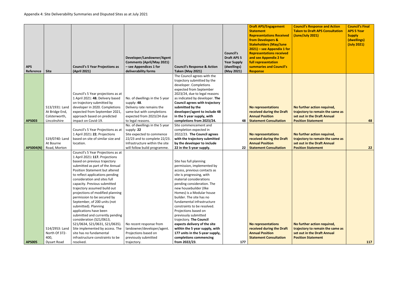| <b>APS</b><br>Reference | <b>Site</b>                                                       | <b>Council's 5 Year Projections as</b><br>(April 2021)                                                                                                                                                                                                                                                                                                                                                                                                                                                                                                                                                                                                                                   | Developer/Landowner/Agent<br><b>Comments (April/May 2021)</b><br>- see Appendices 1 for<br>deliverability forms                                                             | <b>Council's Response &amp; Action</b><br><b>Taken (May 2021)</b>                                                                                                                                                                                                                                                                                                                                                                                                                                                                                     | <b>Council's</b><br><b>Draft APS 5</b><br><b>Year Supply</b><br>(dwellings)<br>(May 2021) | <b>Draft APS/Engagement</b><br><b>Statement</b><br><b>Representations Received</b><br>from Developers &<br><b>Stakeholders (May/June</b><br>$2021$ ) – see Appendix 1 for<br><b>Representations received</b><br>and see Appendix 2 for<br>full representation<br>summaries and Council's<br><b>Response</b> | <b>Cour</b><br><b>Take</b><br>(Jun |
|-------------------------|-------------------------------------------------------------------|------------------------------------------------------------------------------------------------------------------------------------------------------------------------------------------------------------------------------------------------------------------------------------------------------------------------------------------------------------------------------------------------------------------------------------------------------------------------------------------------------------------------------------------------------------------------------------------------------------------------------------------------------------------------------------------|-----------------------------------------------------------------------------------------------------------------------------------------------------------------------------|-------------------------------------------------------------------------------------------------------------------------------------------------------------------------------------------------------------------------------------------------------------------------------------------------------------------------------------------------------------------------------------------------------------------------------------------------------------------------------------------------------------------------------------------------------|-------------------------------------------------------------------------------------------|-------------------------------------------------------------------------------------------------------------------------------------------------------------------------------------------------------------------------------------------------------------------------------------------------------------|------------------------------------|
| <b>APS003</b>           | S13/1931: Land<br>At Bridge End,<br>Colsterworth,<br>Lincolnshire | Council's 5 Year projections as at<br>1 April 2021: 48. Delivery based<br>on trajectory submitted by<br>developer in 2020. Completions<br>expected from September 2021,<br>approach based on predicted<br>impact on Covid-19.                                                                                                                                                                                                                                                                                                                                                                                                                                                            | No. of dwellings in the 5 year<br>supply: 48.<br>Delivery rate remains the<br>same but with completions<br>expected from 2023/24 due<br>to legal reasons.                   | The Council agrees with the<br>trajectory submitted by the<br>developer. Completions<br>expected from September<br>2023/24, due to legal reasons<br>as indicated by developer. The<br><b>Council agrees with trajectory</b><br>submitted by the<br>developer/agent to include 48<br>in the 5 year supply, with<br>completions from 2023/24.                                                                                                                                                                                                           | 48                                                                                        | No representations<br>received during the Draft<br><b>Annual Position</b><br><b>Statement Consultation</b>                                                                                                                                                                                                  | No f<br>traje<br>set c<br>Posi     |
| <b>APS004(N)</b>        | S19/0740: Land<br>At Bourne<br>Road, Morton                       | Council's 5 Year Projections as at<br>1 April 2021: 22. Projections<br>based on site of similar size and<br>location.                                                                                                                                                                                                                                                                                                                                                                                                                                                                                                                                                                    | No. of dwellings in the 5 year<br>supply: 22<br>Site expected to commence<br>22/23 and to complete 22/23.<br>Infrastructure within the site<br>will follow build programme. | Site commencement and<br>completion expected in<br>2022/23. The Council agrees<br>with the trajectory submitted<br>by the developer to include<br>22 in the 5-year supply.                                                                                                                                                                                                                                                                                                                                                                            | 22                                                                                        | <b>No representations</b><br>received during the Draft<br><b>Annual Position</b><br><b>Statement Consultation</b>                                                                                                                                                                                           | No f<br>traje<br>set c<br>Posi     |
| <b>APS005</b>           | S14/2953: Land<br>North Of 372-<br>400,<br><b>Dysart Road</b>     | Council's 5 Year Projections as at<br>1 April 2021: 117. Projections<br>based on previous trajectory<br>submitted as part of the Annual<br><b>Position Statement but altered</b><br>to reflect applications pending<br>consideration and sites full<br>capacity. Previous submitted<br>trajectory assumed build out<br>projections of modified planning<br>permission to be secured by<br>September, of 200 units (not<br>submitted). Planning<br>applications have been<br>submitted and currently pending<br>consideration (S21/0613,<br>S21/0634, S21/0631, S21/0635).<br>Site implemented by access. The<br>site has no fundamental<br>infrastructure constraints to be<br>resolved. | No recent response from<br>landowner/developer/agent.<br>Projections based on<br>previously submitted<br>trajectory.                                                        | Site has full planning<br>permission, implemented by<br>access, previous contacts as<br>site is progressing, with<br>material considerations<br>pending consideration. The<br>new housebuilder (Ilke<br>Homes) is a Modular house<br>builder. The site has no<br>fundamental infrastructure<br>constraints to be resolved.<br>Projections based on<br>previously submitted<br>trajectory. The Council<br>expects delivery of the site<br>within the 5 year supply, with<br>177 units in the 5-year supply,<br>completions commencing<br>from 2022/23. | 177                                                                                       | <b>No representations</b><br>received during the Draft<br><b>Annual Position</b><br><b>Statement Consultation</b>                                                                                                                                                                                           | No f<br>traje<br>set c<br>Posi     |

| <b>Council's Response and Action</b><br><b>Taken to Draft APS Consultation</b><br>(June/July 2021)                          | <b>Council's Final</b><br><b>APS 5 Year</b><br><b>Supply</b><br>(dwellings)<br>(July 2021) |
|-----------------------------------------------------------------------------------------------------------------------------|--------------------------------------------------------------------------------------------|
| No further action required,<br>trajectory to remain the same as<br>set out in the Draft Annual<br><b>Position Statement</b> | 48                                                                                         |
| No further action required,<br>trajectory to remain the same as<br>set out in the Draft Annual<br><b>Position Statement</b> | 22                                                                                         |
| No further action required,                                                                                                 |                                                                                            |
| trajectory to remain the same as<br>set out in the Draft Annual<br><b>Position Statement</b>                                | 117                                                                                        |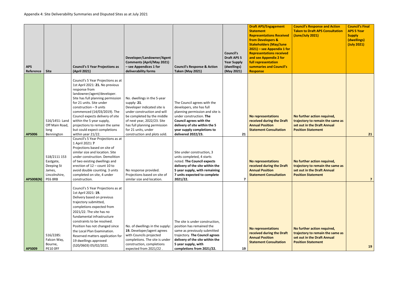| <b>APS</b><br>Reference | <b>Site</b>                                                                   | <b>Council's 5 Year Projections as</b><br>(April 2021)                                                                                                                                                                                                                                                                                                                                                   | Developer/Landowner/Agent<br><b>Comments (April/May 2021)</b><br>- see Appendices 1 for<br>deliverability forms                                                                                                                                                | <b>Council's Response &amp; Action</b><br><b>Taken (May 2021)</b>                                                                                                                                                                             | <b>Council's</b><br><b>Draft APS 5</b><br><b>Year Supply</b><br>(dwellings)<br>(May 2021) | <b>Draft APS/Engagement</b><br><b>Statement</b><br><b>Representations Received</b><br>from Developers &<br><b>Stakeholders (May/June</b><br>$2021$ ) – see Appendix 1 for<br><b>Representations received</b><br>and see Appendix 2 for<br>full representation<br>summaries and Council's<br><b>Response</b> | Cour<br><b>Take</b><br>(Jun           |
|-------------------------|-------------------------------------------------------------------------------|----------------------------------------------------------------------------------------------------------------------------------------------------------------------------------------------------------------------------------------------------------------------------------------------------------------------------------------------------------------------------------------------------------|----------------------------------------------------------------------------------------------------------------------------------------------------------------------------------------------------------------------------------------------------------------|-----------------------------------------------------------------------------------------------------------------------------------------------------------------------------------------------------------------------------------------------|-------------------------------------------------------------------------------------------|-------------------------------------------------------------------------------------------------------------------------------------------------------------------------------------------------------------------------------------------------------------------------------------------------------------|---------------------------------------|
| <b>APS006</b>           | S16/1451: Land<br>Off Main Road,<br>long<br>Bennington                        | Council's 5 Year Projections as at<br>1st April 2021: 21. No previous<br>response from<br>landowner/agent/developer.<br>Site has full planning permission<br>for 21 units. Site under<br>construction $-9$ units<br>commenced (14/03/2019). The<br>Council expects delivery of site<br>within the 5 year supply,<br>projections to remain the same<br>but could expect completions<br>within year 21/22. | No. dwellings in the 5-year<br>supply: $21.$<br>Developer indicated site is<br>under construction and will<br>be completed by the middle<br>of next year, 2022/23. Site<br>has full planning permission<br>for 21 units, under<br>construction and plots sold. | The Council agrees with the<br>developers, site has full<br>planning permission and site is<br>under construction. The<br><b>Council agrees with the</b><br>delivery of site within the 5<br>year supply completions to<br>delivered 2022/23. | 21                                                                                        | <b>No representations</b><br>received during the Draft<br><b>Annual Position</b><br><b>Statement Consultation</b>                                                                                                                                                                                           | No f<br>traje<br>set o<br><b>Posi</b> |
| <b>APS008(N)</b>        | S18/2111 153<br>Eastgate,<br>Deeping St<br>James,<br>Lincolnshire,<br>PE6 8RB | Council's 5 Year Projections as at<br>1 April 2021: 7<br>Projections based on site of<br>similar size and location. Site<br>under construction. Demolition<br>of two existing dwellings and<br>erection of 12 - count 10 to<br>avoid double counting. 3 units<br>completed on site, 4 under<br>construction.                                                                                             | No response provided.<br>Projections based on site of<br>similar size and location.                                                                                                                                                                            | Site under construction, 3<br>units completed, 4 starts<br>noted. The Council expects<br>delivery of the site within the<br>5 year supply, with remaining<br>7 units expected to complete<br>2021/22.                                         | $\overline{ }$                                                                            | <b>No representations</b><br>received during the Draft<br><b>Annual Position</b><br><b>Statement Consultation</b>                                                                                                                                                                                           | No f<br>traje<br>set o<br>Posi        |
| <b>APS009</b>           | S16/2285:<br>Falcon Way,<br>Bourne,<br><b>PE10 OFF</b>                        | Council's 5 Year Projections as at<br>1st April 2021: 19.<br>Delivery based on previous<br>trajectory submitted,<br>completions expected from<br>2021/22. The site has no<br>fundamental infrastructure<br>constraints to be resolved.<br>Position has not changed since<br>the Local Plan Examination.<br>Reserved matters application for<br>19 dwellings approved<br>(S20/0603) 05/02/2021.           | No. of dwellings in the supply:<br>19. Developer/agent agrees<br>with Councils projected<br>completions. The site is under<br>construction, completions<br>expected from 2021/22.                                                                              | The site is under construction,<br>position has remained the<br>same as previously submitted<br>trajectory. The Council agrees<br>delivery of the site within the<br>5 year supply, with<br>completions from 2021/22.                         | 19                                                                                        | <b>No representations</b><br>received during the Draft<br><b>Annual Position</b><br><b>Statement Consultation</b>                                                                                                                                                                                           | No f<br>traje<br>set o<br><b>Posi</b> |

| <b>Council's Response and Action</b><br><b>Taken to Draft APS Consultation</b><br>(June/July 2021)                          | <b>Council's Final</b><br><b>APS 5 Year</b><br><b>Supply</b><br>(dwellings)<br>(July 2021) |
|-----------------------------------------------------------------------------------------------------------------------------|--------------------------------------------------------------------------------------------|
| No further action required,<br>trajectory to remain the same as<br>set out in the Draft Annual<br><b>Position Statement</b> | 21                                                                                         |
| No further action required,<br>trajectory to remain the same as<br>set out in the Draft Annual<br><b>Position Statement</b> | 7                                                                                          |
| No further action required,<br>trajectory to remain the same as<br>set out in the Draft Annual<br><b>Position Statement</b> | 19                                                                                         |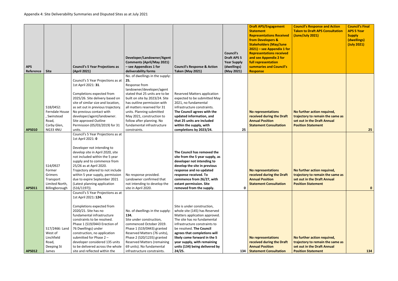| <b>APS</b><br>Reference | <b>Site</b>                                                                           | <b>Council's 5 Year Projections as</b><br>(April 2021)                                                                                                                                                                                                                                                                                                                                                 | Developer/Landowner/Agent<br><b>Comments (April/May 2021)</b><br>- see Appendices 1 for<br>deliverability forms                                                                                                                                                                                                                                             | <b>Council's Response &amp; Action</b><br><b>Taken (May 2021)</b>                                                                                                                                                                                                                                                                    | <b>Council's</b><br><b>Draft APS 5</b><br><b>Year Supply</b><br>(dwellings)<br>(May 2021) | <b>Draft APS/Engagement</b><br><b>Statement</b><br><b>Representations Received</b><br>from Developers &<br><b>Stakeholders (May/June</b><br>$2021$ ) – see Appendix 1 for<br><b>Representations received</b><br>and see Appendix 2 for<br>full representation<br>summaries and Council's<br><b>Response</b> | Cou<br><b>Take</b><br>(Jun     |
|-------------------------|---------------------------------------------------------------------------------------|--------------------------------------------------------------------------------------------------------------------------------------------------------------------------------------------------------------------------------------------------------------------------------------------------------------------------------------------------------------------------------------------------------|-------------------------------------------------------------------------------------------------------------------------------------------------------------------------------------------------------------------------------------------------------------------------------------------------------------------------------------------------------------|--------------------------------------------------------------------------------------------------------------------------------------------------------------------------------------------------------------------------------------------------------------------------------------------------------------------------------------|-------------------------------------------------------------------------------------------|-------------------------------------------------------------------------------------------------------------------------------------------------------------------------------------------------------------------------------------------------------------------------------------------------------------|--------------------------------|
| <b>APS010</b>           | S18/0452:<br>Ferndale House<br>, Swinstead<br>Road,<br>Corby Glen,<br><b>NG33 4NU</b> | Council's 5 Year Projections as at<br>1st April 2021: 31.<br>Completions expected from<br>2025/26. Site delivery based on<br>site of similar size and location,<br>as set out in previous trajectory.<br>No previous contact with<br>developer/agent/landowner.<br>Site approved Outline<br>Permission (05/03/2019) for 31<br>units.                                                                   | No. of dwellings in the supply:<br>25.<br>Response from<br>landowner/developer/agent<br>stated that 25 units are to be<br>built on site by 2023/24. Site<br>has outline permission with<br>all matters reserved for 31<br>units. Planning submitted<br>May 2021, construction to<br>follow after planning. No<br>fundamental infrastructure<br>constraints. | <b>Reserved Matters application</b><br>expected to be submitted May<br>2021, no fundamental<br>infrastructure constraints.<br>The Council agrees with the<br>updated information, and<br>that 25 units are included<br>within the supply, with<br>completions by 2023/24.                                                            | 25                                                                                        | <b>No representations</b><br>received during the Draft<br><b>Annual Position</b><br><b>Statement Consultation</b>                                                                                                                                                                                           | No f<br>traje<br>set o<br>Posi |
| <b>APS011</b>           | S14/0927<br>Former<br>Grimers<br>Transport<br>Limited North,<br>Billingborough        | Council's 5 Year Projections as at<br>1st April 2021: 0<br>Developer not intending to<br>develop site in April 2020, site<br>not included within the 5 year<br>supply and to commence from<br>25/26 as at April 2020.<br>Trajectory altered to not include<br>within 5 year supply, permission<br>due to expire September 2021<br>(Latest planning application<br>(S16/1197)).                         | No response provided.<br>Landowner confirmed that<br>not intending to develop the<br>site in April 2020.                                                                                                                                                                                                                                                    | The Council has removed the<br>site from the 5 year supply, as<br>developer not intending to<br>develop the site in previous<br>response and no updated<br>response received. To<br>commence from 26/27, with<br>extant permission. Site<br>removed from the supply.                                                                 | 0                                                                                         | <b>No representations</b><br>received during the Draft<br><b>Annual Position</b><br><b>Statement Consultation</b>                                                                                                                                                                                           | No f<br>trajo<br>set o<br>Posi |
| <b>APS012</b>           | S17/2466: Land<br>West of<br>Linchfield<br>Road,<br>Deeping St<br>James               | Council's 5 Year Projections as at<br>1st April 2021: 124.<br>Completions expected from<br>2020/21. Site has no<br>fundamental infrastructure<br>constraints to be resolved.<br>Phase 1 (S19/0443 Erection of<br>76 Dwellings) under<br>construction, no application<br>submitted for Phase 2 -<br>developer considered 135 units<br>to be delivered across the whole<br>site and reflected within the | No. of dwellings in the supply:<br>134.<br>Site under construction,<br>commenced October 2019.<br>Phase 1 (S19/0443) granted<br>Reserved Matters (76 units),<br>Phase 2 (S20/1235) granted<br><b>Reserved Matters (remaining</b><br>69 units). No fundamental<br>infrastructure constraints.                                                                | Site is under construction,<br>whole site (145) has Reserved<br>Matters application approved.<br>The site has no fundamental<br>infrastructure constraints to<br>be resolved. The Council<br>agrees that completions will<br>likely come forward in the 5<br>year supply, with remaining<br>units (134) being delivered by<br>24/25. | 134                                                                                       | <b>No representations</b><br>received during the Draft<br><b>Annual Position</b><br><b>Statement Consultation</b>                                                                                                                                                                                           | No f<br>traje<br>set o<br>Posi |

| <b>Council's Response and Action</b><br><b>Taken to Draft APS Consultation</b><br>(June/July 2021)                          | <b>Council's Final</b><br><b>APS 5 Year</b><br><b>Supply</b><br>(dwellings)<br>(July 2021) |
|-----------------------------------------------------------------------------------------------------------------------------|--------------------------------------------------------------------------------------------|
| No further action required,<br>trajectory to remain the same as<br>set out in the Draft Annual<br><b>Position Statement</b> | 25                                                                                         |
| No further action required,<br>trajectory to remain the same as<br>set out in the Draft Annual<br><b>Position Statement</b> | 0                                                                                          |
| No further action required,<br>trajectory to remain the same as<br>set out in the Draft Annual<br><b>Position Statement</b> | 134                                                                                        |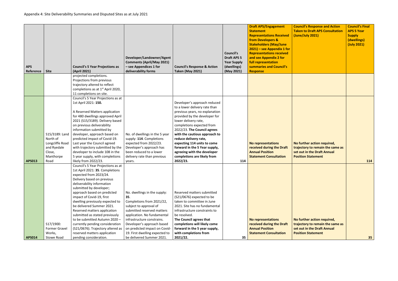|               |                         |                                               |                                                             |                                        |                    | <b>Draft APS/Engagement</b>                          | <b>Council's Response and Action</b>                            | <b>Council's Final</b>     |
|---------------|-------------------------|-----------------------------------------------|-------------------------------------------------------------|----------------------------------------|--------------------|------------------------------------------------------|-----------------------------------------------------------------|----------------------------|
|               |                         |                                               |                                                             |                                        |                    | <b>Statement</b>                                     | <b>Taken to Draft APS Consultation</b>                          | <b>APS 5 Year</b>          |
|               |                         |                                               |                                                             |                                        |                    | <b>Representations Received</b><br>from Developers & | (June/July 2021)                                                | <b>Supply</b>              |
|               |                         |                                               |                                                             |                                        |                    | <b>Stakeholders (May/June</b>                        |                                                                 | (dwellings)<br>(July 2021) |
|               |                         |                                               |                                                             |                                        |                    | $2021$ ) – see Appendix 1 for                        |                                                                 |                            |
|               |                         |                                               |                                                             |                                        | Council's          | <b>Representations received</b>                      |                                                                 |                            |
|               |                         |                                               | Developer/Landowner/Agent                                   |                                        | <b>Draft APS 5</b> | and see Appendix 2 for                               |                                                                 |                            |
|               |                         |                                               | <b>Comments (April/May 2021)</b>                            |                                        | <b>Year Supply</b> | full representation                                  |                                                                 |                            |
| <b>APS</b>    |                         | <b>Council's 5 Year Projections as</b>        | - see Appendices 1 for                                      | <b>Council's Response &amp; Action</b> | (dwellings)        | summaries and Council's                              |                                                                 |                            |
| Reference     | <b>Site</b>             | (April 2021)                                  | deliverability forms                                        | <b>Taken (May 2021)</b>                | (May 2021)         | <b>Response</b>                                      |                                                                 |                            |
|               |                         | projected completions.                        |                                                             |                                        |                    |                                                      |                                                                 |                            |
|               |                         | Projections from previous                     |                                                             |                                        |                    |                                                      |                                                                 |                            |
|               |                         | trajectory altered to reflect                 |                                                             |                                        |                    |                                                      |                                                                 |                            |
|               |                         | completions as at 1 <sup>st</sup> April 2020, |                                                             |                                        |                    |                                                      |                                                                 |                            |
|               |                         | 11 completions on site.                       |                                                             |                                        |                    |                                                      |                                                                 |                            |
|               |                         | Council's 5 Year Projections as at            |                                                             |                                        |                    |                                                      |                                                                 |                            |
|               |                         | 1st April 2021: 150.                          |                                                             | Developer's approach reduced           |                    |                                                      |                                                                 |                            |
|               |                         |                                               |                                                             | to a lower delivery rate than          |                    |                                                      |                                                                 |                            |
|               |                         | A Reserved Matters application                |                                                             | previous years, no explanation         |                    |                                                      |                                                                 |                            |
|               |                         | for 480 dwellings approved April              |                                                             | provided by the developer for          |                    |                                                      |                                                                 |                            |
|               |                         | 2021 (S15/3189). Delivery based               |                                                             | lower delivery rate,                   |                    |                                                      |                                                                 |                            |
|               |                         | on previous deliverability                    |                                                             | completions expected from              |                    |                                                      |                                                                 |                            |
|               |                         | information submitted by                      |                                                             | 2022/23. The Council agrees            |                    |                                                      |                                                                 |                            |
|               | S15/3189: Land          | developer, approach based on                  | No. of dwellings in the 5 year                              | with the cautious approach to          |                    |                                                      |                                                                 |                            |
|               | North of                | predicted impact of Covid-19.                 | supply: 114. Completions                                    | reduce delivery rate,                  |                    |                                                      |                                                                 |                            |
|               | Longcliffe Road         | Last year the Council agreed                  | expected from 2022/23.                                      | expecting 114 units to come            |                    | <b>No representations</b>                            | No further action required,                                     |                            |
|               | and Ryedale             | with trajectory submitted by the              | Developer's approach has                                    | forward in the 5 Year supply,          |                    | received during the Draft                            | trajectory to remain the same as                                |                            |
|               | Close,                  | developer to include 108 in the               | been reduced to a lower                                     | agreeing with the developer            |                    | <b>Annual Position</b>                               | set out in the Draft Annual                                     |                            |
|               | Manthorpe               | 5 year supply, with completions               | delivery rate than previous                                 | completions are likely from            |                    | <b>Statement Consultation</b>                        | <b>Position Statement</b>                                       |                            |
| <b>APS013</b> | Road                    | likely from 2022/23.                          | years.                                                      | 2022/23.                               | 114                |                                                      |                                                                 | 114                        |
|               |                         | Council's 5 Year Projections as at            |                                                             |                                        |                    |                                                      |                                                                 |                            |
|               |                         | 1st April 2021: 35. Completions               |                                                             |                                        |                    |                                                      |                                                                 |                            |
|               |                         | expected from 2023/24.                        |                                                             |                                        |                    |                                                      |                                                                 |                            |
|               |                         | Delivery based on previous                    |                                                             |                                        |                    |                                                      |                                                                 |                            |
|               |                         | deliverability information                    |                                                             |                                        |                    |                                                      |                                                                 |                            |
|               |                         | submitted by developer;                       |                                                             |                                        |                    |                                                      |                                                                 |                            |
|               |                         | approach based on predicted                   | No. dwellings in the supply:                                | Reserved matters submitted             |                    |                                                      |                                                                 |                            |
|               |                         | impact of Covid-19, first                     | 35.                                                         | (S21/0676) expected to be              |                    |                                                      |                                                                 |                            |
|               |                         | dwelling previously expected to               | Completions from 2021/22,                                   | taken to committee in June             |                    |                                                      |                                                                 |                            |
|               |                         | be delivered Summer 2021.                     | subject to approval of                                      | 2021. Site has no fundamental          |                    |                                                      |                                                                 |                            |
|               |                         | Reserved matters application                  | submitted reserved matters                                  | infrastructure constraints to          |                    |                                                      |                                                                 |                            |
|               |                         | submitted as stated previously                | application. No fundamental                                 | be resolved.                           |                    |                                                      |                                                                 |                            |
|               |                         | to be submitted Autumn 2020 -                 | infrastructure constrains.                                  | The Council agrees that                |                    | <b>No representations</b>                            | No further action required,                                     |                            |
|               | S17/1900:               | currently pending consideration               | Developer's approach based                                  | completions will likely come           |                    | received during the Draft<br><b>Annual Position</b>  | trajectory to remain the same as<br>set out in the Draft Annual |                            |
|               | Former Gravel<br>Works, | (S21/0676). Trajectory altered as             | on predicted impact on Covid-                               | forward in the 5 year supply,          |                    | <b>Statement Consultation</b>                        | <b>Position Statement</b>                                       |                            |
|               | <b>Stowe Road</b>       | reserved matters application                  | 19. First dwelling expected to<br>be delivered Summer 2021. | with completions from                  |                    |                                                      |                                                                 |                            |
| <b>APS014</b> |                         | pending consideration.                        |                                                             | 2021/22.                               | 35                 |                                                      |                                                                 | 35                         |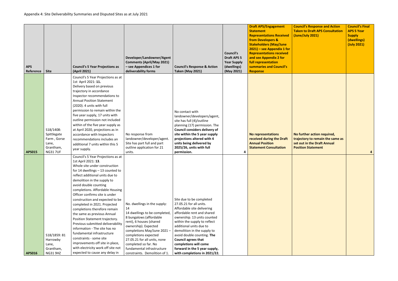| <b>Council's Response and Action</b><br><b>Taken to Draft APS Consultation</b><br>(June/July 2021)                          | <b>Council's Final</b><br><b>APS 5 Year</b><br><b>Supply</b><br>(dwellings)<br>(July 2021) |
|-----------------------------------------------------------------------------------------------------------------------------|--------------------------------------------------------------------------------------------|
| No further action required,<br>trajectory to remain the same as<br>set out in the Draft Annual<br><b>Position Statement</b> | 4                                                                                          |
|                                                                                                                             |                                                                                            |

| <b>APS</b><br>Reference | <b>Site</b>                                                                     | <b>Council's 5 Year Projections as</b><br>(April 2021)                                                                                                                                                                                                                                                                                                                                                                                                                                                                                                                                                                                                                                                        | Developer/Landowner/Agent<br><b>Comments (April/May 2021)</b><br>- see Appendices 1 for<br>deliverability forms                                                                                                                                                                                                                 | <b>Council's Response &amp; Action</b><br><b>Taken (May 2021)</b>                                                                                                                                                                                                                                                                                                                              | <b>Council's</b><br><b>Draft APS 5</b><br><b>Year Supply</b><br>(dwellings)<br>(May 2021) | <b>Draft APS/Engagement</b><br><b>Statement</b><br><b>Representations Received</b><br>from Developers &<br><b>Stakeholders (May/June</b><br>$2021$ ) – see Appendix 1 for<br><b>Representations received</b><br>and see Appendix 2 for<br>full representation<br>summaries and Council's<br><b>Response</b> | Cou<br>Tak<br>(Jun          |
|-------------------------|---------------------------------------------------------------------------------|---------------------------------------------------------------------------------------------------------------------------------------------------------------------------------------------------------------------------------------------------------------------------------------------------------------------------------------------------------------------------------------------------------------------------------------------------------------------------------------------------------------------------------------------------------------------------------------------------------------------------------------------------------------------------------------------------------------|---------------------------------------------------------------------------------------------------------------------------------------------------------------------------------------------------------------------------------------------------------------------------------------------------------------------------------|------------------------------------------------------------------------------------------------------------------------------------------------------------------------------------------------------------------------------------------------------------------------------------------------------------------------------------------------------------------------------------------------|-------------------------------------------------------------------------------------------|-------------------------------------------------------------------------------------------------------------------------------------------------------------------------------------------------------------------------------------------------------------------------------------------------------------|-----------------------------|
| <b>APS015</b>           | S18/1408:<br>Spittlegate<br>Farm, Gorse<br>Lane,<br>Grantham,<br><b>NG317UF</b> | Council's 5 Year Projections as at<br>1st April 2021: 11.<br>Delivery based on previous<br>trajectory in accordance<br>Inspector recommendations to<br><b>Annual Position Statement</b><br>(2020). 4 units with full<br>permission to remain within the<br>five year supply, 17 units with<br>outline permission not included<br>within of the five year supply as<br>at April 2020, projections as in<br>accordance with Inspectors<br>recommendations includes an<br>additional 7 units within this 5<br>year supply.                                                                                                                                                                                       | No response from<br>landowner/developer/agent.<br>Site has part full and part<br>outline application for 21<br>units.                                                                                                                                                                                                           | No contact with<br>landowner/developers/agent,<br>site has full (4)/outline<br>planning (17) permission. The<br>Council considers delivery of<br>site within the 5 year supply<br>projections altered with 4<br>units being delivered by<br>2025/26, units with full<br>permission.                                                                                                            | 4                                                                                         | <b>No representations</b><br>received during the Draft<br><b>Annual Position</b><br><b>Statement Consultation</b>                                                                                                                                                                                           | No f<br>traj<br>set<br>Posi |
| <b>APS016</b>           | S18/1859: 81<br>Harrowby<br>Lane,<br>Grantham,<br><b>NG31 9HZ</b>               | Council's 5 Year Projections as at<br>1st April 2021: 13.<br>Whole site under construction<br>for 14 dwellings $-13$ counted to<br>reflect additional units due to<br>demolition in the supply to<br>avoid double counting<br>completions. Affordable Housing<br>Officer confirms site is under<br>construction and expected to be<br>completed in 2021. Projected<br>completions therefore remain<br>the same as previous Annual<br>Position Statement trajectory.<br>Previous submitted deliverability<br>information - The site has no<br>fundamental infrastructure<br>constraints - some site<br>improvements off site in place,<br>with electricity work off site not<br>expected to cause any delay in | No. dwellings in the supply:<br>14<br>14 dwellings to be completed,<br>8 bungalows (affordable<br>rent), 6 houses (shared<br>ownership). Expected<br>completions May/June 2021 -<br>completions expected<br>27.05.21 for all units, none<br>completed so far. No<br>fundamental infrastructure<br>constraints. Demolition of 1. | Site due to be completed<br>27.05.21 for all units.<br>Affordable site delivering<br>affordable rent and shared<br>ownership. 13 units counted<br>within the supply to reflect<br>additional units due to<br>demolition in the supply to<br>avoid double counting. The<br><b>Council agrees that</b><br>completions will come<br>forward in the 5 year supply,<br>with completions in 2021/22. |                                                                                           |                                                                                                                                                                                                                                                                                                             |                             |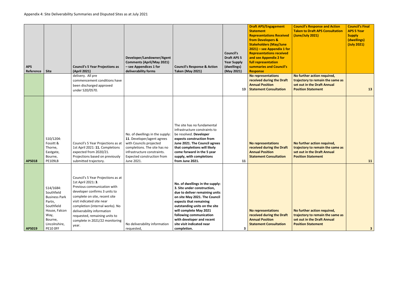| <b>Council's Response and Action</b><br><b>Taken to Draft APS Consultation</b><br>(June/July 2021)                          | <b>Council's Final</b><br><b>APS 5 Year</b><br><b>Supply</b><br>(dwellings)<br>(July 2021) |
|-----------------------------------------------------------------------------------------------------------------------------|--------------------------------------------------------------------------------------------|
| No further action required,<br>trajectory to remain the same as<br>set out in the Draft Annual<br><b>Position Statement</b> | 13                                                                                         |
| No further action required,<br>trajectory to remain the same as<br>set out in the Draft Annual<br><b>Position Statement</b> | 11                                                                                         |
| No further action required,<br>trajectory to remain the same as<br>set out in the Draft Annual<br><b>Position Statement</b> | 3                                                                                          |

| <b>APS</b><br>Reference | <b>Site</b>                                                                                                                                     | <b>Council's 5 Year Projections as</b><br>(April 2021)                                                                                                                                                                                                                                                                              | Developer/Landowner/Agent<br><b>Comments (April/May 2021)</b><br>- see Appendices 1 for<br>deliverability forms                                                                                     | <b>Council's Response &amp; Action</b><br><b>Taken (May 2021)</b>                                                                                                                                                                                                                                                          | <b>Council's</b><br><b>Draft APS 5</b><br><b>Year Supply</b><br>(dwellings)<br>(May 2021) | <b>Draft APS/Engagement</b><br><b>Statement</b><br><b>Representations Received</b><br><b>from Developers &amp;</b><br><b>Stakeholders (May/June</b><br>$2021$ ) – see Appendix 1 for<br><b>Representations received</b><br>and see Appendix 2 for<br>full representation<br>summaries and Council's<br><b>Response</b> | Cour<br><b>Take</b><br>(Jun            |
|-------------------------|-------------------------------------------------------------------------------------------------------------------------------------------------|-------------------------------------------------------------------------------------------------------------------------------------------------------------------------------------------------------------------------------------------------------------------------------------------------------------------------------------|-----------------------------------------------------------------------------------------------------------------------------------------------------------------------------------------------------|----------------------------------------------------------------------------------------------------------------------------------------------------------------------------------------------------------------------------------------------------------------------------------------------------------------------------|-------------------------------------------------------------------------------------------|------------------------------------------------------------------------------------------------------------------------------------------------------------------------------------------------------------------------------------------------------------------------------------------------------------------------|----------------------------------------|
|                         |                                                                                                                                                 | delivery. All pre<br>commencement conditions have<br>been discharged approved<br>under S20/0570.                                                                                                                                                                                                                                    |                                                                                                                                                                                                     |                                                                                                                                                                                                                                                                                                                            | 13                                                                                        | <b>No representations</b><br>received during the Draft<br><b>Annual Position</b><br><b>Statement Consultation</b>                                                                                                                                                                                                      | No f<br>traje<br>set o<br><b>Posit</b> |
| <b>APS018</b>           | S10/1204:<br>Fossitt &<br>Thorne,<br>Eastgate,<br>Bourne,<br><b>PE109LB</b>                                                                     | Council's 5 Year Projections as at<br>1st April 2021: 11. Completions<br>expected from 2020/21.<br>Projections based on previously<br>submitted trajectory.                                                                                                                                                                         | No. of dwellings in the supply:<br>11. Developer/agent agrees<br>with Councils projected<br>completions. The site has no<br>infrastructure constraints.<br>Expected construction from<br>June 2021. | The site has no fundamental<br>infrastructure constraints to<br>be resolved. Developer<br>expects construction from<br>June 2021. The Council agrees<br>that completions will likely<br>come forward in the 5 year<br>supply, with completions<br>from June 2021.                                                          | 11                                                                                        | <b>No representations</b><br>received during the Draft<br><b>Annual Position</b><br><b>Statement Consultation</b>                                                                                                                                                                                                      | No f<br>traje<br>set o<br><b>Posit</b> |
| <b>APS019</b>           | S14/1684:<br>Southfield<br><b>Business Park</b><br>Partn,<br>Southfield<br>House, Falcon<br>Way,<br>Bourne,<br>Lincolnshire,<br><b>PE10 OFF</b> | Council's 5 Year Projections as at<br>1st April 2021: 3.<br>Previous communication with<br>developer confirms 3 units to<br>complete on site, recent site<br>visit indicated site near<br>completion (internal works). No<br>deliverability information<br>requested, remaining units to<br>complete in 2021/22 monitoring<br>year. | No deliverability information<br>requested,                                                                                                                                                         | No. of dwellings in the supply:<br>3. Site under construction,<br>due to deliver remaining units<br>on site May 2021. The Council<br>expects that remaining<br>outstanding units on the site<br>will complete May 2021<br>following communication<br>with developer and recent<br>site visit indicated near<br>completion. | з                                                                                         | <b>No representations</b><br>received during the Draft<br><b>Annual Position</b><br><b>Statement Consultation</b>                                                                                                                                                                                                      | No f<br>traje<br>set o<br><b>Posit</b> |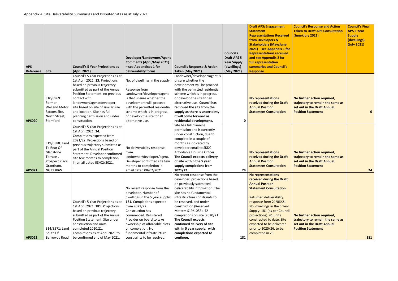| <b>Site</b>                                                                                              | <b>Council's 5 Year Projections as</b><br>(April 2021)                                                                                                                                                                                                                                                                          | Developer/Landowner/Agent<br><b>Comments (April/May 2021)</b><br>- see Appendices 1 for                                                                                                                                                                                                            | <b>Council's Response &amp; Action</b><br><b>Taken (May 2021)</b>                                                                                                                                                                                                                                                                                                                                                        | <b>Council's</b><br><b>Draft APS 5</b><br><b>Year Supply</b><br>(dwellings) | <b>Draft APS/Engagement</b><br><b>Statement</b><br><b>Representations Received</b><br>from Developers &<br><b>Stakeholders (May/June</b><br>$2021$ ) – see Appendix 1 for<br><b>Representations received</b><br>and see Appendix 2 for<br>full representation<br>summaries and Council's<br><b>Response</b>                                                             | Cour<br><b>Take</b><br>(Jun    |
|----------------------------------------------------------------------------------------------------------|---------------------------------------------------------------------------------------------------------------------------------------------------------------------------------------------------------------------------------------------------------------------------------------------------------------------------------|----------------------------------------------------------------------------------------------------------------------------------------------------------------------------------------------------------------------------------------------------------------------------------------------------|--------------------------------------------------------------------------------------------------------------------------------------------------------------------------------------------------------------------------------------------------------------------------------------------------------------------------------------------------------------------------------------------------------------------------|-----------------------------------------------------------------------------|-------------------------------------------------------------------------------------------------------------------------------------------------------------------------------------------------------------------------------------------------------------------------------------------------------------------------------------------------------------------------|--------------------------------|
| S10/0969:<br>Former<br><b>Welland Motor</b><br>Factors Site,<br>North Street,                            | Council's 5 Year Projections as at<br>1st April 2021: 13. Projections<br>based on previous trajectory<br>submitted as part of the Annual<br>Position Statement, no previous<br>contact with<br>landowner/agent/developer,<br>site based on site of similar size<br>and location. Site has full<br>planning permission and under | No. of dwellings in the supply:<br>0<br>Response from<br>Landowner/developer/agent<br>is that unsure whether the<br>development will proceed<br>with the permitted residential<br>scheme which is in progress,<br>or develop the site for an                                                       | Landowner/developer/agent is<br>unsure whether the<br>development will be proceed<br>with the permitted residential<br>scheme which is in progress,<br>or develop the site for an<br>alternative use. Council has<br>removed the site from the<br>supply as there is uncertainty<br>it will come forward as                                                                                                              | 0                                                                           | <b>No representations</b><br>received during the Draft<br><b>Annual Position</b><br><b>Statement Consultation</b>                                                                                                                                                                                                                                                       | No f<br>traje<br>set c<br>Posi |
| S19/0588: Land<br>To Rear Of<br>Gladstone<br>Terrace,<br>Prospect Place,<br>Grantham,<br><b>NG31 8BW</b> | Council's 5 Year Projections as at<br>1st April 2021: 24.<br>Completions expected from<br>2021/22. Projections based on<br>previous trajectory submitted as<br>part of the Annual Position<br>Statement. Developer confirmed<br>site few months to completion<br>in email dated 08/02/2021.                                     | No deliverability response<br>from<br>landowner/developer/agent.<br>Developer confirmed site few<br>months to completion in<br>email dated 08/02/2021.                                                                                                                                             | Site has full planning<br>permission and is currently<br>under construction, due to<br>complete in a couple of<br>months as indicated by<br>developer email to SKDC<br>Affordable Housing Officer.<br>The Council expects delivery<br>of site within the 5 year<br>supply completions from                                                                                                                               | 24                                                                          | <b>No representations</b><br>received during the Draft<br><b>Annual Position</b><br><b>Statement Consultation</b>                                                                                                                                                                                                                                                       | No f<br>traje<br>set c<br>Posi |
| S14/3571: Land<br>South Of                                                                               | Council's 5 Year Projections as at<br>1st April 2021: 181. Projections<br>based on previous trajectory<br>submitted as part of the Annual<br>Position Statement. Site under<br>construction and units<br>completed 2020.21.<br>Completions as at April 2021 to                                                                  | No recent response from the<br>developer. Number of<br>dwellings in the 5 year supply:<br>181. Completions expected<br>from 2021/22.<br>Construction has<br>commenced. Registered<br>Provider on board to take<br>ownership of affordable plots<br>on completion. No<br>fundamental infrastructure | No recent response from the<br>developer, projections based<br>on previously submitted<br>deliverability information. The<br>site has no fundamental<br>infrastructure constraints to<br>be resolved, and under<br>construction (Reserved<br>Matters S19/1056), 42<br>completions on site (2020/21)<br><b>The Council expects</b><br>continued delivery of site<br>within 5 year supply, with<br>completions expected to |                                                                             | No representations<br>received during the Draft<br><b>Annual Position</b><br><b>Statement Consultation.</b><br><b>Returned deliverability</b><br>response form 21/06/21<br>No. dwellings in the 5 Year<br>Supply: 181 (as per Council<br>projections). 41 units<br>constructed to date. Site<br>expected to be delivered<br>prior to 2025/26, to be<br>completed in 23. | No f<br>traje<br>set c<br>Posi |
|                                                                                                          | Reference<br>Stamford<br>Barrowby Road                                                                                                                                                                                                                                                                                          | construction.<br>be confirmed end of May 2021.                                                                                                                                                                                                                                                     | deliverability forms<br>alternative use.<br>constraints to be resolved.                                                                                                                                                                                                                                                                                                                                                  | residential development.<br>2021/22.<br>continue.                           | (May 2021)<br>181                                                                                                                                                                                                                                                                                                                                                       |                                |

| <b>Council's Response and Action</b><br><b>Taken to Draft APS Consultation</b><br>(June/July 2021)                          | <b>Council's Final</b><br><b>APS 5 Year</b><br><b>Supply</b><br>(dwellings)<br>(July 2021) |
|-----------------------------------------------------------------------------------------------------------------------------|--------------------------------------------------------------------------------------------|
| No further action required,<br>trajectory to remain the same as<br>set out in the Draft Annual<br><b>Position Statement</b> | 0                                                                                          |
| No further action required,<br>trajectory to remain the same as<br>set out in the Draft Annual<br><b>Position Statement</b> | 24                                                                                         |
| No further action required,<br>trajectory to remain the same as<br>set out in the Draft Annual<br><b>Position Statement</b> | 181                                                                                        |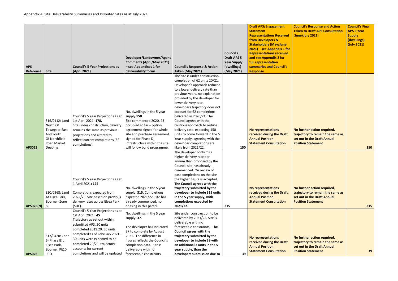| <b>APS</b><br>Reference | <b>Site</b>                                                                                            | <b>Council's 5 Year Projections as</b><br>(April 2021)                                                                                                                                                                                                                                                         | Developer/Landowner/Agent<br><b>Comments (April/May 2021)</b><br>- see Appendices 1 for<br>deliverability forms                                                                                                                                   | <b>Council's Response &amp; Action</b><br><b>Taken (May 2021)</b>                                                                                                                                                                                                                                                                                                                                                                                                                                                    | <b>Council's</b><br><b>Draft APS 5</b><br><b>Year Supply</b><br>(dwellings)<br>(May 2021) | <b>Draft APS/Engagement</b><br><b>Statement</b><br><b>Representations Received</b><br>from Developers &<br><b>Stakeholders (May/June</b><br>$2021$ ) – see Appendix 1 for<br><b>Representations received</b><br>and see Appendix 2 for<br>full representation<br>summaries and Council's<br><b>Response</b> | Cour<br><b>Take</b><br>(Jun)   |
|-------------------------|--------------------------------------------------------------------------------------------------------|----------------------------------------------------------------------------------------------------------------------------------------------------------------------------------------------------------------------------------------------------------------------------------------------------------------|---------------------------------------------------------------------------------------------------------------------------------------------------------------------------------------------------------------------------------------------------|----------------------------------------------------------------------------------------------------------------------------------------------------------------------------------------------------------------------------------------------------------------------------------------------------------------------------------------------------------------------------------------------------------------------------------------------------------------------------------------------------------------------|-------------------------------------------------------------------------------------------|-------------------------------------------------------------------------------------------------------------------------------------------------------------------------------------------------------------------------------------------------------------------------------------------------------------|--------------------------------|
|                         | S16/0112: Land<br>North Of<br><b>Towngate East</b><br>And South<br>Of Northfield<br><b>Road Market</b> | Council's 5 Year Projections as at<br>1st April 2021: 178.<br>Site under construction, delivery<br>remains the same as previous<br>projections and altered to<br>reflect current completions (62                                                                                                               | No. dwellings in the 5 year<br>supply 150.<br>Site commenced 2020, 23<br>occupied so far - option<br>agreement signed for whole<br>site and purchase agreement<br>signed for Phase D,<br>infrastructure within the site                           | The site is under construction,<br>completion of 62 units 20/21.<br>Developer's approach reduced<br>to a lower delivery rate than<br>previous years, no explanation<br>provided by the developer for<br>lower delivery rate,<br>developers trajectory does not<br>account for 62 completions<br>delivered in 2020/21. The<br>Council agrees with the<br>cautious approach to reduce<br>delivery rate, expecting 150<br>units to come forward in the 5<br>Year supply, agreeing with the<br>developer completions are |                                                                                           | No representations<br>received during the Draft<br><b>Annual Position</b><br><b>Statement Consultation</b>                                                                                                                                                                                                  | No f<br>traje<br>set c<br>Posi |
| <b>APS023</b>           | <b>Deeping</b>                                                                                         | completions).                                                                                                                                                                                                                                                                                                  | will follow build programme.                                                                                                                                                                                                                      | likely from 2021/22.                                                                                                                                                                                                                                                                                                                                                                                                                                                                                                 | 150                                                                                       |                                                                                                                                                                                                                                                                                                             |                                |
| <b>APS025(N)</b>        | S20/0368: Land<br>At Elsea Park,<br>Bourne - Zone<br>8                                                 | Council's 5 Year Projections as at<br>1 April 2021: 175<br>Completions expected from<br>2022/23. Site based on previous<br>delivery rates across Elsea Park<br>$(SUE)$ .                                                                                                                                       | No. dwellings in the 5 year<br>supply: 315. Completions<br>expected 2021/22. Site has<br>already commenced, no<br>phasing in this parcel.                                                                                                         | The developer confirms a<br>higher delivery rate per<br>annum than proposed by the<br>Council, site has already<br>commenced. On review of<br>past completions on the site<br>the higher figure is accepted.<br>The Council agrees with the<br>trajectory submitted by the<br>developer to include 315 units<br>in the 5 year supply, with<br>completions expected by<br>2021/22.                                                                                                                                    | 315                                                                                       | <b>No representations</b><br>received during the Draft<br><b>Annual Position</b><br><b>Statement Consultation</b>                                                                                                                                                                                           | No f<br>traje<br>set c<br>Posi |
| <b>APS026</b>           | S17/0420: Zone<br>$6$ (Phase B),<br>Elsea Park,<br>Bourne, PE10<br>9PQ                                 | Council's 5 Year Projections as at<br>1st April 2021: 45<br>Trajectory as set out within<br>submitted APS. 50 units<br>completed 2019.20. 36 units<br>completed as of February 2021-<br>30 units were expected to be<br>completed 20/21, trajectory<br>accounts for current<br>completions and will be updated | No. dwellings in the 5 year<br>supply: 37.<br>The developer has indicated<br>37 to complete by August<br>2021. The difference in<br>figures reflects the Council's<br>completion data. Site is<br>deliverable with no<br>foreseeable constraints. | Site under construction to be<br>delivered by 2021/22. Site is<br>deliverable with no<br>foreseeable constraints. The<br><b>Council agrees with the</b><br>trajectory submitted by the<br>developer to include 39 with<br>an additional 2 units in the 5<br>year supply, than the<br>developers submission due to                                                                                                                                                                                                    | 39                                                                                        | No representations<br>received during the Draft<br><b>Annual Position</b><br><b>Statement Consultation</b>                                                                                                                                                                                                  | No f<br>traje<br>set c<br>Posi |

| <b>Council's Response and Action</b><br><b>Taken to Draft APS Consultation</b><br>(June/July 2021)                          | <b>Council's Final</b><br><b>APS 5 Year</b><br><b>Supply</b><br>(dwellings)<br>(July 2021) |
|-----------------------------------------------------------------------------------------------------------------------------|--------------------------------------------------------------------------------------------|
| No further action required,<br>trajectory to remain the same as<br>set out in the Draft Annual<br><b>Position Statement</b> | 150                                                                                        |
| No further action required,<br>trajectory to remain the same as<br>set out in the Draft Annual<br><b>Position Statement</b> | 315                                                                                        |
| No further action required,<br>trajectory to remain the same as<br>set out in the Draft Annual<br><b>Position Statement</b> | 39                                                                                         |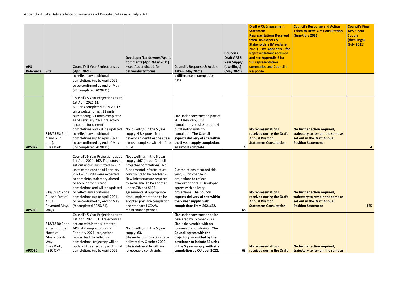|                         |                                                                                                |                                                                                                                                                                                                                                                                                                                                                                                                           | Developer/Landowner/Agent<br><b>Comments (April/May 2021)</b>                                                                                                                                                                                                                                                                                                                         |                                                                                                                                                                                                                                                                                         | <b>Council's</b><br><b>Draft APS 5</b><br><b>Year Supply</b> | <b>Draft APS/Engagement</b><br><b>Statement</b><br><b>Representations Received</b><br>from Developers &<br><b>Stakeholders (May/June</b><br>$2021$ ) – see Appendix 1 for<br><b>Representations received</b><br>and see Appendix 2 for<br>full representation | <b>Council's Response and Action</b><br><b>Taken to Draft APS Consultation</b><br>(June/July 2021)                          | <b>Council's Final</b><br><b>APS 5 Year</b><br><b>Supply</b><br>(dwellings)<br>(July 2021) |
|-------------------------|------------------------------------------------------------------------------------------------|-----------------------------------------------------------------------------------------------------------------------------------------------------------------------------------------------------------------------------------------------------------------------------------------------------------------------------------------------------------------------------------------------------------|---------------------------------------------------------------------------------------------------------------------------------------------------------------------------------------------------------------------------------------------------------------------------------------------------------------------------------------------------------------------------------------|-----------------------------------------------------------------------------------------------------------------------------------------------------------------------------------------------------------------------------------------------------------------------------------------|--------------------------------------------------------------|---------------------------------------------------------------------------------------------------------------------------------------------------------------------------------------------------------------------------------------------------------------|-----------------------------------------------------------------------------------------------------------------------------|--------------------------------------------------------------------------------------------|
| <b>APS</b><br>Reference | <b>Site</b>                                                                                    | <b>Council's 5 Year Projections as</b><br>(April 2021)                                                                                                                                                                                                                                                                                                                                                    | - see Appendices 1 for<br>deliverability forms                                                                                                                                                                                                                                                                                                                                        | <b>Council's Response &amp; Action</b><br><b>Taken (May 2021)</b>                                                                                                                                                                                                                       | (dwellings)                                                  | summaries and Council's<br><b>Response</b>                                                                                                                                                                                                                    |                                                                                                                             |                                                                                            |
|                         |                                                                                                | to reflect any additional<br>completions (up to April 2021),<br>to be confirmed by end of May<br>(42 completed 2020/21).                                                                                                                                                                                                                                                                                  |                                                                                                                                                                                                                                                                                                                                                                                       | a difference in completion<br>data.                                                                                                                                                                                                                                                     | (May 2021)                                                   |                                                                                                                                                                                                                                                               |                                                                                                                             |                                                                                            |
| <b>APS027</b>           | S16/2553: Zone<br>4 and 6 (in<br>part),<br>Elsea Park                                          | Council's 5 Year Projections as at<br>1st April 2021:12.<br>53 units completed 2019.20, 12<br>units outstanding., 12 units<br>outstanding. 21 units completed<br>as of February 2021, trajectory<br>accounts for current<br>completions and will be updated<br>to reflect any additional<br>completions (up to April 2021),<br>to be confirmed by end of May<br>(29 completed 2020/21)                    | No. dwellings in the 5 year<br>supply: 4 Response from<br>developer identifies the site is<br>almost complete with 4 left to<br>build.                                                                                                                                                                                                                                                | Site under construction part of<br>SUE Elsea Park, 128<br>completions on site to date, 4<br>outstanding units to<br>completed. The Council<br>expects delivery of site within<br>the 5 year supply completions<br>as almost complete.                                                   | 4                                                            | <b>No representations</b><br>received during the Draft<br><b>Annual Position</b><br><b>Statement Consultation</b>                                                                                                                                             | No further action required,<br>trajectory to remain the same as<br>set out in the Draft Annual<br><b>Position Statement</b> | 4                                                                                          |
| <b>APS029</b>           | S18/0937: Zone<br>9, Land East of<br>A151,<br>Raymond Mays<br>Ways                             | Council's 5 Year Projections as at<br>1st April 2021: 167. Trajectory as<br>set out within submitted APS. 7<br>units completed as of February<br>2021 - 34 units were expected<br>to complete, trajectory altered<br>to account for current<br>completions and will be updated<br>to reflect any additional<br>completions (up to April 2021),<br>to be confirmed by end of May<br>(9 completed 2020/21). | No. dwellings in the 5 year<br>supply: 167 (as per Council<br>projected completions). No<br>fundamental infrastructure<br>constraints to be resolved -<br>New infrastructure required<br>to serve site. To be adopted<br>under S38 and S104<br>agreements at appropriate<br>time. Implementation to be<br>adopted post site completion<br>and standard LCC/AW<br>maintenance periods. | 9 completions recorded this<br>year, 2 unit change in<br>projections to reflect<br>completion totals. Developer<br>agrees with delivery<br>projections. The Council<br>expects delivery of site within<br>the 5 year supply, with<br>completions from 2021/22.                          | 165                                                          | <b>No representations</b><br>received during the Draft<br><b>Annual Position</b><br><b>Statement Consultation</b>                                                                                                                                             | No further action required,<br>trajectory to remain the same as<br>set out in the Draft Annual<br><b>Position Statement</b> | 165                                                                                        |
| <b>APS030</b>           | S18/1840: Zone<br>9, Land to the<br>North of<br>Musselburgh<br>Way,<br>Elsea Park,<br>PE10 OXY | Council's 5 Year Projections as at<br>1st April 2021: 63. Trajectory as<br>set out within the submitted<br>APS. No completions as of<br>February 2021, projections<br>moved back to reflect no<br>completions, trajectory will be<br>updated to reflect any additional<br>completions (up to April 2021),                                                                                                 | No. dwellings in the 5 year<br>supply: 63.<br>Site under construction to be<br>delivered by October 2022.<br>Site is deliverable with no<br>foreseeable constraints.                                                                                                                                                                                                                  | Site under construction to be<br>delivered by October 2022.<br>Site is deliverable with no<br>foreseeable constraints. The<br>Council agrees with the<br>trajectory submitted by the<br>developer to include 63 units<br>in the 5 year supply, with site<br>completion by October 2022. |                                                              | No representations<br>63   received during the Draft                                                                                                                                                                                                          | No further action required,<br>trajectory to remain the same as                                                             |                                                                                            |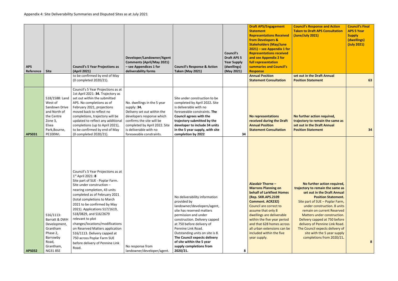| <b>APS</b><br>Reference | <b>Site</b>                                                                                                                     | <b>Council's 5 Year Projections as</b><br>(April 2021)                                                                                                                                                                                                                                                                                                                                                                                                                                                                     | Developer/Landowner/Agent<br><b>Comments (April/May 2021)</b><br>- see Appendices 1 for<br>deliverability forms                                                                                                            | <b>Council's Response &amp; Action</b><br><b>Taken (May 2021)</b>                                                                                                                                                                                                                                                                                           | <b>Council's</b><br><b>Draft APS 5</b><br><b>Year Supply</b><br>(dwellings)<br>(May 2021) | <b>Draft APS/Engagement</b><br><b>Statement</b><br><b>Representations Received</b><br>from Developers &<br><b>Stakeholders (May/June</b><br>$2021$ ) – see Appendix 1 for<br><b>Representations received</b><br>and see Appendix 2 for<br>full representation<br>summaries and Council's<br><b>Response</b>                                                     | Cour<br><b>Take</b><br>(Jun)   |
|-------------------------|---------------------------------------------------------------------------------------------------------------------------------|----------------------------------------------------------------------------------------------------------------------------------------------------------------------------------------------------------------------------------------------------------------------------------------------------------------------------------------------------------------------------------------------------------------------------------------------------------------------------------------------------------------------------|----------------------------------------------------------------------------------------------------------------------------------------------------------------------------------------------------------------------------|-------------------------------------------------------------------------------------------------------------------------------------------------------------------------------------------------------------------------------------------------------------------------------------------------------------------------------------------------------------|-------------------------------------------------------------------------------------------|-----------------------------------------------------------------------------------------------------------------------------------------------------------------------------------------------------------------------------------------------------------------------------------------------------------------------------------------------------------------|--------------------------------|
|                         |                                                                                                                                 | to be confirmed by end of May<br>(0 completed 2020/21).                                                                                                                                                                                                                                                                                                                                                                                                                                                                    |                                                                                                                                                                                                                            |                                                                                                                                                                                                                                                                                                                                                             |                                                                                           | <b>Annual Position</b><br><b>Statement Consultation</b>                                                                                                                                                                                                                                                                                                         | set c<br>Posi                  |
| <b>APS031</b>           | S18/1588: Land<br>West of<br>Sandown Drive<br>and North of<br>the Centre<br>Zone 3,<br>Elsea<br>Park, Bourne,<br><b>PE100WL</b> | Council's 5 Year Projections as at<br>1st April 2021: 34. Trajectory as<br>set out within the submitted<br>APS. No completions as of<br>February 2021, projections<br>moved back to reflect no<br>completions, trajectory will be<br>updated to reflect any additional<br>completions (up to April 2021),<br>to be confirmed by end of May<br>(0 completed 2020/21).                                                                                                                                                       | No. dwellings in the 5 year<br>supply: 34.<br>Delivery set out within the<br>developers response which<br>confirms the site will be<br>completed by April 2022. Site<br>is deliverable with no<br>foreseeable constraints. | Site under construction to be<br>completed by April 2022. Site<br>is deliverable with no<br>foreseeable constraints. The<br><b>Council agrees with the</b><br>trajectory submitted by the<br>developer to include 34 units<br>in the 5 year supply, with site<br>completion by 2022                                                                         | 34                                                                                        | <b>No representations</b><br>received during the Draft<br><b>Annual Position</b><br><b>Statement Consultation</b>                                                                                                                                                                                                                                               | No f<br>traje<br>set c<br>Posi |
| <b>APS032</b>           | $S16/1113$ :<br>Barratt & DWH<br>Development,<br>Grantham<br>Phase 2,<br>Barrowby<br>Road,<br>Grantham,<br><b>NG31 8SE</b>      | Council's 5 Year Projections as at<br>$1^{st}$ April 2021: 8<br>Site part of SUE - Poplar Farm.<br>Site under construction -<br>nearing completion, 43 units<br>completed as of February 2021<br>(total completions to March<br>2021 to be confirmed by May<br>2021). Applications S17/1619,<br>S18/0829, and S16/2679<br>relevant to plot<br>changes/locations/modifications<br>on Reserved Matters application<br>S16/1113. Delivery capped at<br>750 across Poplar Farm SUE<br>before delivery of Pennine Link<br>Road. | No response from<br>landowner/developer/agent.                                                                                                                                                                             | No deliverability information<br>provided by<br>landowner/developers/agent,<br>site has reserved matters<br>permission and under<br>construction. Delivery capped<br>at 750 before delivery of<br>Pennine Link Road.<br>Outstanding units on site is 8.<br>The Council expects delivery<br>of site within the 5 year<br>supply completions from<br>2020/21. | 8                                                                                         | <b>Alasdair Thorne -</b><br><b>Marrons Planning on</b><br><b>behalf of Larkfleet Homes</b><br>(Rep. SKR.APS.2109<br><b>Comment. ACR232)</b><br>Council are correct to<br>assume that only 8<br>dwellings are deliverable<br>within the five year period<br>and that 628 homes across<br>all urban extensions can be<br>included within the five<br>year supply. | traj<br>S<br>T                 |

| <b>Council's Response and Action</b><br><b>Taken to Draft APS Consultation</b><br>(June/July 2021)                                                                                                                                                          | <b>Council's Final</b><br><b>APS 5 Year</b><br><b>Supply</b><br>(dwellings)<br>(July 2021) |
|-------------------------------------------------------------------------------------------------------------------------------------------------------------------------------------------------------------------------------------------------------------|--------------------------------------------------------------------------------------------|
| set out in the Draft Annual<br><b>Position Statement</b>                                                                                                                                                                                                    | 63                                                                                         |
| No further action required,<br>trajectory to remain the same as<br>set out in the Draft Annual<br><b>Position Statement</b>                                                                                                                                 | 34                                                                                         |
| No further action required,<br>trajectory to remain the same as<br>set out in the Draft Annual<br><b>Position Statement.</b><br>Site part of SUE - Poplar Farm,<br>under construction. 8 units<br>remain on current Reserved<br>Matters under construction. |                                                                                            |
| Delivery capped at 750 before<br>delivery of Pennine Link Road.<br>The Council expects delivery of<br>site with the 5 year supply<br>completions from 2020/21.                                                                                              | 8                                                                                          |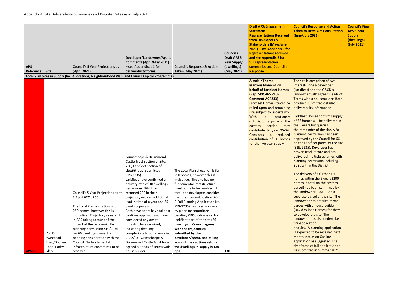| <b>APS</b><br>Reference   Site |             | <b>Council's 5 Year Projections as</b><br>(April 2021)                                                                                                                                                                          | Developer/Landowner/Agent<br><b>Comments (April/May 2021)</b><br>- see Appendices 1 for<br>deliverability forms                                                                                                                                                                                                                                                                                                                                        | <b>Council's Response &amp; Action</b><br><b>Taken (May 2021)</b>                                                                                                                                                                                                                                                                                                                                                               | <b>Council's</b><br><b>Draft APS 5</b><br><b>Year Supply</b><br>(dwellings)<br>(May 2021) | <b>Draft APS/Engagement</b><br><b>Statement</b><br><b>Representations Received</b><br>from Developers &<br><b>Stakeholders (May/June</b><br>$2021$ ) – see Appendix 1 for<br><b>Representations received</b><br>and see Appendix 2 for<br>full representation<br>summaries and Council's<br><b>Response</b>                                                                                                                                                                          | <b>Council's Response and Action</b><br><b>Taken to Draft APS Consultation</b><br>(June/July 2021)                                                                                                                                                                                                                                                                                                                                                                                                                                                                                                                                                                                                                                                                                                                                                                                                                                                                                                                                                               | <b>Council's Final</b><br><b>APS 5 Year</b><br><b>Supply</b><br>(dwellings)<br>(July 2021) |
|--------------------------------|-------------|---------------------------------------------------------------------------------------------------------------------------------------------------------------------------------------------------------------------------------|--------------------------------------------------------------------------------------------------------------------------------------------------------------------------------------------------------------------------------------------------------------------------------------------------------------------------------------------------------------------------------------------------------------------------------------------------------|---------------------------------------------------------------------------------------------------------------------------------------------------------------------------------------------------------------------------------------------------------------------------------------------------------------------------------------------------------------------------------------------------------------------------------|-------------------------------------------------------------------------------------------|--------------------------------------------------------------------------------------------------------------------------------------------------------------------------------------------------------------------------------------------------------------------------------------------------------------------------------------------------------------------------------------------------------------------------------------------------------------------------------------|------------------------------------------------------------------------------------------------------------------------------------------------------------------------------------------------------------------------------------------------------------------------------------------------------------------------------------------------------------------------------------------------------------------------------------------------------------------------------------------------------------------------------------------------------------------------------------------------------------------------------------------------------------------------------------------------------------------------------------------------------------------------------------------------------------------------------------------------------------------------------------------------------------------------------------------------------------------------------------------------------------------------------------------------------------------|--------------------------------------------------------------------------------------------|
|                                |             | Local Plan Sites in Supply (Inc. Allocations; Neighbourhood Plan; and Council Capital Programme)                                                                                                                                |                                                                                                                                                                                                                                                                                                                                                                                                                                                        |                                                                                                                                                                                                                                                                                                                                                                                                                                 |                                                                                           |                                                                                                                                                                                                                                                                                                                                                                                                                                                                                      |                                                                                                                                                                                                                                                                                                                                                                                                                                                                                                                                                                                                                                                                                                                                                                                                                                                                                                                                                                                                                                                                  |                                                                                            |
|                                |             | Council's 5 Year Projections as at<br>1 April 2021: 250.<br>The Local Plan allocation is for<br>250 homes, however this is<br>indicative. Trajectory as set out<br>in APS taking account of the<br>impact of the pandemic. Full | Grimsthorpe & Drummond<br>Castle Trust section of Site:<br>200; Larkfleet section of<br>site:66 (app. submitted<br>S19/2235)<br>Larkfleet have confirmed a<br>delivery rate of 30 dwellings<br>per annum. DWH has<br>returned 200 in their<br>trajectory with an additional<br>lead in time of a year and 35<br>dwelling per annum.<br>Both developers have taken a<br>cautious approach and have<br>considered any onsite<br>infrastructure required, | The Local Plan allocation is for<br>250 homes, however this is<br>indicative. The site has no<br>fundamental infrastructure<br>constraints to be resolved. In<br>total, the developers consider<br>that the site could deliver 266.<br>A Full Planning Application (re.<br>S19/2235) has been approved<br>by planning committee<br>pending S106, submission for<br>Larkfleet part of the site (66<br>dwellings). Council agrees |                                                                                           | <b>Alasdair Thorne -</b><br><b>Marrons Planning on</b><br><b>behalf of Larkfleet Homes</b><br>(Rep. SKR.APS.2109<br><b>Comment ACR233)</b><br>Larkfleet Homes site can be<br>relied upon and remaining<br>site subject to uncertainty.<br><b>With</b><br>cautiously<br>$\overline{a}$<br>optimistic approach the<br>section<br>eastern<br>may<br>contribute to year 25/26.<br><b>Considers</b><br>reduced<br>$\overline{a}$<br>contribution of 90 homes<br>for the five year supply. | The site is comprised of two<br>interests, one a developer<br>(Larkfleet) and the G&CD a<br>landowner with agreed Heads of<br>Terms with a housebuilder. Both<br>of which submitted detailed<br>deliverability information.<br>Larkfleet Homes confirms supply<br>of 66 homes will be delivered in<br>the 5 years but queries<br>the remainder of the site. A full<br>planning permission has been<br>approved by the Council for 66<br>on the Larkfleet parcel of the site<br>(S19/2235). Developer has<br>proven track record and has<br>delivered multiple schemes with<br>planning permission including<br>SUEs within the District.<br>The delivery of a further 130<br>homes within the 5 years (200<br>homes in total on the eastern<br>parcel) has been confirmed by<br>the landowner (G&CD) on a<br>separate parcel of the site. The<br>landowner has detailed terms<br>agrees with a house builder<br>(David Wilson Homes) for them<br>to develop the site. The<br>landowner has also undertaken<br>pre-application<br>enquiry. A planning application |                                                                                            |
|                                | $LV-H5:$    | planning permission S19/2235<br>for 66 dwellings currently                                                                                                                                                                      | indicating dwelling<br>completions to commence in                                                                                                                                                                                                                                                                                                                                                                                                      | with the trajectories<br>submitted by the                                                                                                                                                                                                                                                                                                                                                                                       |                                                                                           |                                                                                                                                                                                                                                                                                                                                                                                                                                                                                      | is expected to be received next                                                                                                                                                                                                                                                                                                                                                                                                                                                                                                                                                                                                                                                                                                                                                                                                                                                                                                                                                                                                                                  |                                                                                            |
|                                | Swinstead   | pending consideration with the                                                                                                                                                                                                  | 2022/23. Grimsthorpe &                                                                                                                                                                                                                                                                                                                                                                                                                                 | developer/agent, and taking                                                                                                                                                                                                                                                                                                                                                                                                     |                                                                                           |                                                                                                                                                                                                                                                                                                                                                                                                                                                                                      | month, not as an Outline                                                                                                                                                                                                                                                                                                                                                                                                                                                                                                                                                                                                                                                                                                                                                                                                                                                                                                                                                                                                                                         |                                                                                            |
|                                | Road/Bourne | Council. No fundamental                                                                                                                                                                                                         | Drummond Castle Trust have                                                                                                                                                                                                                                                                                                                                                                                                                             | account the cautious return                                                                                                                                                                                                                                                                                                                                                                                                     |                                                                                           |                                                                                                                                                                                                                                                                                                                                                                                                                                                                                      | application as suggested. The                                                                                                                                                                                                                                                                                                                                                                                                                                                                                                                                                                                                                                                                                                                                                                                                                                                                                                                                                                                                                                    |                                                                                            |
|                                | Road, Corby | infrastructure constraints to be                                                                                                                                                                                                | agreed a Heads of Terms with                                                                                                                                                                                                                                                                                                                                                                                                                           | the dwellings in supply is 130                                                                                                                                                                                                                                                                                                                                                                                                  |                                                                                           |                                                                                                                                                                                                                                                                                                                                                                                                                                                                                      | timeframe of full application to                                                                                                                                                                                                                                                                                                                                                                                                                                                                                                                                                                                                                                                                                                                                                                                                                                                                                                                                                                                                                                 |                                                                                            |
| <b>APS039</b>                  | Glen        | resolved.                                                                                                                                                                                                                       | housebuilder.                                                                                                                                                                                                                                                                                                                                                                                                                                          | dpa.                                                                                                                                                                                                                                                                                                                                                                                                                            | 130                                                                                       |                                                                                                                                                                                                                                                                                                                                                                                                                                                                                      | be submitted in Summer 2021,                                                                                                                                                                                                                                                                                                                                                                                                                                                                                                                                                                                                                                                                                                                                                                                                                                                                                                                                                                                                                                     |                                                                                            |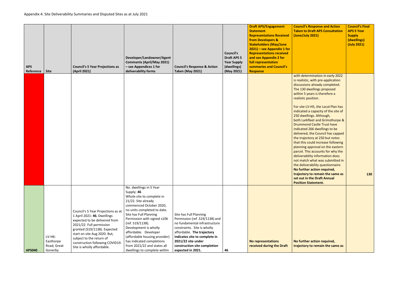|               |                                                 |                                                                                                                                                                                                                                                                                             |                                                                                                                                                                                                                                                                                                                                                                                                                 |                                                                                                                                                                                                                                                                    | <b>Council's</b>                  | <b>Draft APS/Engagement</b><br><b>Statement</b><br><b>Representations Received</b><br>from Developers &<br><b>Stakeholders (May/June</b><br>$2021$ ) – see Appendix 1 for<br><b>Representations received</b> | <b>Council's Response and Action</b><br><b>Taken to Draft APS Consultation</b><br>(June/July 2021)                                                                                                                                                                                                                                                                                                                                                                                                                                                                                                                                                                                                                                                                                                                    | <b>Council's Final</b><br><b>APS 5 Year</b><br><b>Supply</b><br>(dwellings)<br>(July 2021) |
|---------------|-------------------------------------------------|---------------------------------------------------------------------------------------------------------------------------------------------------------------------------------------------------------------------------------------------------------------------------------------------|-----------------------------------------------------------------------------------------------------------------------------------------------------------------------------------------------------------------------------------------------------------------------------------------------------------------------------------------------------------------------------------------------------------------|--------------------------------------------------------------------------------------------------------------------------------------------------------------------------------------------------------------------------------------------------------------------|-----------------------------------|--------------------------------------------------------------------------------------------------------------------------------------------------------------------------------------------------------------|-----------------------------------------------------------------------------------------------------------------------------------------------------------------------------------------------------------------------------------------------------------------------------------------------------------------------------------------------------------------------------------------------------------------------------------------------------------------------------------------------------------------------------------------------------------------------------------------------------------------------------------------------------------------------------------------------------------------------------------------------------------------------------------------------------------------------|--------------------------------------------------------------------------------------------|
|               |                                                 |                                                                                                                                                                                                                                                                                             | Developer/Landowner/Agent                                                                                                                                                                                                                                                                                                                                                                                       |                                                                                                                                                                                                                                                                    | <b>Draft APS 5</b>                | and see Appendix 2 for<br>full representation                                                                                                                                                                |                                                                                                                                                                                                                                                                                                                                                                                                                                                                                                                                                                                                                                                                                                                                                                                                                       |                                                                                            |
| <b>APS</b>    |                                                 | <b>Council's 5 Year Projections as</b>                                                                                                                                                                                                                                                      | <b>Comments (April/May 2021)</b><br>- see Appendices 1 for                                                                                                                                                                                                                                                                                                                                                      | <b>Council's Response &amp; Action</b>                                                                                                                                                                                                                             | <b>Year Supply</b><br>(dwellings) | summaries and Council's                                                                                                                                                                                      |                                                                                                                                                                                                                                                                                                                                                                                                                                                                                                                                                                                                                                                                                                                                                                                                                       |                                                                                            |
| Reference     | Site                                            | (April 2021)                                                                                                                                                                                                                                                                                | deliverability forms                                                                                                                                                                                                                                                                                                                                                                                            | <b>Taken (May 2021)</b>                                                                                                                                                                                                                                            | (May 2021)                        | <b>Response</b>                                                                                                                                                                                              |                                                                                                                                                                                                                                                                                                                                                                                                                                                                                                                                                                                                                                                                                                                                                                                                                       |                                                                                            |
|               |                                                 |                                                                                                                                                                                                                                                                                             |                                                                                                                                                                                                                                                                                                                                                                                                                 |                                                                                                                                                                                                                                                                    |                                   |                                                                                                                                                                                                              | with determination in early 2022<br>is realistic, with pre-application<br>discussions already completed.<br>The 130 dwellings proposed<br>within 5 years is therefore a<br>realistic position.<br>For site LV-H5, the Local Plan has<br>indicated a capacity of the site of<br>250 dwellings. Although,<br>both Larkfleet and Grimsthorpe &<br><b>Drummond Castle Trust have</b><br>indicated 266 dwellings to be<br>delivered, the Council has capped<br>the trajectory at 250 but notes<br>that this could increase following<br>planning approval on the eastern<br>parcel. This accounts for why the<br>deliverability information does<br>not match what was submitted in<br>the deliverability questionnaire.<br>No further action required,<br>trajectory to remain the same as<br>set out in the Draft Annual | <b>130</b>                                                                                 |
| <b>APS040</b> | $LV-H6:$<br>Easthorpe<br>Road, Great<br>Gonerby | Council's 5 Year Projections as at<br>1 April 2021: 46. Dwellings<br>expected to be delivered from<br>2021/22. Full permission<br>granted (S19/1138). Expected<br>start on site Aug 2020. But,<br>subject to the return of<br>construction following COVID19.<br>Site is wholly affordable. | No. dwellings in 5 Year<br>Supply: 46<br>Whole site to complete in<br>21/22. Site already<br>commenced October 2020,<br>no units completed to date.<br>Site has Full Planning<br>Permission with signed s106<br>(ref. S19/1138).<br>Development is wholly<br>affordable. Developer<br>(affordable housing provider)<br>has indicated completions<br>from 2021/22 and states all<br>dwellings to complete within | Site has Full Planning<br>Permission (ref. S19/1138) and<br>no fundamental infrastructure<br>constraints. Site is wholly<br>affordable. The trajectory<br>indicates site to complete in<br>2021/22 site under<br>construction site completion<br>expected in 2021. | 46                                | No representations<br>received during the Draft                                                                                                                                                              | <b>Position Statement.</b><br>No further action required,<br>trajectory to remain the same as                                                                                                                                                                                                                                                                                                                                                                                                                                                                                                                                                                                                                                                                                                                         |                                                                                            |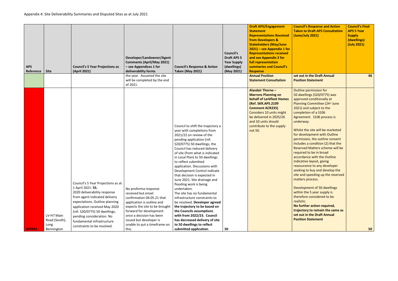| <b>APS</b><br>Reference | <b>Site</b>                                       | <b>Council's 5 Year Projections as</b><br>(April 2021)                                                                                                                                                                                                                                                                 | Developer/Landowner/Agent<br><b>Comments (April/May 2021)</b><br>- see Appendices 1 for<br>deliverability forms<br>the year. Assumed the site<br>will be completed by the end<br>of 2021.                                                                           | <b>Council's Response &amp; Action</b><br><b>Taken (May 2021)</b>                                                                                                                                                                                                                                                                                                                                                                                                                                                                                                                                                                                                                                                                                    | <b>Council's</b><br><b>Draft APS 5</b><br><b>Year Supply</b><br>(dwellings)<br>(May 2021) | <b>Draft APS/Engagement</b><br><b>Statement</b><br><b>Representations Received</b><br><b>from Developers &amp;</b><br><b>Stakeholders (May/June</b><br>$2021$ – see Appendix 1 for<br><b>Representations received</b><br>and see Appendix 2 for<br>full representation<br>summaries and Council's<br><b>Response</b><br><b>Annual Position</b><br><b>Statement Consultation</b> | Council'<br><b>Taken to</b><br>(June/Ju<br>set out i<br><b>Position</b>                                                                                                                                                                                                                                                                                             |
|-------------------------|---------------------------------------------------|------------------------------------------------------------------------------------------------------------------------------------------------------------------------------------------------------------------------------------------------------------------------------------------------------------------------|---------------------------------------------------------------------------------------------------------------------------------------------------------------------------------------------------------------------------------------------------------------------|------------------------------------------------------------------------------------------------------------------------------------------------------------------------------------------------------------------------------------------------------------------------------------------------------------------------------------------------------------------------------------------------------------------------------------------------------------------------------------------------------------------------------------------------------------------------------------------------------------------------------------------------------------------------------------------------------------------------------------------------------|-------------------------------------------------------------------------------------------|---------------------------------------------------------------------------------------------------------------------------------------------------------------------------------------------------------------------------------------------------------------------------------------------------------------------------------------------------------------------------------|---------------------------------------------------------------------------------------------------------------------------------------------------------------------------------------------------------------------------------------------------------------------------------------------------------------------------------------------------------------------|
| <b>APS041</b>           | LV-H7 Main<br>Road (South),<br>Long<br>Bennington | Council's 5 Year Projections as at<br>1 April 2021: 55.<br>2020 deliverability response<br>from agent indicated delivery<br>expectations. Outline planning<br>application received May 2020<br>(ref. S20/0775) 50 dwellings,<br>pending consideration. No<br>fundamental infrastructure<br>constraints to be resolved. | No proforma response<br>received but email<br>confirmation 04.05.21 that<br>application is outline and<br>expects the site to be brought<br>forward for development<br>once a decision has been<br>issued but developer is<br>unable to put a timeframe on<br>this. | Council to shift the trajectory a<br>year with completions from<br>2021/22 on review of the<br>pending application (ref.<br>S20/0775) 50 dwellings, the<br>Council has reduced delivery<br>of site (from what is indicated<br>in Local Plan) to 50 dwellings<br>to reflect submitted<br>application. Discussions with<br>Development Control indicate<br>that decision is expected in<br>June 2021. Site drainage and<br>flooding work is being<br>undertaken.<br>The site has no fundamental<br>infrastructure constraints to<br>be resolved. Developer agreed<br>the trajectory to be based on<br>the Councils assumptions<br>with from 2022/23. Council<br>has decreased delivery of site<br>to 50 dwellings to reflect<br>submitted application. | 50                                                                                        | <b>Alasdair Thorne -</b><br><b>Marrons Planning on</b><br><b>behalf of Larkfleet Homes</b><br>(Ref. SKR.APS.2109<br><b>Comment ACR235)</b><br>Considers 10 units might<br>be delivered in 2025/26<br>and 10 units should<br>contribute to the supply<br>not 50.                                                                                                                 | Outline<br>50 dwell<br>approve<br>Planning<br>2021) ar<br>complet<br>Agreem<br>underwa<br>Whilst tl<br>for deve<br>permissi<br>includes<br><b>Reserve</b><br>required<br>accorda<br>indicativ<br>reassura<br>seeking<br>site and<br>matters<br><b>Develop</b><br>within th<br>therefor<br>realistic.<br><b>No furth</b><br>trajecto<br>set out i<br><b>Position</b> |

| <b>Council's Response and Action</b><br><b>Taken to Draft APS Consultation</b><br>(June/July 2021)                                                                                                                                                                                                                                                                                                                                                                                                                                                                                                                                                                                                                                                                                                                                                                  | <b>Council's Final</b><br><b>APS 5 Year</b><br><b>Supply</b><br>(dwellings)<br>(July 2021) |
|---------------------------------------------------------------------------------------------------------------------------------------------------------------------------------------------------------------------------------------------------------------------------------------------------------------------------------------------------------------------------------------------------------------------------------------------------------------------------------------------------------------------------------------------------------------------------------------------------------------------------------------------------------------------------------------------------------------------------------------------------------------------------------------------------------------------------------------------------------------------|--------------------------------------------------------------------------------------------|
| set out in the Draft Annual<br><b>Position Statement</b>                                                                                                                                                                                                                                                                                                                                                                                                                                                                                                                                                                                                                                                                                                                                                                                                            | 46                                                                                         |
| Outline permission for<br>50 dwellings (S20/0775) was<br>approved conditionally at<br>Planning Committee (24th June<br>2021) and subject to the<br>completion of a S106<br>Agreement. S106 process is<br>underway.<br>Whilst the site will be marketed<br>for development with Outline<br>permission, the outline consent<br>includes a condition (2) that the<br><b>Reserved Matters scheme will be</b><br>required to be in broad<br>accordance with the Outline<br>indicative layout, giving<br>reassurance to any developer<br>seeking to buy and develop the<br>site and speeding up the reserved<br>matters process.<br>Development of 50 dwellings<br>within the 5 year supply is<br>therefore considered to be<br>realistic.<br>No further action required,<br>trajectory to remain the same as<br>set out in the Draft Annual<br><b>Position Statement</b> |                                                                                            |
|                                                                                                                                                                                                                                                                                                                                                                                                                                                                                                                                                                                                                                                                                                                                                                                                                                                                     | 50                                                                                         |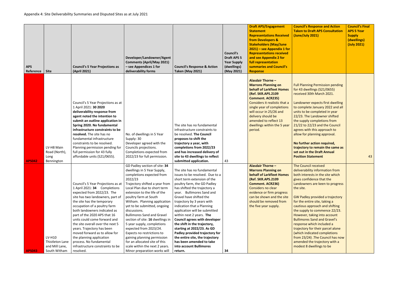| <b>Council's Response and Action</b><br><b>Taken to Draft APS Consultation</b><br>(June/July 2021)                                                                                                                                                                                                                                                                                                                                                                                                                                                                                                      | <b>Council's Final</b><br><b>APS 5 Year</b><br><b>Supply</b><br>(dwellings)<br>(July 2021) |
|---------------------------------------------------------------------------------------------------------------------------------------------------------------------------------------------------------------------------------------------------------------------------------------------------------------------------------------------------------------------------------------------------------------------------------------------------------------------------------------------------------------------------------------------------------------------------------------------------------|--------------------------------------------------------------------------------------------|
| <b>Full Planning Permission pending</b><br>for 43 dwellings (S21/0655)<br>received 30th March 2021.<br>Landowner expects first dwelling<br>to complete January 2022 and all<br>units to be completed in year<br>22/23. The Landowner shifted<br>the supply completions from<br>21/22 to 22/23 and the Council<br>agrees with this approach to<br>allow for planning approval.<br>No further action required,                                                                                                                                                                                            |                                                                                            |
| trajectory to remain the same as<br>set out in the Draft Annual<br><b>Position Statement</b>                                                                                                                                                                                                                                                                                                                                                                                                                                                                                                            | 43                                                                                         |
| <b>The Council received</b><br>deliverability information from<br>both interests in the site which<br>gives confidence that the<br>Landowners are keen to progress<br>the site.<br><b>GW Padley provided a trajectory</b><br>for the entire site, taking a<br>cautious approach and shifting<br>the supply to commence 22/23.<br>However, taking into account<br><b>Bullimores Sand and Gravel's</b><br>response which included a<br>trajectory for their parcel alone<br>(which indicated completions<br>from 23/24) .The Council has now<br>amended the trajectory with a<br>modest 8 dwellings to be |                                                                                            |

| <b>APS</b> | Reference                      | <b>Site</b>                                                                                                      | <b>Council's 5 Year Projections as</b><br>(April 2021)                                                                                                                                                                                                                                                                                                                                                                                                                                                                                                                                                                                                                                                                                                                                                                                                                                                                                           | Developer/Landowner/Agent<br><b>Comments (April/May 2021)</b><br>- see Appendices 1 for<br>deliverability forms                                                                                                                                                                                                                                                                                                                                                                                                                                                                                                                                                                                                                                                                 | <b>Council's Response &amp; Action</b><br><b>Taken (May 2021)</b>                                                                                                                                                                                                                                                                                                                                                                                                                                                                                                                                                                                                                                                                                                                                                                                                    | <b>Council's</b><br><b>Draft APS 5</b><br><b>Year Supply</b><br>(dwellings)<br>(May 2021) | <b>Draft APS/Engagement</b><br><b>Statement</b><br><b>Representations Received</b><br>from Developers &<br><b>Stakeholders (May/June</b><br>2021) – see Appendix 1 for<br><b>Representations received</b><br>and see Appendix 2 for<br>full representation<br>summaries and Council's<br><b>Response</b>                                                                                                                                                                                                                                                                                                         | Council's<br><b>Taken to</b><br>(June/Ju                                                                                                                                                                                                                                                                                                                                                                                                                    |
|------------|--------------------------------|------------------------------------------------------------------------------------------------------------------|--------------------------------------------------------------------------------------------------------------------------------------------------------------------------------------------------------------------------------------------------------------------------------------------------------------------------------------------------------------------------------------------------------------------------------------------------------------------------------------------------------------------------------------------------------------------------------------------------------------------------------------------------------------------------------------------------------------------------------------------------------------------------------------------------------------------------------------------------------------------------------------------------------------------------------------------------|---------------------------------------------------------------------------------------------------------------------------------------------------------------------------------------------------------------------------------------------------------------------------------------------------------------------------------------------------------------------------------------------------------------------------------------------------------------------------------------------------------------------------------------------------------------------------------------------------------------------------------------------------------------------------------------------------------------------------------------------------------------------------------|----------------------------------------------------------------------------------------------------------------------------------------------------------------------------------------------------------------------------------------------------------------------------------------------------------------------------------------------------------------------------------------------------------------------------------------------------------------------------------------------------------------------------------------------------------------------------------------------------------------------------------------------------------------------------------------------------------------------------------------------------------------------------------------------------------------------------------------------------------------------|-------------------------------------------------------------------------------------------|------------------------------------------------------------------------------------------------------------------------------------------------------------------------------------------------------------------------------------------------------------------------------------------------------------------------------------------------------------------------------------------------------------------------------------------------------------------------------------------------------------------------------------------------------------------------------------------------------------------|-------------------------------------------------------------------------------------------------------------------------------------------------------------------------------------------------------------------------------------------------------------------------------------------------------------------------------------------------------------------------------------------------------------------------------------------------------------|
|            | <b>APS042</b><br><b>APS043</b> | LV-H8 Main<br>Road (North),<br>Long<br>Bennington<br>LV-H10<br>Thistleton Lane<br>and Mill Lane,<br>South Witham | Council's 5 Year Projections as at<br>1 April 2021: 30 2020<br>deliverability response from<br>agent noted the intention to<br>submit an outline application in<br>Spring 2020. No fundamental<br>infrastructure constraints to be<br>resolved. The site has no<br>fundamental infrastructure<br>constraints to be resolved.<br>Planning permission pending for<br>full permission for 43 fully<br>affordable units (S21/0655).<br>Council's 5 Year Projections as at<br>1 April 2021: 34 Completions<br>expected from 2022/23. The<br>site has two landowners, part of<br>the site has the temporary<br>occupation of a poultry farm<br>both landowners indicated as<br>part of the 2020 APS that 16<br>units could come forward and<br>the site overall over the next 5<br>years. Trajectory has been<br>moved forward as to allow for<br>the planning application<br>process. No fundamental<br>infrastructure constraints to be<br>resolved. | No. of dwellings in 5 Year<br>Supply: 30<br>Developer agreed with the<br>Councils projections.<br>Completions expected from<br>2022/23 for full permission.<br>GD Padley section of site: 34<br>dwellings in 5 Year Supply,<br>completions expected from<br>2022/23<br>Trajectory shifted a year from<br>Local Plan due to short term<br>extension to the life of the<br>poultry farm at South<br>Witham. Planning application<br>yet to be submitted, ongoing<br>discussions.<br><b>Bullimores Sand and Gravel</b><br>section of site: 16 dwellings in<br>5 year supply, completions<br>expected from 2023/24.<br>Expects no restrictions to<br>gaining planning permission<br>for an allocated site of this<br>scale within the next 2 years.<br>Minor preparation works will | The site has no fundamental<br>infrastructure constraints to<br>be resolved. The Council<br>proposes to shift the<br>trajectory a year, with<br>completions from 2022/23<br>and has increased delivery of<br>site to 43 dwellings to reflect<br>submitted application.<br>The site has no fundamental<br>issues to be resolved. Due to a<br>short term extension of the<br>poultry farm, the GD Padley<br>has shifted the trajectory a<br>year. Bullimores Sand and<br>Gravel have shifted the<br>trajectory by 3 years with<br>indication that a Planning<br>application will be submitted<br>within next 2 years. The<br><b>Council agrees with developer</b><br>the shift in the trajectory,<br>starting at 2022/23. As GD<br>Padley provided trajectory for<br>the entire site, the trajectory<br>has been amended to take<br>into account Bullimores<br>return. | 43<br>34                                                                                  | <b>Alasdair Thorne -</b><br><b>Marrons Planning on</b><br><b>behalf of Larkfleet Homes</b><br>(Ref. SKR.APS.2109<br><b>Comment. ACR235)</b><br>Considers it realistic that a<br>single year of completions<br>will occur in 25/26 and<br>delivery should be<br>amended to reflect 13<br>dwellings within the 5 year<br>period.<br><b>Alasdair Thorne -</b><br><b>Marrons Planning on</b><br><b>behalf of Larkfleet Homes</b><br>(Ref. SKR.APS.2109<br><b>Comment. ACR236)</b><br>Considers no clear<br>evidence or firm progress<br>can be shown and the site<br>should be removed from<br>the five year supply. | <b>Full Plan</b><br>for 43 dy<br>received<br>Landowr<br>to comp<br>units to<br>22/23. T<br>the supp<br>$21/22$ to<br>agrees w<br>allow for<br><b>No furth</b><br>trajector<br>set out i<br><b>Position</b><br><b>The Cour</b><br>deliveral<br>both inte<br>gives cor<br>Landowr<br>the site.<br><b>GW Padl</b><br>for the e<br>cautious<br>the supp<br>However<br><b>Bullimor</b><br>response<br>trajector<br>(which in<br>from $23/$<br>amende<br>modest & |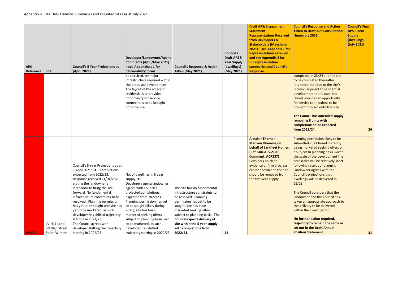| <b>APS</b><br>Reference | <b>Site</b>                                     | <b>Council's 5 Year Projections as</b><br>(April 2021)                                                                                                                                  | Developer/Landowner/Agent<br><b>Comments (April/May 2021)</b><br>- see Appendices 1 for<br>deliverability forms                                                            | <b>Council's Response &amp; Action</b><br><b>Taken (May 2021)</b>                                                                           | <b>Council's</b><br><b>Draft APS 5</b><br><b>Year Supply</b><br>(dwellings)<br>(May 2021) | <b>Draft APS/Engagement</b><br><b>Statement</b><br><b>Representations Received</b><br>from Developers &<br><b>Stakeholders (May/June</b><br>$2021$ – see Appendix 1 for<br><b>Representations received</b><br>and see Appendix 2 for<br>full representation<br>summaries and Council's<br><b>Response</b> | <b>Counci</b><br>Taken <sup>®</sup><br>(June/                 |
|-------------------------|-------------------------------------------------|-----------------------------------------------------------------------------------------------------------------------------------------------------------------------------------------|----------------------------------------------------------------------------------------------------------------------------------------------------------------------------|---------------------------------------------------------------------------------------------------------------------------------------------|-------------------------------------------------------------------------------------------|-----------------------------------------------------------------------------------------------------------------------------------------------------------------------------------------------------------------------------------------------------------------------------------------------------------|---------------------------------------------------------------|
|                         |                                                 |                                                                                                                                                                                         | be required, no major<br>infrastructure required within<br>the proposed development.<br>The layout of the adjacent<br>residential site provides<br>opportunity for service |                                                                                                                                             |                                                                                           |                                                                                                                                                                                                                                                                                                           | comple<br>to be c<br>It is not<br>locatio<br>develo<br>layout |
|                         |                                                 |                                                                                                                                                                                         | connections to be brought<br>onto the site.                                                                                                                                |                                                                                                                                             |                                                                                           |                                                                                                                                                                                                                                                                                                           | for ser<br>brough<br><b>The Co</b><br>removi                  |
|                         |                                                 |                                                                                                                                                                                         |                                                                                                                                                                            |                                                                                                                                             |                                                                                           | <b>Alasdair Thorne -</b>                                                                                                                                                                                                                                                                                  | comple<br>from 2<br>Plannir                                   |
|                         |                                                 |                                                                                                                                                                                         |                                                                                                                                                                            |                                                                                                                                             |                                                                                           | <b>Marrons Planning on</b><br>behalf of Larkfleet Homes<br>(Ref. SKR.APS.2109<br><b>Comment. ACR237)</b><br>Considers no clear                                                                                                                                                                            | submit<br>being r<br>a subje<br>the sca<br>timesca            |
|                         |                                                 | Council's 5 Year Projections as at<br>1 April 2021: 31 Completions<br>expected from 2022/23.<br>Response received 21/04/2020<br>stating the landowner's<br>intensions to bring the site | No. of dwellings in 5 year<br>supply: 31<br>Developer/agent/landowner                                                                                                      | The site has no fundamental                                                                                                                 |                                                                                           | evidence or firm progress<br>can be shown and the site<br>should be removed from<br>the five year supply.                                                                                                                                                                                                 | followi<br>Landov<br>Counci<br>dwellin<br>22/23.              |
|                         |                                                 | forward. No fundamental<br>infrastructure constraints to be<br>resolved. Planning permission<br>has yet to be sought and site has<br>yet to be marketed, as such                        | agrees with Council's<br>projected completions,<br>expected from 2022/23.<br>Planning permission has yet<br>to be sought (likely during<br>2021), site has been            | infrastructure constraints to<br>be resolved. Planning<br>permission has yet to be<br>sought, site has been<br>marketed seeking offers      |                                                                                           |                                                                                                                                                                                                                                                                                                           | The Co<br>landow<br>taken a<br>the del<br>within              |
| <b>APS044</b>           | LV-H11 Land<br>off High Street,<br>South Witham | developer has shifted trajectory<br>starting in 2022/23.<br>The Council agrees with<br>developer shifting the trajectory<br>starting in 2022/23.                                        | marketed seeking offers<br>subject to planning basis. yet<br>to be marketed, as such<br>developer has shifted<br>trajectory starting in 2022/23                            | subject to planning basis. The<br><b>Council expects delivery of</b><br>site within the 5 year supply,<br>with completions from<br>2022/23. | 31                                                                                        |                                                                                                                                                                                                                                                                                                           | <b>No furt</b><br>traject<br>set out<br><b>Positio</b>        |
|                         |                                                 |                                                                                                                                                                                         |                                                                                                                                                                            |                                                                                                                                             |                                                                                           |                                                                                                                                                                                                                                                                                                           |                                                               |

| <b>Council's Response and Action</b><br><b>Taken to Draft APS Consultation</b><br>(June/July 2021)                                                                                                                                                                                                                                                              | <b>Council's Final</b><br><b>APS 5 Year</b><br><b>Supply</b><br>(dwellings)<br>(July 2021) |
|-----------------------------------------------------------------------------------------------------------------------------------------------------------------------------------------------------------------------------------------------------------------------------------------------------------------------------------------------------------------|--------------------------------------------------------------------------------------------|
| completed in 23/24 and the site<br>to be completed thereafter.<br>It is noted that due to the site's<br>location adjacent to residential<br>development to the east, the<br>layout provides an opportunity<br>for service connections to be<br>brought forward onto this site.                                                                                  |                                                                                            |
| The Council has amended supply<br>removing 8 units with<br>completions to be expected<br>from 2023/24.                                                                                                                                                                                                                                                          | 26                                                                                         |
| Planning permission likely to be<br>submitted 2021 based currently<br>being marketed seeking offers on<br>a subject to planning basis. Given<br>the scale of the development the<br>timescales will be relatively short<br>following receipt of planning<br>Landowner agrees with the<br>Council's projections that<br>dwellings will be delivered in<br>22/23. |                                                                                            |
| The Council considers that the<br>landowner and the Council has<br>taken an appropriate approach to<br>the delivery to be delivered<br>within the 5 year period.                                                                                                                                                                                                |                                                                                            |
| No further action required,<br>trajectory to remain the same as<br>set out in the Draft Annual<br><b>Position Statement.</b>                                                                                                                                                                                                                                    | 31                                                                                         |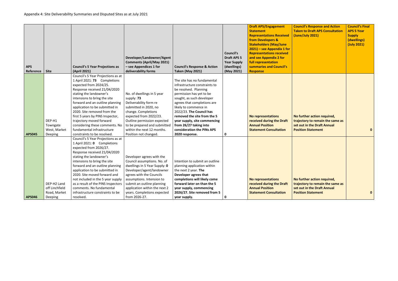| <b>APS</b><br>Reference | <b>Site</b>                                              | <b>Council's 5 Year Projections as</b><br>(April 2021)                                                                                                                                                                                                                                                                                                                                                                                                     | Developer/Landowner/Agent<br><b>Comments (April/May 2021)</b><br>- see Appendices 1 for<br>deliverability forms                                                                                                                                                                                | <b>Council's Response &amp; Action</b><br><b>Taken (May 2021)</b>                                                                                                                                                                                                                                                                                                           | <b>Council's</b><br><b>Draft APS 5</b><br><b>Year Supply</b><br>(dwellings)<br>(May 2021) | <b>Draft APS/Engagement</b><br><b>Statement</b><br><b>Representations Received</b><br>from Developers &<br><b>Stakeholders (May/June</b><br>$2021$ ) – see Appendix 1 for<br><b>Representations received</b><br>and see Appendix 2 for<br>full representation<br>summaries and Council's<br><b>Response</b> | Cour<br><b>Take</b><br>(Jun     |
|-------------------------|----------------------------------------------------------|------------------------------------------------------------------------------------------------------------------------------------------------------------------------------------------------------------------------------------------------------------------------------------------------------------------------------------------------------------------------------------------------------------------------------------------------------------|------------------------------------------------------------------------------------------------------------------------------------------------------------------------------------------------------------------------------------------------------------------------------------------------|-----------------------------------------------------------------------------------------------------------------------------------------------------------------------------------------------------------------------------------------------------------------------------------------------------------------------------------------------------------------------------|-------------------------------------------------------------------------------------------|-------------------------------------------------------------------------------------------------------------------------------------------------------------------------------------------------------------------------------------------------------------------------------------------------------------|---------------------------------|
| <b>APS045</b>           | DEP-H1<br>Towngate<br>West, Market<br>Deeping            | Council's 5 Year Projections as at<br>1 April 2021: 73 Completions<br>expected from 2024/25.<br>Response received 21/04/2020<br>stating the landowner's<br>intensions to bring the site<br>forward and an outline planning<br>application to be submitted in<br>2020. Site removed from the<br>first 5 years by PINS Inspector,<br>trajectory moved forward<br>considering these comments. No<br>fundamental infrastructure<br>constraints to be resolved. | No. of dwellings in 5 year<br>supply: 73<br>Deliverability form re<br>submitted in 2020, no<br>change. Completions<br>expected from 2022/23.<br>Outline permission expected<br>to be prepared and submitted<br>within the next 12 months.<br>Position not changed.                             | The site has no fundamental<br>infrastructure constraints to<br>be resolved. Planning<br>permission has yet to be<br>sought, as such developer<br>agrees that completions are<br>likely to commence in<br>2022/23. The Council has<br>removed the site from the 5<br>year supply, site commencing<br>from 26/27 taking into<br>consideration the PINs APS<br>2020 response. | 0                                                                                         | <b>No representations</b><br>received during the Draft<br><b>Annual Position</b><br><b>Statement Consultation</b>                                                                                                                                                                                           | No f<br>traje<br>set c<br>Posit |
| <b>APS046</b>           | DEP-H2 Land<br>off Linchfield<br>Road, Market<br>Deeping | Council's 5 Year Projections as at<br>1 April 2021: 0 Completions<br>expected from 2026/27.<br>Response received 21/04/2020<br>stating the landowner's<br>intensions to bring the site<br>forward and an outline planning<br>application to be submitted in<br>2020. Site moved forward and<br>not included in the 5 year supply<br>as a result of the PINS Inspectors<br>comments. No fundamental<br>infrastructure constraints to be<br>resolved.        | Developer agrees with the<br>Council assumptions. No. of<br>dwellings in 5 Year Supply: 0<br>Developer/agent/landowner<br>agrees with the Councils<br>assumptions. Intension to<br>submit an outline planning<br>application within the next 2<br>years. Completions expected<br>from 2026-27. | Intention to submit an outline<br>planning application within<br>the next 2 year. The<br>Developer agrees that<br>completions will likely come<br>forward later on than the 5<br>year supply, commencing<br>2026/27. Site removed from 5<br>year supply.                                                                                                                    | 0                                                                                         | <b>No representations</b><br>received during the Draft<br><b>Annual Position</b><br><b>Statement Consultation</b>                                                                                                                                                                                           | No f<br>traje<br>set c<br>Posit |

| <b>Council's Response and Action</b><br><b>Taken to Draft APS Consultation</b><br>(June/July 2021)                          | <b>Council's Final</b><br><b>APS 5 Year</b><br><b>Supply</b><br>(dwellings)<br>(July 2021) |
|-----------------------------------------------------------------------------------------------------------------------------|--------------------------------------------------------------------------------------------|
| No further action required,<br>trajectory to remain the same as<br>set out in the Draft Annual<br><b>Position Statement</b> | $\bf{0}$                                                                                   |
| No further action required,<br>trajectory to remain the same as<br>set out in the Draft Annual<br><b>Position Statement</b> | $\bf{0}$                                                                                   |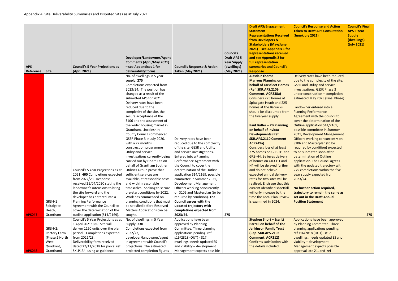|               |                     |                                        |                                  |                                        |                    | <b>Draft APS/Engagement</b>       | <b>Council's Response and Action</b>   | <b>Council's Final</b> |
|---------------|---------------------|----------------------------------------|----------------------------------|----------------------------------------|--------------------|-----------------------------------|----------------------------------------|------------------------|
|               |                     |                                        |                                  |                                        |                    | <b>Statement</b>                  | <b>Taken to Draft APS Consultation</b> | <b>APS 5 Year</b>      |
|               |                     |                                        |                                  |                                        |                    | <b>Representations Received</b>   | (June/July 2021)                       | <b>Supply</b>          |
|               |                     |                                        |                                  |                                        |                    | from Developers &                 |                                        | (dwellings)            |
|               |                     |                                        |                                  |                                        |                    | <b>Stakeholders (May/June</b>     |                                        | (July 2021)            |
|               |                     |                                        |                                  |                                        |                    | 2021) - see Appendix 1 for        |                                        |                        |
|               |                     |                                        |                                  |                                        | <b>Council's</b>   | <b>Representations received</b>   |                                        |                        |
|               |                     |                                        | Developer/Landowner/Agent        |                                        | <b>Draft APS 5</b> | and see Appendix 2 for            |                                        |                        |
|               |                     |                                        | <b>Comments (April/May 2021)</b> |                                        | <b>Year Supply</b> | full representation               |                                        |                        |
| <b>APS</b>    |                     | <b>Council's 5 Year Projections as</b> | - see Appendices 1 for           | <b>Council's Response &amp; Action</b> | (dwellings)        | summaries and Council's           |                                        |                        |
| Reference     | <b>Site</b>         | (April 2021)                           | deliverability forms             | <b>Taken (May 2021)</b>                | (May 2021)         | <b>Response</b>                   |                                        |                        |
|               |                     |                                        | No. of dwellings in 5 year       |                                        |                    | <b>Alasdair Thorne -</b>          | Delivery rates have been reduced       |                        |
|               |                     |                                        | supply: 275                      |                                        |                    | <b>Marrons Planning on</b>        | due to the complexity of the site,     |                        |
|               |                     |                                        | Completions expected from        |                                        |                    | behalf of Larkfleet Homes         | <b>GSSR and Utility and service</b>    |                        |
|               |                     |                                        | 2023/24. The position has        |                                        |                    | (Ref. SKR.APS.2109                | investigations. GSSR Phase 3           |                        |
|               |                     |                                        | changed as a result of the       |                                        |                    | <b>Comment. ACR238a)</b>          | under construction - completion        |                        |
|               |                     |                                        | submitted APS for 2021.          |                                        |                    | Considers 275 homes at            | estimated May 2023 (Final Phase)       |                        |
|               |                     |                                        | Delivery rates have been         |                                        |                    | Spitalgate Heath and 225          |                                        |                        |
|               |                     |                                        | reduced due to the               |                                        |                    | homes at the Barracks             | Landowner entered into a               |                        |
|               |                     |                                        | complexity of the site, the      |                                        |                    | should be discounted from         | <b>Planning Performance</b>            |                        |
|               |                     |                                        | secure acceptance of the         |                                        |                    | the five year supply.             | Agreement with the Council to          |                        |
|               |                     |                                        | S106 and the assessment of       |                                        |                    |                                   | cover the determination of the         |                        |
|               |                     |                                        | the wider housing market in      |                                        |                    | <b>Paul Butler - PB Planning</b>  | Outline application S14/2169,          |                        |
|               |                     |                                        | Grantham. Lincolnshire           |                                        |                    | on behalf of Invicta              | possible committee in Summer           |                        |
|               |                     |                                        | <b>County Council commenced</b>  |                                        |                    | <b>Developments (Ref.</b>         | 2021, Development Management           |                        |
|               |                     |                                        | GSSR Phase 3 in July 2020,       | Delivery rates have been               |                    | <b>SKR.APS.2110 Comment</b>       | Officers working concurrently on       |                        |
|               |                     |                                        | with a 27 months                 | reduced due to the complexity          |                    | <b>ACR249a)</b>                   | S106 and Masterplan (to be             |                        |
|               |                     |                                        | construction programme           | of the site, GSSR and Utility          |                    | <b>Considers loss of at least</b> | required by condition) expected        |                        |
|               |                     |                                        | Utility and service              | and service investigations.            |                    | 275 homes on GR3-H1 and           | to be submitted soon after             |                        |
|               |                     |                                        | investigations currently being   | Entered into a Planning                |                    | GR3-H4. Believes delivery         | determination of Outline               |                        |
|               |                     |                                        | carried out by Hoare Lea on      | Performance Agreement with             |                    | of homes on GR3-H1 and            | application. The Council agrees        |                        |
|               |                     |                                        | behalf of Grantham Southern      | the Council to cover the               |                    | H4 will be delayed further        | with the updated trajectory with       |                        |
|               |                     | Council's 5 Year Projections as at     | Utilities Group prove that       | determination of the Outline           |                    | and do not believe                | 275 completions within the five        |                        |
|               |                     | 2021: 400 Completions expected         | sufficient services are          | application S14/2169, possible         |                    | expected annual delivery          | year supply expected from              |                        |
|               |                     | from 2022/23. Response                 | available, at reasonable costs   | committee in Summer 2021,              |                    | rates for two sites will be       | 2023/24.                               |                        |
|               |                     | received 21/04/2020 stating the        | and within reasonable            | Development Management                 |                    | realised. Envisage that this      |                                        |                        |
|               |                     | landowner's intensions to bring        | timescales. Seeking to secure    | Officers working concurrently          |                    | current identified shortfall      | No further action required,            |                        |
|               |                     | the site forward and the               | pre-start conditions by 2022.    | on S106 and Masterplan (to be          |                    | will only increase by the         | trajectory to remain the same as       |                        |
|               |                     | developer has entered into a           | Work has commenced on            | required by condition). The            |                    | time the Local Plan Review        | set out in the Draft Annual            |                        |
|               | GR3-H1              | <b>Planning Performance</b>            | planning conditions that must    | <b>Council agrees with the</b>         |                    | is examined in 2024.              | <b>Position Statement</b>              |                        |
|               | Spitalgate          | Agreement with the Council to          | be satisfied before Reserved     | updated trajectory with                |                    |                                   |                                        |                        |
|               | Heath,              | cover the determination of the         | Matters Applications can be      | completions expected from              |                    |                                   |                                        |                        |
| <b>APS047</b> | Grantham            | outline application (S14/2169).        | sought.                          | 2023/24.                               | 275                |                                   |                                        | 275                    |
|               |                     | Council's 5 Year Projections as at     | No. of dwellings In 5 Year       | Applications have been                 |                    | <b>Stephen Short - Escritt</b>    | Applications have been approved        |                        |
|               |                     | 1 April 2021: 330 Site will            | Supply: 330                      | approved by Planning                   |                    | <b>Barrell on behalf of The</b>   | by Planning Committee. Three           |                        |
|               | GR3-H2:             | deliver 1150 units over the plan       | Completions expected from        | Committee. Three planning              |                    | <b>Jenkinson Family Trust</b>     | planning applications pending:         |                        |
|               | <b>Rectory Farm</b> | period. Completions expected           | 2022/23,                         | applications pending: ref              |                    | (Rep. SKR.APS.2103                | ref s16/2818 (OUT) - 817               |                        |
|               | (Phase 2 North      | from 2022/23.                          | developer/landowner/agent        | s16/2818 (OUT) - 817                   |                    | <b>Comment. ACR212)</b>           | dwellings; needs updated ES and        |                        |
|               | West                | Deliverability form received           | in agreement with Council's      | dwellings; needs updated ES            |                    | Confirms satisfaction with        | viability - development                |                        |
|               | Quadrant,           | dated 27/11/2018 for parcel ref.       | projections. The estimated       | and viability - development            |                    | the details included.             | Management expects possible            |                        |
| <b>APS048</b> | Grantham)           | SKLP134; using as guidance             | projected completion figures     | Management expects possible            |                    |                                   | approval late 21, and ref              |                        |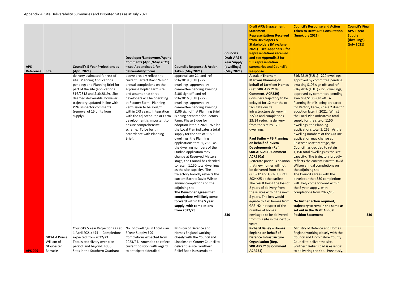|                |                 |                                        |                                  |                                        |                    | <b>Draft APS/Engagement</b>      | <b>Council's Response and Action</b>   | <b>Council's Final</b> |
|----------------|-----------------|----------------------------------------|----------------------------------|----------------------------------------|--------------------|----------------------------------|----------------------------------------|------------------------|
|                |                 |                                        |                                  |                                        |                    | <b>Statement</b>                 | <b>Taken to Draft APS Consultation</b> | <b>APS 5 Year</b>      |
|                |                 |                                        |                                  |                                        |                    | <b>Representations Received</b>  | (June/July 2021)                       | <b>Supply</b>          |
|                |                 |                                        |                                  |                                        |                    | from Developers &                |                                        | (dwellings)            |
|                |                 |                                        |                                  |                                        |                    | <b>Stakeholders (May/June</b>    |                                        | (July 2021)            |
|                |                 |                                        |                                  |                                        |                    | $2021$ ) – see Appendix 1 for    |                                        |                        |
|                |                 |                                        |                                  |                                        | <b>Council's</b>   | <b>Representations received</b>  |                                        |                        |
|                |                 |                                        | Developer/Landowner/Agent        |                                        | <b>Draft APS 5</b> | and see Appendix 2 for           |                                        |                        |
|                |                 |                                        | <b>Comments (April/May 2021)</b> |                                        | <b>Year Supply</b> | full representation              |                                        |                        |
| <b>APS</b>     |                 | <b>Council's 5 Year Projections as</b> | - see Appendices 1 for           | <b>Council's Response &amp; Action</b> | (dwellings)        | summaries and Council's          |                                        |                        |
| Reference      | <b>Site</b>     | (April 2021)                           | deliverability forms             | <b>Taken (May 2021)</b>                | (May 2021)         | <b>Response</b>                  |                                        |                        |
|                |                 | delivery estimated for rest of         | above broadly reflect the        | approval late 21, and ref              |                    | <b>Alasdair Thorne -</b>         | S16/2819 (FULL) - 220 dwellings,       |                        |
|                |                 | site. Planning Applications            | current Barratt David Wilson     | S16/2819 (FULL) - 220                  |                    | <b>Marrons Planning on</b>       | approved by committee pending          |                        |
|                |                 | pending; and Planning Brief for        | annual completions on the        | dwellings, approved by                 |                    | behalf of Larkfleet Homes        | awaiting S106 sign off; and ref        |                        |
|                |                 | part of the site (applications         | adjoining Poplar Farm site,      | committee pending awaiting             |                    | (Ref. SKR.APS.2109               | S16/2816 (FULL) - 228 dwellings,       |                        |
|                |                 | S16/2818 and S16/2819). Site           | and assume that three            | S106 sign off; and ref                 |                    | <b>Comment. ACR239)</b>          | approved by committee pending          |                        |
|                |                 | deemed deliverable, however            | developers will be operating     | S16/2816 (FULL) - 228                  |                    | Considers trajectory to be       | awaiting S106 sign off. A              |                        |
|                |                 | trajectory updated in line with        | at Rectory Farm. Planning        | dwellings, approved by                 |                    | delayed for 12 months to         | Planning Brief is being prepared       |                        |
|                |                 | PINs Inspector comments                | Permission to be sought          | committee pending awaiting             |                    | facilitate onsite                | for Rectory Farm, Phase 2 due for      |                        |
|                |                 | (removal of 15 units from              | within 2/3 years. Integration    | S106 sign off. A Planning Brief        |                    | infrastructure delivery in       | adoption later in 2021. Whilst         |                        |
|                |                 | supply)                                | with the adjacent Poplar Farm    | is being prepared for Rectory          |                    | 22/23 and completions            | the Local Plan indicates a total       |                        |
|                |                 |                                        | development is important to      | Farm, Phase 2 due for                  |                    | 23/24 reducing delivery          | supply for the site of 1150            |                        |
|                |                 |                                        | ensure comprehensive             | adoption later in 2021. Whilst         |                    | from the site by 120             | dwellings, the Planning                |                        |
|                |                 |                                        | scheme. To be built in           | the Local Plan indicates a total       |                    | dwellings.                       | applications total 1, 265. As the      |                        |
|                |                 |                                        | accordance with Planning         | supply for the site of 1150            |                    |                                  | dwelling numbers of the Outline        |                        |
|                |                 |                                        | Brief.                           | dwellings, the Planning                |                    | <b>Paul Butler - PB Planning</b> | application may change at              |                        |
|                |                 |                                        |                                  | applications total 1, 265. As          |                    | on behalf of Invicta             | Reserved Matters stage, the            |                        |
|                |                 |                                        |                                  | the dwelling numbers of the            |                    | <b>Developments (Ref.</b>        | Council has decided to retain          |                        |
|                |                 |                                        |                                  | Outline application may                |                    | <b>SKR.APS.2110 Comment</b>      | 1,150 total dwellings as the site      |                        |
|                |                 |                                        |                                  | change at Reserved Matters             |                    | <b>ACR250a)</b>                  | capacity. The trajectory broadly       |                        |
|                |                 |                                        |                                  | stage, the Council has decided         |                    | Reiterate previous position      | reflects the current Barratt David     |                        |
|                |                 |                                        |                                  | to retain 1,150 total dwellings        |                    | that new homes will not          | Wilson annual completions on           |                        |
|                |                 |                                        |                                  | as the site capacity. The              |                    | be delivered from sites          | the adjoining site.                    |                        |
|                |                 |                                        |                                  | trajectory broadly reflects the        |                    | GR3-H2 and GR3-H3 until          | The Council agrees with the            |                        |
|                |                 |                                        |                                  | current Barratt David Wilson           |                    | 2024/25 at the earliest.         | developer that 330 completions         |                        |
|                |                 |                                        |                                  | annual completions on the              |                    | The result being the loss of     | will likely come forward within        |                        |
|                |                 |                                        |                                  | adjoining site.                        |                    | 2 years of delivery from         | the 5 year supply, with                |                        |
|                |                 |                                        |                                  | The Developer agrees that              |                    | these sites within the next      | completions from 2022/23.              |                        |
|                |                 |                                        |                                  | completions will likely come           |                    | 5 years. The loss would          |                                        |                        |
|                |                 |                                        |                                  | forward within the 5 year              |                    | equate to 120 homes from         | No further action required,            |                        |
|                |                 |                                        |                                  | supply, with completions               |                    | GR3-H2 in respect of the         | trajectory to remain the same as       |                        |
|                |                 |                                        |                                  | from 2022/23.                          |                    | number of homes                  | set out in the Draft Annual            |                        |
|                |                 |                                        |                                  |                                        | 330                | envisaged to be delivered        | <b>Position Statement</b>              | 330                    |
|                |                 |                                        |                                  |                                        |                    | from this site in the next 5-    |                                        |                        |
|                |                 |                                        |                                  |                                        |                    | years                            |                                        |                        |
|                |                 | Council's 5 Year Projections as at     | No. of dwellings in Local Plan   | Ministry of Defence and                |                    | <b>Richard Bailey - Homes</b>    | <b>Ministry of Defence and Homes</b>   |                        |
|                |                 | 1 April 2021: 425 Completions          | 5 Year Supply: 300               | Homes England working                  |                    | <b>England on behalf of</b>      | England working closely with the       |                        |
|                | GR3-H4 Prince   | expected from 2022/23                  | Completions expected from        | closely with the Council and           |                    | <b>Defence Infrastructure</b>    | <b>Council and Lincolnshire County</b> |                        |
|                | William of      | Total site delivery over plan          | 2023/24. Amended to reflect      | Lincolnshire County Council to         |                    | <b>Organisation (Rep.</b>        | Council to deliver the site.           |                        |
|                | Gloucester      | period, and beyond: 4000.              | current position with regard     | deliver the site. Southern             |                    | <b>SKR.APS.2108 Comment</b>      | Southern Relief Road is essential      |                        |
| <b>APS 049</b> | <b>Barracks</b> | Sites in the Southern Quadrant         | to anticipated detailed          | Relief Road is essential to            |                    | <b>ACR221)</b>                   | to delivering the site. Previously,    |                        |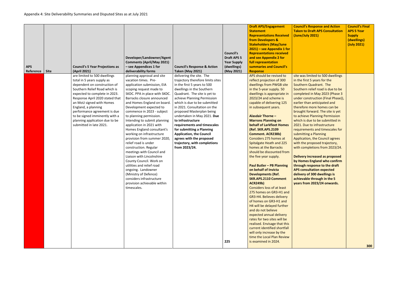| <b>APS</b><br>Reference | <b>Site</b> | <b>Council's 5 Year Projections as</b><br>(April 2021)                                                                                                                                                                                                                                                                                                                            | Developer/Landowner/Agent<br><b>Comments (April/May 2021)</b><br>- see Appendices 1 for<br>deliverability forms                                                                                                                                                                                                                                                                                                                                                                                                                                                                                                                                                                                                                                  | <b>Council's Response &amp; Action</b><br><b>Taken (May 2021)</b>                                                                                                                                                                                                                                                                                                                                                                                                                                                     | <b>Council's</b><br><b>Draft APS 5</b><br><b>Year Supply</b><br>(dwellings)<br>(May 2021) | <b>Draft APS/Engagement</b><br><b>Statement</b><br><b>Representations Received</b><br>from Developers &<br><b>Stakeholders (May/June</b><br>$2021$ ) – see Appendix 1 for<br><b>Representations received</b><br>and see Appendix 2 for<br>full representation<br>summaries and Council's<br><b>Response</b>                                                                                                                                                                                                                                                                                                                                                                                                                                                                                                                                                                                                                                                                                                                                  | <b>Coun</b><br><b>Taker</b><br>(June)                                                                                                                                                                                                             |
|-------------------------|-------------|-----------------------------------------------------------------------------------------------------------------------------------------------------------------------------------------------------------------------------------------------------------------------------------------------------------------------------------------------------------------------------------|--------------------------------------------------------------------------------------------------------------------------------------------------------------------------------------------------------------------------------------------------------------------------------------------------------------------------------------------------------------------------------------------------------------------------------------------------------------------------------------------------------------------------------------------------------------------------------------------------------------------------------------------------------------------------------------------------------------------------------------------------|-----------------------------------------------------------------------------------------------------------------------------------------------------------------------------------------------------------------------------------------------------------------------------------------------------------------------------------------------------------------------------------------------------------------------------------------------------------------------------------------------------------------------|-------------------------------------------------------------------------------------------|----------------------------------------------------------------------------------------------------------------------------------------------------------------------------------------------------------------------------------------------------------------------------------------------------------------------------------------------------------------------------------------------------------------------------------------------------------------------------------------------------------------------------------------------------------------------------------------------------------------------------------------------------------------------------------------------------------------------------------------------------------------------------------------------------------------------------------------------------------------------------------------------------------------------------------------------------------------------------------------------------------------------------------------------|---------------------------------------------------------------------------------------------------------------------------------------------------------------------------------------------------------------------------------------------------|
|                         |             | are limited to 500 dwellings<br>total in 5 years supply as<br>dependent on construction of<br>Southern Relief Road which is<br>expected to complete in 2023.<br>Response April 2020 stated that<br>an MoU signed with Homes<br>England, a planning<br>performance agreement is due<br>to be signed imminently with a<br>planning application due to be<br>submitted in late 2021. | planning approval and site<br>vacation times. Pre-<br>application submission, EIA<br>scoping request made to<br>SKDC. PPA in place with SKDC.<br>Barracks closure announced<br>and Homes England on board.<br>Development expected to<br>commence in 2023 - subject<br>to planning permission.<br>Intending to submit planning<br>application in 2021 with<br>Homes England consultant's<br>working on infrastructure<br>provision from summer 2020,<br>relief road is under<br>construction. Regular<br>meetings with Council and<br>Liaison with Lincolnshire<br>County Council. Work on<br>utilities and relief road<br>ongoing. Landowner<br>(Ministry of Defence)<br>considers infrastructure<br>provision achievable within<br>timescales. | delivering the site. The<br>trajectory therefore limits sites<br>in the first 5 years to 500<br>dwellings in the Southern<br>Quadrant. The site is yet to<br>achieve Planning Permission<br>which is due to be submitted<br>in 2021. Consultation on the<br>proposed Masterplan being<br>undertaken in May 2021. Due<br>to infrastructure<br>requirements and timescales<br>for submitting a Planning<br><b>Application, the Council</b><br>agrees with the proposed<br>trajectory, with completions<br>from 2023/24. | 225                                                                                       | APS should be revised to<br>reflect projection of 300<br>dwellings from PWGB site<br>in the 5-year supply. 50<br>dwellings is appropriate in<br>2023/24 and scheme is<br>capable of delivering 125<br>in subsequent years.<br><b>Alasdair Thorne -</b><br><b>Marrons Planning on</b><br>behalf of Larkfleet Homes<br>(Ref. SKR.APS.2109<br><b>Comment. ACR238b)</b><br>Considers 275 homes at<br>Spitalgate Heath and 225<br>homes at the Barracks<br>should be discounted from<br>the five year supply.<br><b>Paul Butler - PB Planning</b><br>on behalf of Invicta<br><b>Developments (Ref.</b><br><b>SKR.APS.2110 Comment</b><br><b>ACR249b)</b><br><b>Considers loss of at least</b><br>275 homes on GR3-H1 and<br>GR3-H4. Believes delivery<br>of homes on GR3-H1 and<br>H4 will be delayed further<br>and do not believe<br>expected annual delivery<br>rates for two sites will be<br>realised. Envisage that this<br>current identified shortfall<br>will only increase by the<br>time the Local Plan Review<br>is examined in 2024. | site w<br>in the<br>South<br>South<br>comp<br>under<br>earlie<br>there<br>broug<br>to ach<br>which<br>2021.<br>requil<br>subm<br><b>Applic</b><br>with t<br>with o<br><b>Delive</b><br>by Ho<br>throu<br><b>APS c</b><br>delive<br>achie<br>years |

| <b>Council's Response and Action</b><br><b>Taken to Draft APS Consultation</b><br>(June/July 2021)                                                                                                                                                                                                                                                                                                                                                                                                                                                                                                                                                                                                                                                                                                                                   | <b>Council's Final</b><br><b>APS 5 Year</b><br><b>Supply</b><br>(dwellings)<br>(July 2021) |
|--------------------------------------------------------------------------------------------------------------------------------------------------------------------------------------------------------------------------------------------------------------------------------------------------------------------------------------------------------------------------------------------------------------------------------------------------------------------------------------------------------------------------------------------------------------------------------------------------------------------------------------------------------------------------------------------------------------------------------------------------------------------------------------------------------------------------------------|--------------------------------------------------------------------------------------------|
| site was limited to 500 dwellings<br>in the first 5 years for the<br>Southern Quadrant. The<br>Southern relief road is due to be<br>completed in May 2023 (Phase 3<br>under construction (Final Phase)),<br>earlier than anticipated and<br>therefore more homes can be<br>brought forward. The site is yet<br>to achieve Planning Permission<br>which is due to be submitted in<br>2021. Due to infrastructure<br>requirements and timescales for<br>submitting a Planning<br><b>Application, the Council agrees</b><br>with the proposed trajectory,<br>with completions from 2023/24.<br><b>Delivery increased as proposed</b><br>by Homes England who confirm<br>through response to the draft<br><b>APS consultation expected</b><br>delivery of 300 dwellings is<br>achievable through in the 5<br>years from 2023/24 onwards. | 300                                                                                        |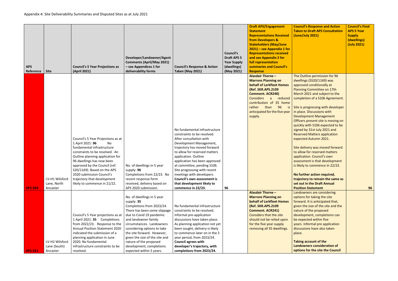| <b>APS</b><br>Reference | <b>Site</b>             | <b>Council's 5 Year Projections as</b><br>(April 2021)        | Developer/Landowner/Agent<br><b>Comments (April/May 2021)</b><br>- see Appendices 1 for<br>deliverability forms | <b>Council's Response &amp; Action</b><br><b>Taken (May 2021)</b> | <b>Council's</b><br><b>Draft APS 5</b><br><b>Year Supply</b><br>(dwellings)<br>(May 2021) | <b>Draft APS/Engagement</b><br><b>Statement</b><br><b>Representations Received</b><br>from Developers &<br><b>Stakeholders (May/June</b><br>$2021$ ) – see Appendix 1 for<br><b>Representations received</b><br>and see Appendix 2 for<br>full representation<br>summaries and Council's<br><b>Response</b> | Cound<br><b>Taker</b><br>(June) |
|-------------------------|-------------------------|---------------------------------------------------------------|-----------------------------------------------------------------------------------------------------------------|-------------------------------------------------------------------|-------------------------------------------------------------------------------------------|-------------------------------------------------------------------------------------------------------------------------------------------------------------------------------------------------------------------------------------------------------------------------------------------------------------|---------------------------------|
|                         |                         |                                                               |                                                                                                                 |                                                                   |                                                                                           | <b>Alasdair Thorne -</b>                                                                                                                                                                                                                                                                                    | The O                           |
|                         |                         |                                                               |                                                                                                                 |                                                                   |                                                                                           | <b>Marrons Planning on</b><br><b>behalf of Larkfleet Homes</b>                                                                                                                                                                                                                                              | dwelli                          |
|                         |                         |                                                               |                                                                                                                 |                                                                   |                                                                                           | (Ref. SKR.APS.2109                                                                                                                                                                                                                                                                                          | appro<br>Plann                  |
|                         |                         |                                                               |                                                                                                                 |                                                                   |                                                                                           | <b>Comment. ACR240)</b>                                                                                                                                                                                                                                                                                     | March                           |
|                         |                         |                                                               |                                                                                                                 |                                                                   |                                                                                           | <b>Considers</b><br>reduced                                                                                                                                                                                                                                                                                 | comp                            |
|                         |                         |                                                               |                                                                                                                 |                                                                   |                                                                                           | contribution of 35 home                                                                                                                                                                                                                                                                                     |                                 |
|                         |                         |                                                               |                                                                                                                 |                                                                   |                                                                                           | 96<br>rather<br>than<br><i>is</i>                                                                                                                                                                                                                                                                           | Site is                         |
|                         |                         |                                                               |                                                                                                                 |                                                                   |                                                                                           | anticipated for the five year<br>supply.                                                                                                                                                                                                                                                                    | in pla<br><b>Devel</b>          |
|                         |                         |                                                               |                                                                                                                 |                                                                   |                                                                                           |                                                                                                                                                                                                                                                                                                             | Office                          |
|                         |                         |                                                               |                                                                                                                 |                                                                   |                                                                                           |                                                                                                                                                                                                                                                                                                             | quickl                          |
|                         |                         |                                                               |                                                                                                                 | No fundamental infrastructure                                     |                                                                                           |                                                                                                                                                                                                                                                                                                             | signed                          |
|                         |                         |                                                               |                                                                                                                 | constraints to be resolved.                                       |                                                                                           |                                                                                                                                                                                                                                                                                                             | Reser                           |
|                         |                         | Council's 5 Year Projections as at                            |                                                                                                                 | After consultation with                                           |                                                                                           |                                                                                                                                                                                                                                                                                                             | expec                           |
|                         |                         | 1 April 2021: 96<br><b>No</b><br>fundamental infrastructure   |                                                                                                                 | Development Management,<br>trajectory has moved forward           |                                                                                           |                                                                                                                                                                                                                                                                                                             | Site d                          |
|                         |                         | constraints to be resolved. An                                |                                                                                                                 | to allow for reserved matters                                     |                                                                                           |                                                                                                                                                                                                                                                                                                             | to allo                         |
|                         |                         | Outline planning application for                              |                                                                                                                 | application. Outline                                              |                                                                                           |                                                                                                                                                                                                                                                                                                             | applic                          |
|                         |                         | 96 dwellings has now been                                     |                                                                                                                 | application has been approved                                     |                                                                                           |                                                                                                                                                                                                                                                                                                             | assess                          |
|                         |                         | approved by the Council (ref.                                 | No. of dwellings in 5 year                                                                                      | at committee, pending S106.                                       |                                                                                           |                                                                                                                                                                                                                                                                                                             | is like                         |
|                         |                         | S20/1169). Based on the APS                                   | supply: 96                                                                                                      | Site progressing with recent                                      |                                                                                           |                                                                                                                                                                                                                                                                                                             |                                 |
|                         |                         | 2020 submission Council's                                     | Completions from 22/23. No                                                                                      | meetings with developers.                                         |                                                                                           |                                                                                                                                                                                                                                                                                                             | No fu                           |
|                         | LV-H1 Wilsford          | trajectory that development<br>likely to commence in 21/22.   | recent response form                                                                                            | <b>Council's own assessment is</b>                                |                                                                                           |                                                                                                                                                                                                                                                                                                             | trajec                          |
| <b>APS 050</b>          | Lane, North<br>Ancaster |                                                               | received, delivery based on<br>APS 2020 submission.                                                             | that development likely to<br>commence in 22/23.                  | 96                                                                                        |                                                                                                                                                                                                                                                                                                             | set ou<br><b>Positi</b>         |
|                         |                         |                                                               |                                                                                                                 |                                                                   |                                                                                           | <b>Alasdair Thorne -</b>                                                                                                                                                                                                                                                                                    | Lando                           |
|                         |                         |                                                               | No. of dwellings in 5 year                                                                                      |                                                                   |                                                                                           | <b>Marrons Planning on</b>                                                                                                                                                                                                                                                                                  | option                          |
|                         |                         |                                                               | supply: 35                                                                                                      |                                                                   |                                                                                           | <b>behalf of Larkfleet Homes</b>                                                                                                                                                                                                                                                                            | forwa                           |
|                         |                         |                                                               | Completions from 2023/24.                                                                                       | No fundamental infrastructure                                     |                                                                                           | (Ref. SKR.APS.2109                                                                                                                                                                                                                                                                                          | given                           |
|                         |                         |                                                               | There has been some slippage                                                                                    | constraints to be resolved.                                       |                                                                                           | <b>Comment. ACR241)</b>                                                                                                                                                                                                                                                                                     | natur                           |
|                         |                         | Council's 5 Year projections as at                            | due to Covid 19 pandemic<br>and landowner family                                                                | Informal pre-application                                          |                                                                                           | Considers that the site                                                                                                                                                                                                                                                                                     | devel                           |
|                         |                         | 1 April 2021: 35 Completions<br>from 2022/23. Response to the | circumstances. Landowners                                                                                       | discussions have taken place.<br>As planning application not yet  |                                                                                           | should not be relied upon<br>for the five year supply                                                                                                                                                                                                                                                       | be ex<br>years.                 |
|                         |                         | <b>Annual Position Statement 2020</b>                         | considering options to take                                                                                     | been sought, delivery is likely                                   |                                                                                           | removing all 35 dwellings.                                                                                                                                                                                                                                                                                  | discus                          |
|                         |                         | indicated the submission of a                                 | the site forward. However,                                                                                      | to commence later on in the 5                                     |                                                                                           |                                                                                                                                                                                                                                                                                                             | place.                          |
|                         |                         | planning application in June                                  | given the size of the site and                                                                                  | year period, from 2023/24.                                        |                                                                                           |                                                                                                                                                                                                                                                                                                             |                                 |
|                         | LV-H2 Wilsford          | 2020. No fundamental                                          | nature of the proposed                                                                                          | <b>Council agrees with</b>                                        |                                                                                           |                                                                                                                                                                                                                                                                                                             | <b>Takin</b>                    |
|                         | Lane (South)            | infrastructure constraints to be                              | development, completions                                                                                        | developer's trajectory, with                                      |                                                                                           |                                                                                                                                                                                                                                                                                                             | Lando                           |
| <b>APS 051</b>          | Ancaster                | resolved.                                                     | expected within 5 years.                                                                                        | completions from 2023/24.                                         |                                                                                           |                                                                                                                                                                                                                                                                                                             | optio                           |

| <b>Council's Response and Action</b><br><b>Taken to Draft APS Consultation</b><br>(June/July 2021)                                                                                                                                                                                                                                                                                                                                                                                                                                                                                                                                                                                                                                                | <b>Council's Final</b><br><b>APS 5 Year</b><br><b>Supply</b><br>(dwellings)<br>(July 2021) |
|---------------------------------------------------------------------------------------------------------------------------------------------------------------------------------------------------------------------------------------------------------------------------------------------------------------------------------------------------------------------------------------------------------------------------------------------------------------------------------------------------------------------------------------------------------------------------------------------------------------------------------------------------------------------------------------------------------------------------------------------------|--------------------------------------------------------------------------------------------|
| The Outline permission for 96<br>dwellings (SS20/1169) was<br>approved conditionally at<br>Planning Committee on 17th<br>March 2021 and subject to the<br>completion of a S106 Agreement.<br>Site is progressing with developer<br>in place. Discussions with<br><b>Development Management</b><br>Officers present site is moving on<br>quickly with S106 expected to be<br>signed by 31st July 2021 and<br><b>Reserved Matters application</b><br>expected Autumn 2021.<br>Site delivery was moved forward<br>to allow for reserved matters<br>application. Council's own<br>assessment is that development<br>is likely to commence in 22/23.<br>No further action required,<br>trajectory to remain the same as<br>set out in the Draft Annual |                                                                                            |
| <b>Position Statement</b>                                                                                                                                                                                                                                                                                                                                                                                                                                                                                                                                                                                                                                                                                                                         | 96                                                                                         |
| Landowners are considering<br>options for taking the site<br>forward. It is anticipated that,<br>given the size of the site and the<br>nature of the proposed<br>development, completions can<br>be expected within five<br>years. Informal pre application<br>discussions have also taken<br>place.<br><b>Taking account of the</b><br><b>Landowners consideration of</b><br>options for the site the Council                                                                                                                                                                                                                                                                                                                                    |                                                                                            |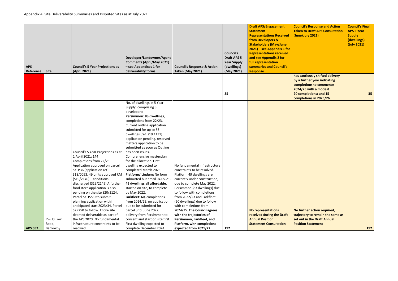| <b>Council's Response and Action</b><br><b>Taken to Draft APS Consultation</b><br>(June/July 2021)                          | <b>Council's Final</b><br><b>APS 5 Year</b><br><b>Supply</b><br>(dwellings)<br>(July 2021) |
|-----------------------------------------------------------------------------------------------------------------------------|--------------------------------------------------------------------------------------------|
| has cautiously shifted delivery                                                                                             |                                                                                            |
| by a further year indicating<br>completions to commence                                                                     |                                                                                            |
| 2024/25 with a modest                                                                                                       |                                                                                            |
| 20 completions; and 15<br>completions in 2025/26.                                                                           | 35                                                                                         |
|                                                                                                                             |                                                                                            |
| No further action required,<br>trajectory to remain the same as<br>set out in the Draft Annual<br><b>Position Statement</b> | 192                                                                                        |

| <b>APS</b><br>Reference | <b>Site</b>        | <b>Council's 5 Year Projections as</b><br>(April 2021)                                                                                                                                                                                                                                                                                                                                                                                                                                 | Developer/Landowner/Agent<br><b>Comments (April/May 2021)</b><br>- see Appendices 1 for<br>deliverability forms                                                                                                                                                                                                                                                                                                                                                                                                                                                                                                                                                                                                                            | <b>Council's Response &amp; Action</b><br><b>Taken (May 2021)</b>                                                                                                                                                                                                                                                                                                       | <b>Council's</b><br><b>Draft APS 5</b><br><b>Year Supply</b><br>(dwellings)<br>(May 2021) | <b>Draft APS/Engagement</b><br><b>Statement</b><br><b>Representations Received</b><br>from Developers &<br><b>Stakeholders (May/June</b><br>$2021$ – see Appendix 1 for<br><b>Representations received</b><br>and see Appendix 2 for<br>full representation<br>summaries and Council's<br><b>Response</b> | Cour<br><b>Take</b><br>(Jun |
|-------------------------|--------------------|----------------------------------------------------------------------------------------------------------------------------------------------------------------------------------------------------------------------------------------------------------------------------------------------------------------------------------------------------------------------------------------------------------------------------------------------------------------------------------------|--------------------------------------------------------------------------------------------------------------------------------------------------------------------------------------------------------------------------------------------------------------------------------------------------------------------------------------------------------------------------------------------------------------------------------------------------------------------------------------------------------------------------------------------------------------------------------------------------------------------------------------------------------------------------------------------------------------------------------------------|-------------------------------------------------------------------------------------------------------------------------------------------------------------------------------------------------------------------------------------------------------------------------------------------------------------------------------------------------------------------------|-------------------------------------------------------------------------------------------|-----------------------------------------------------------------------------------------------------------------------------------------------------------------------------------------------------------------------------------------------------------------------------------------------------------|-----------------------------|
|                         |                    |                                                                                                                                                                                                                                                                                                                                                                                                                                                                                        |                                                                                                                                                                                                                                                                                                                                                                                                                                                                                                                                                                                                                                                                                                                                            |                                                                                                                                                                                                                                                                                                                                                                         |                                                                                           |                                                                                                                                                                                                                                                                                                           | has o<br>by a               |
|                         |                    |                                                                                                                                                                                                                                                                                                                                                                                                                                                                                        |                                                                                                                                                                                                                                                                                                                                                                                                                                                                                                                                                                                                                                                                                                                                            |                                                                                                                                                                                                                                                                                                                                                                         |                                                                                           |                                                                                                                                                                                                                                                                                                           | com<br>2024                 |
|                         |                    |                                                                                                                                                                                                                                                                                                                                                                                                                                                                                        |                                                                                                                                                                                                                                                                                                                                                                                                                                                                                                                                                                                                                                                                                                                                            |                                                                                                                                                                                                                                                                                                                                                                         | 35                                                                                        |                                                                                                                                                                                                                                                                                                           | 20 с<br>com                 |
|                         |                    | Council's 5 Year Projections as at<br>1 April 2021: 144<br>Completions from 22/23.<br>Application approved on parcel<br>SKLP36 (application ref<br>S18/0093, 49 units approved RM<br>$(S19/2140)$ – conditions<br>discharged (S19/2149) A further<br>food store application is also<br>pending on the site S20/1124.<br>Parcel SKLP270 to submit<br>planning application within<br>anticipated start 2023/34, Parcel<br>SKP250 to follow. Entire site<br>deemed deliverable as part of | No. of dwellings in 5 Year<br>Supply: comprising 3<br>developers:<br>Persimmon: 83 dwellings,<br>completions from 22/23.<br>Current outline application<br>submitted for up to 83<br>dwellings (ref. s19.1131)<br>application pending, reserved<br>matters application to be<br>submitted as soon as Outline<br>has been issues.<br>Comprehensive masterplan<br>for the allocation. First<br>dwelling expected to<br>completed March 2023.<br>Platform/ Lindum: No form<br>submitted but email 04.05.21.<br>49 dwellings all affordable,<br>started on site, to complete<br>by May 2022.<br>Larkfleet: 60, completions<br>from 2024/25, no application<br>due to be submitted for<br>parcel until June 2022,<br>delivery from Persimmon to | No fundamental infrastructure<br>constraints to be resolved.<br>Platform 49 dwellings are<br>currently under construction,<br>due to complete May 2022.<br>Persimmon (83 dwellings) due<br>to follow with completions<br>from 2022/23 and Larkfleet<br>(60 dwellings) due to follow<br>with completions from<br>2024/25. The Council agrees<br>with the trajectories of |                                                                                           | <b>No representations</b><br>received during the Draft                                                                                                                                                                                                                                                    | No f<br>traje               |
|                         | LV-H3 Low<br>Road, | the APS 2020. No fundamental<br>infrastructure constraints to be                                                                                                                                                                                                                                                                                                                                                                                                                       | consent and start on site first.<br>First dwelling expected to                                                                                                                                                                                                                                                                                                                                                                                                                                                                                                                                                                                                                                                                             | Persimmon, Larkfleet, and<br>Platform, with completions                                                                                                                                                                                                                                                                                                                 |                                                                                           | <b>Annual Position</b><br><b>Statement Consultation</b>                                                                                                                                                                                                                                                   | set o<br><b>Posit</b>       |
| <b>APS 052</b>          | Barrowby           | resolved.                                                                                                                                                                                                                                                                                                                                                                                                                                                                              | complete December 2024.                                                                                                                                                                                                                                                                                                                                                                                                                                                                                                                                                                                                                                                                                                                    | expected from 2021/22.                                                                                                                                                                                                                                                                                                                                                  | 192                                                                                       |                                                                                                                                                                                                                                                                                                           |                             |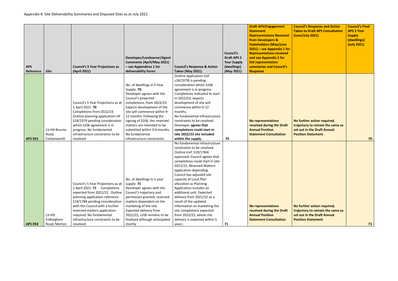| <b>Council's Response and Action</b><br><b>Taken to Draft APS Consultation</b><br>(June/July 2021)                          | <b>Council's Final</b><br><b>APS 5 Year</b><br><b>Supply</b><br>(dwellings)<br>(July 2021) |
|-----------------------------------------------------------------------------------------------------------------------------|--------------------------------------------------------------------------------------------|
| No further action required,<br>trajectory to remain the same as<br>set out in the Draft Annual<br><b>Position Statement</b> | 70                                                                                         |
| No further action required,<br>trajectory to remain the same as<br>set out in the Draft Annual<br><b>Position Statement</b> | 71                                                                                         |

|                       | <b>Council's 5 Year Projections as</b>                                                                                                                                                                                                                                                                      | Developer/Landowner/Agent<br><b>Comments (April/May 2021)</b><br>- see Appendices 1 for                                                                                                                                                                                                                                                | <b>Council's Response &amp; Action</b>                                                                                                                                                                                                                                                                                                                                                                                                                                                                                                       | <b>Council's</b><br><b>Draft APS 5</b><br><b>Year Supply</b><br>(dwellings) | <b>Draft APS/Engagement</b><br><b>Statement</b><br><b>Representations Received</b><br>from Developers &<br><b>Stakeholders (May/June</b><br>$2021$ ) – see Appendix 1 for<br><b>Representations received</b><br>and see Appendix 2 for<br>full representation<br>summaries and Council's | Cour<br><b>Take</b><br>(June           |
|-----------------------|-------------------------------------------------------------------------------------------------------------------------------------------------------------------------------------------------------------------------------------------------------------------------------------------------------------|----------------------------------------------------------------------------------------------------------------------------------------------------------------------------------------------------------------------------------------------------------------------------------------------------------------------------------------|----------------------------------------------------------------------------------------------------------------------------------------------------------------------------------------------------------------------------------------------------------------------------------------------------------------------------------------------------------------------------------------------------------------------------------------------------------------------------------------------------------------------------------------------|-----------------------------------------------------------------------------|------------------------------------------------------------------------------------------------------------------------------------------------------------------------------------------------------------------------------------------------------------------------------------------|----------------------------------------|
| LV-H4 Bourne<br>Road, | Council's 5 Year Projections as at<br>1 April 2021: 70<br>Completions from 2022/23.<br>Outline planning application ref<br>S18/2379 pending consideration<br>whilst S106 agreement is in<br>progress. No fundamental<br>infrastructure constraints to be                                                    | No. of dwellings in 5 Year<br>Supply: 70.<br>Developer agrees with the<br>Council's projected<br>completions, from 2022/23.<br>Expects development of the<br>site will commence within 9-<br>12 months. Following the<br>signing of S106, the reserved<br>matters are intended to be<br>submitted within 3-6 months.<br>No fundamental | Outline application (ref.<br>s18/2379) is pending<br>consideration whilst S106<br>agreement is in progress.<br>Completions indicated to start<br>in 2022/23, expects<br>development of site will<br>commence within 9-12<br>months.<br>No fundamental infrastructure<br>constraints to be resolved.<br>Developer agrees that<br>completions could start in<br>late 2022/23 site included                                                                                                                                                     |                                                                             | <b>No representations</b><br>received during the Draft<br><b>Annual Position</b><br><b>Statement Consultation</b>                                                                                                                                                                        | No f<br>traje<br>set o<br><b>Posit</b> |
| LV-H9<br>Folkingham   | Council's 5 Year Projections as at<br>1 April 2021: 71 Completions<br>expected from 2021/22. Outline<br>planning application reference<br>S19/1784 pending consideration<br>with the Council with a further<br>reserved matters application<br>required. No fundamental<br>infrastructure constraints to be | No. of dwellings in 5 year<br>supply: 71<br>Developer agrees with the<br>Council's trajectory and<br>permission granted, reserved<br>matters dependent on the<br>marketing of the site.<br>Expected delivery from<br>2021/22, s106 remains to be<br>finalised although anticipated                                                     | No fundamental infrastructure<br>constraints to be resolved.<br>Outline (ref. S19/1784)<br>approved. Council agrees that<br>completions could start in late<br>2021/22, Reserved Matters<br>application depending.<br>Council has adjusted site<br>capacity of Local Plan<br>allocation as Planning<br>Application includes an<br>additional unit. Expected<br>delivery from 2021/22 as a<br>result of the updated<br>information on marketing the<br>site completions expected<br>from 2022/23, whole site<br>delivery is expected within 5 | 70                                                                          | <b>No representations</b><br>received during the Draft<br><b>Annual Position</b><br><b>Statement Consultation</b>                                                                                                                                                                        | No f<br>traje<br>set o<br><b>Posit</b> |
|                       | <b>Site</b><br>Colsterworth<br>Road, Morton                                                                                                                                                                                                                                                                 | (April 2021)<br>resolved.<br>resolved.                                                                                                                                                                                                                                                                                                 | deliverability forms<br>infrastructure constraints.<br>shortly.                                                                                                                                                                                                                                                                                                                                                                                                                                                                              | <b>Taken (May 2021)</b><br>within the supply.<br>years.                     | (May 2021)<br>71                                                                                                                                                                                                                                                                         | <b>Response</b>                        |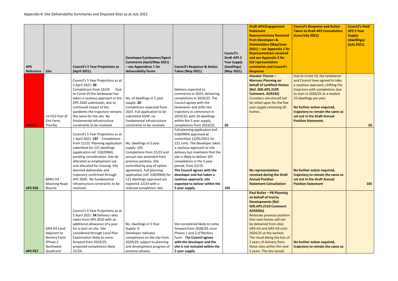| <b>Council's Response and Action</b><br><b>Taken to Draft APS Consultation</b><br>(June/July 2021)                                                                                                                                                                                                                                     | <b>Council's Final</b><br><b>APS 5 Year</b><br><b>Supply</b><br>(dwellings)<br>(July 2021) |
|----------------------------------------------------------------------------------------------------------------------------------------------------------------------------------------------------------------------------------------------------------------------------------------------------------------------------------------|--------------------------------------------------------------------------------------------|
| Due to Covid-19, the landowner<br>and Council have agreed to take<br>a cautious approach, shifting the<br>trajectory with completions due<br>to start in 2024/25 at a modest<br>10 dwellings per year.<br>No further action required,<br>trajectory to remain the same as<br>set out in the Draft Annual<br><b>Position Statement.</b> |                                                                                            |
| No further action required,<br>trajectory to remain the same as<br>set out in the Draft Annual<br><b>Position Statement</b>                                                                                                                                                                                                            | 20<br>105                                                                                  |
| No further action required,<br>trajectory to remain the same as                                                                                                                                                                                                                                                                        |                                                                                            |

| <b>APS</b>                       |                                                                                         | <b>Council's 5 Year Projections as</b>                                                                                                                                                                                                                                                                                                                                                                                                            | Developer/Landowner/Agent<br><b>Comments (April/May 2021)</b><br>- see Appendices 1 for                                                                                                                                                                                                                                                     | <b>Council's Response &amp; Action</b>                                                                                                                                                                                                                                                                                                                                                                                                                | <b>Council's</b><br><b>Draft APS 5</b><br><b>Year Supply</b><br>(dwellings) | <b>Draft APS/Engagement</b><br><b>Statement</b><br><b>Representations Received</b><br>from Developers &<br><b>Stakeholders (May/June</b><br>$2021$ ) – see Appendix 1 for<br><b>Representations received</b><br>and see Appendix 2 for<br>full representation<br>summaries and Council's                                                                                                                  | Cour<br><b>Take</b><br>(Jun                                                                               |
|----------------------------------|-----------------------------------------------------------------------------------------|---------------------------------------------------------------------------------------------------------------------------------------------------------------------------------------------------------------------------------------------------------------------------------------------------------------------------------------------------------------------------------------------------------------------------------------------------|---------------------------------------------------------------------------------------------------------------------------------------------------------------------------------------------------------------------------------------------------------------------------------------------------------------------------------------------|-------------------------------------------------------------------------------------------------------------------------------------------------------------------------------------------------------------------------------------------------------------------------------------------------------------------------------------------------------------------------------------------------------------------------------------------------------|-----------------------------------------------------------------------------|-----------------------------------------------------------------------------------------------------------------------------------------------------------------------------------------------------------------------------------------------------------------------------------------------------------------------------------------------------------------------------------------------------------|-----------------------------------------------------------------------------------------------------------|
| Reference                        | <b>Site</b>                                                                             | (April 2021)                                                                                                                                                                                                                                                                                                                                                                                                                                      | deliverability forms                                                                                                                                                                                                                                                                                                                        | <b>Taken (May 2021)</b>                                                                                                                                                                                                                                                                                                                                                                                                                               | (May 2021)                                                                  | <b>Response</b>                                                                                                                                                                                                                                                                                                                                                                                           |                                                                                                           |
|                                  | LV-H12 Part of<br>Elm Farm,                                                             | Council's 5 Year Projections as at<br>1 April 2021: 30<br>Completions from 23/24.<br>Due<br>to Covid-19 the landowner has<br>taken a cautious approach in the<br>APS 2020 submission, due to<br>continued impact of the<br>pandemic the trajectory remains<br>the same for the site. No<br>fundamental infrastructure                                                                                                                             | No. of dwellings in 5 year<br>supply: 20.<br>Completions expected from<br>2023. Full application to be<br>submitted ASAP, no<br>fundamental infrastructure                                                                                                                                                                                  | Delivery expected to<br>commence in 2023, delivering<br>completions in 2024/25. The<br>Council agrees with the<br>landowner and shifts the<br>trajectory to commence in<br>2024/25, with 20 dwellings<br>within the 5 year supply,                                                                                                                                                                                                                    |                                                                             | <b>Alasdair Thorne -</b><br><b>Marrons Planning on</b><br><b>behalf of Larkfleet Homes</b><br>(Ref. SKR.APS.2109<br><b>Comment. ACR242)</b><br>Considers site should not<br>be relied upon for the five<br>year supply removing 20<br>homes.                                                                                                                                                              | <b>Due</b><br>and<br>a cau<br>traje<br>to st<br>10 <sub>d</sub><br>No f<br>traje<br>set o<br><b>Posit</b> |
| <b>APS 055</b><br><b>APS 056</b> | Thurlby<br><b>BRN1-H1</b><br><b>Manning Road</b><br><b>Bourne</b>                       | constraints to be resolved.<br>Council's 5 Year Projections as at<br>1 April 2021: 107 Completions<br>from 21/22. Planning application<br>submitted for 121 dwellings<br>(application ref. S18/0904),<br>pending consideration. Site de-<br>allocated as employment use<br>and allocated for housing. Site<br>deemed deliverable and<br>trajectory confirmed through<br>APS 2020. No fundamental<br>infrastructure constraints to be<br>resolved. | constraints to be resolved.<br>No. dwellings in 5 year<br>supply: 105<br>Completions from 22/23 and<br>annual rate amended from<br>previous position. Site<br>controlled by way of option<br>agreement. Full planning<br>application (ref. S18/0904) for<br>121 dwellings approved are<br>expected 22/23 with a<br>reduced completion rate. | completions from 2024/25.<br>Full planning application (ref.<br>S18/0904) approved at<br>committee 12/05/2021 for<br>121 units. The developer takes<br>a cautious approach to site<br>delivery but maintains that the<br>site is likely to deliver 105<br>completions in the 5 year<br>period, from 22/23.<br>The Council agrees with the<br>developer and has taken a<br>cautious approach, site<br>expected to deliver within the<br>5 year supply. | 20<br>105                                                                   | <b>No representations</b><br>received during the Draft<br><b>Annual Position</b><br><b>Statement Consultation</b>                                                                                                                                                                                                                                                                                         | No f<br>traje<br>set o<br><b>Posit</b>                                                                    |
| <b>APS 057</b>                   | GR3-H3 Land<br>Adjacent to<br><b>Rectory Farm</b><br>(Phase 3<br>Northwest<br>Quadrant) | Council's 5 Year Projections as at<br>1 April 2021: 54 Delivery rates<br>taken from APS 2020 with an<br>additional allowance of a year<br>for a start on site. Site<br>considered through Local Plan<br>Examination likely to come<br>forward from 2024/25,<br>projected completions likely<br>25/26.                                                                                                                                             | No. dwellings in 5 Year<br>Supply: 0<br>Developer indicates<br>completions on the site from<br>2028/29, subject to planning<br>and development program of<br>previous phases.                                                                                                                                                               | Site considered likely to come<br>forward from 2028/29, once<br>Phases 1 and 2 of Rectory<br>Farm. The Council agrees<br>with the developer and the<br>site is not included within the<br>5 year supply.                                                                                                                                                                                                                                              |                                                                             | <b>Paul Butler - PB Planning</b><br>on behalf of Invicta<br><b>Developments (Ref.</b><br><b>SKR.APS.2110 Comment</b><br><b>ACR250a)</b><br>Reiterate previous position<br>that new homes will not<br>be delivered from sites<br>GR3-H2 and GR3-H3 until<br>2024/25 at the earliest.<br>The result being the loss of<br>2 years of delivery from<br>these sites within the next<br>5 years. The loss would | No f<br>traje                                                                                             |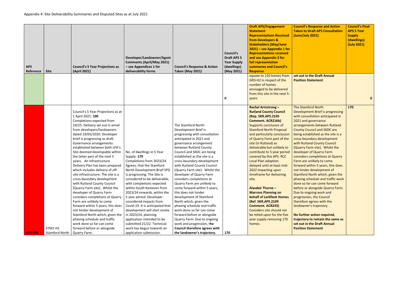| - see Appendices 1 for<br>summaries and Council's<br><b>APS</b><br>(dwellings)<br><b>Council's 5 Year Projections as</b><br><b>Council's Response &amp; Action</b><br>deliverability forms<br><b>Site</b><br>(April 2021)<br><b>Taken (May 2021)</b><br>Reference<br>(May 2021)<br><b>Response</b><br>equate to 120 homes from<br>GR3-H2 in respect of the<br>number of homes<br>envisaged to be delivered<br>from this site in the next 5-<br>0<br>years<br><b>Rachel Armstrong -</b><br>Council's 5 Year Projections as at<br><b>Rutland County Council</b><br>1 April 2021: 100<br>(Rep. SKR.APS.2105<br>Completions expected from<br><b>Comment. ACR216b)</b><br>24/25. Delivery set out in email<br>The Stamford North<br>Supports conclusion of<br><b>Stamford North Proposal</b><br>from developers/landowners<br>Development Brief is<br>dated 19/05/2020. Developer<br>and particularly conclusion<br>progressing with consultation<br>brief is progressing as draft.<br>anticipated in 2021 and<br>of Quarry Farm part of the<br>site (in Rutland) as<br>Governance arrangements<br>governance arrangement<br>established between both LPA's.<br>between Rutland County<br>deliverable but unlikely to<br>Council and SKDC are being<br>contribute to 5 year period<br>Site deemed developable within<br>No. of dwellings in 5 Year<br>established as the site is a<br>covered by this APS. RCC<br>the latter part of the next 5<br>Supply: 170<br>years. An Infrastructure<br>Completions from 2023/24.<br>Local Plan adoption<br>cross-boundary development<br>with Rutland County Council<br>Delivery Plan has been prepared<br>Agrees, that the Stamford<br>delayed until at least mid-<br>which includes delivery of off-<br>North Development Brief SPD<br>(Quarry Farm site). Whilst the<br>2022 impacting upon<br>timeframe for delivering<br>site infrastructure. The site is a<br>is progressing. The Site is<br>developer of Quarry Farm<br>cross-boundary development<br>considered to be deliverable,<br>considers completions at<br>site.<br>with Rutland County Council<br>with completions expected<br>Quarry Farm are unlikely to | <b>Stakeholders (May/June</b><br>2021) - see Appendix 1 for<br><b>Representations received</b><br>and see Appendix 2 for<br>full representation                                                                                                                                                                                                                                                                                                                                                                                                                                                                                                                                                                                                                                                                                                                                             | <b>Supply</b><br>(dwellings)<br>(July 2021) |
|--------------------------------------------------------------------------------------------------------------------------------------------------------------------------------------------------------------------------------------------------------------------------------------------------------------------------------------------------------------------------------------------------------------------------------------------------------------------------------------------------------------------------------------------------------------------------------------------------------------------------------------------------------------------------------------------------------------------------------------------------------------------------------------------------------------------------------------------------------------------------------------------------------------------------------------------------------------------------------------------------------------------------------------------------------------------------------------------------------------------------------------------------------------------------------------------------------------------------------------------------------------------------------------------------------------------------------------------------------------------------------------------------------------------------------------------------------------------------------------------------------------------------------------------------------------------------------------------------------------------------------------------------------------------------------------------------------------------------------------------------------------------------------------------------------------------------------------------------------------------------------------------------------------------------------------------------------------------------------------------------------------------------------------------------------------------------------------------------------------------------------------------------------------|---------------------------------------------------------------------------------------------------------------------------------------------------------------------------------------------------------------------------------------------------------------------------------------------------------------------------------------------------------------------------------------------------------------------------------------------------------------------------------------------------------------------------------------------------------------------------------------------------------------------------------------------------------------------------------------------------------------------------------------------------------------------------------------------------------------------------------------------------------------------------------------------|---------------------------------------------|
|                                                                                                                                                                                                                                                                                                                                                                                                                                                                                                                                                                                                                                                                                                                                                                                                                                                                                                                                                                                                                                                                                                                                                                                                                                                                                                                                                                                                                                                                                                                                                                                                                                                                                                                                                                                                                                                                                                                                                                                                                                                                                                                                                              |                                                                                                                                                                                                                                                                                                                                                                                                                                                                                                                                                                                                                                                                                                                                                                                                                                                                                             |                                             |
|                                                                                                                                                                                                                                                                                                                                                                                                                                                                                                                                                                                                                                                                                                                                                                                                                                                                                                                                                                                                                                                                                                                                                                                                                                                                                                                                                                                                                                                                                                                                                                                                                                                                                                                                                                                                                                                                                                                                                                                                                                                                                                                                                              | set out in the Draft Annual<br><b>Position Statement</b>                                                                                                                                                                                                                                                                                                                                                                                                                                                                                                                                                                                                                                                                                                                                                                                                                                    |                                             |
| within South Kesteven from<br><b>Alasdair Thorne -</b><br>(Quarry Farm site). Whilst the<br>come forward within 5 years,<br>2023/24 onwards, within the<br><b>Marrons Planning on</b><br>developer of Quarry Farm<br>this does not hinder<br><b>behalf of Larkfleet Homes</b><br>considers completions at Quarry<br>5 year period. Developer<br>development of Stamford<br>Farm are unlikely to come<br>considered impacts from<br>North which, given the<br>(Ref. SKR.APS.2109<br>forward within 5 years, this does<br>Covid-19. It is anticipated that<br>phasing schedule and traffic<br><b>Comment. ACR243)</b><br>work done so far can come<br>Considers site should not<br>not hinder development of<br>development will start onsite<br>be relied upon for the five<br>Stamford North which, given the<br>in $2023/24$ , planning<br>forward before or alongside<br>phasing schedule and traffic<br>Quarry Farm. Due to ongoing<br>application intended to be<br>year supply removing 170<br>work done so far can come<br>submitted 21/22. Technical<br>work and progression, the<br>homes.<br>STM1-H1<br>forward before or alongside<br>work has begun towards an<br>Council therefore agrees with<br>application submission.<br><b>APS 058</b><br>Stamford North<br>Quarry Farm.<br>the landowner's trajectory.<br>170                                                                                                                                                                                                                                                                                                                                                                                                                                                                                                                                                                                                                                                                                                                                                                                                                              | <b>The Stamford North</b><br>Development Brief is progressing<br>with consultation anticipated in<br>2021 and governance<br>arrangements between Rutland<br><b>County Council and SKDC are</b><br>being established as the site is a<br>cross-boundary development<br>with Rutland County Council<br>(Quarry Farm site). Whilst the<br>developer of Quarry Farm<br>considers completions at Quarry<br>Farm are unlikely to come<br>forward within 5 years, this does<br>not hinder development of<br>Stamford North which, given the<br>phasing schedule and traffic work<br>done so far can come forward<br>before or alongside Quarry Farm.<br>Due to ongoing work and<br>progression, the Council<br>therefore agrees with the<br>landowner's trajectory.<br>No further action required,<br>trajectory to remain the same as<br>set out in the Draft Annual<br><b>Position Statement</b> | 170                                         |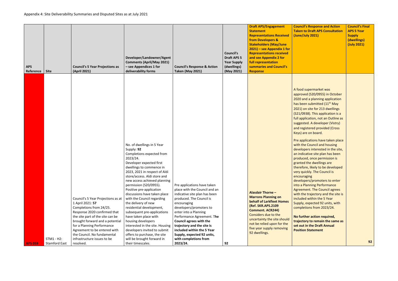| full representation<br><b>Comments (April/May 2021)</b><br><b>Year Supply</b><br>summaries and Council's<br>- see Appendices 1 for<br><b>APS</b><br><b>Council's 5 Year Projections as</b><br><b>Council's Response &amp; Action</b><br>(dwellings)<br>deliverability forms<br>Reference<br><b>Site</b><br>(April 2021)<br><b>Taken (May 2021)</b><br>(May 2021)<br><b>Response</b>                                                                                                                                                                                                                                                                                                                                                                                                                                                                                                                                                                                                                                                                                                                                                                                                                                                                                                                                                                                                                                                                                                                                                                                                                                                                                                                                         |                                                                                                                                                                                                                                                                                   |
|-----------------------------------------------------------------------------------------------------------------------------------------------------------------------------------------------------------------------------------------------------------------------------------------------------------------------------------------------------------------------------------------------------------------------------------------------------------------------------------------------------------------------------------------------------------------------------------------------------------------------------------------------------------------------------------------------------------------------------------------------------------------------------------------------------------------------------------------------------------------------------------------------------------------------------------------------------------------------------------------------------------------------------------------------------------------------------------------------------------------------------------------------------------------------------------------------------------------------------------------------------------------------------------------------------------------------------------------------------------------------------------------------------------------------------------------------------------------------------------------------------------------------------------------------------------------------------------------------------------------------------------------------------------------------------------------------------------------------------|-----------------------------------------------------------------------------------------------------------------------------------------------------------------------------------------------------------------------------------------------------------------------------------|
| No. of dwellings in 5 Year<br>Supply: 92<br>Completions expected from<br>2023/24.<br>Developer expected first<br>dwellings to commence in<br>2023, 2021 in respect of Aldi<br>store/access. Aldi store and<br>new access achieved planning<br>permission (S20/0955).<br>Pre applications have taken<br>Positive pre-application<br>place with the Council and an<br><b>Alasdair Thorne -</b><br>discussions have taken place<br>indicative site plan has been<br><b>Marrons Planning on</b><br>with the Council regarding<br>produced. The Council is<br>Council's 5 Year Projections as at<br>behalf of Larkfleet Homes<br>1 April 2021: 57<br>the delivery of new<br>encouraging<br>(Ref. SKR.APS.2109<br>developers/promoters to<br>Completions from 24/25.<br>residential development,<br><b>Comment. ACR244)</b><br>Response 2020 confirmed that<br>subsequent pre-applications<br>enter into a Planning<br>Considers due to the<br>the site part of the site can be<br>have taken place with<br>Performance Agreement. The<br>uncertainty the site should<br><b>Council agrees with the</b><br>brought forward and a potential<br>housing developers<br>not be relied upon for the<br>trajectory and the site is<br>for a Planning Performance<br>interested in the site. Housing<br>five year supply removing<br>Agreement to be entered with<br>developers invited to submit<br>included within the 5 Year<br>92 dwellings.<br>the Council. No fundamental<br>offers to purchase, the site<br>Supply, expected 92 units,<br>STM1 - H2:<br>infrastructure issues to be<br>will be brought forward in<br>with completions from<br>their timescales.<br>2023/24.<br><b>APS 059</b><br>Stamford East<br>resolved.<br>92 | A for<br>appr<br>2020<br>has k<br>2021<br>(S <sub>21</sub> )<br>full a<br>sugg<br>and<br><b>Keys</b><br>Pre a<br>with<br>deve<br>an in<br>prod<br>gran<br>there<br>very<br>enco<br>deve<br>into<br>Agre<br>with<br>inclu<br>Supp<br>com<br>No f<br>traje<br>set o<br><b>Posit</b> |

| <b>Council's Response and Action</b><br><b>Taken to Draft APS Consultation</b><br>(June/July 2021)                                                                                                                                                                                                                                                                                                                                                                                                                                                                                                                                                                                                                                                                                                                                                                                                                                                                                                                             | <b>Council's Final</b><br><b>APS 5 Year</b><br><b>Supply</b><br>(dwellings)<br>(July 2021) |
|--------------------------------------------------------------------------------------------------------------------------------------------------------------------------------------------------------------------------------------------------------------------------------------------------------------------------------------------------------------------------------------------------------------------------------------------------------------------------------------------------------------------------------------------------------------------------------------------------------------------------------------------------------------------------------------------------------------------------------------------------------------------------------------------------------------------------------------------------------------------------------------------------------------------------------------------------------------------------------------------------------------------------------|--------------------------------------------------------------------------------------------|
| A food supermarket was<br>approved (S20/0955) in October<br>2020 and a planning application<br>has been submitted (11 <sup>th</sup> May<br>2021) on site for 213 dwellings<br>(S21/0938). This application is a<br>full application, not an Outline as<br>suggested. A developer (Vistry)<br>and registered provided (Cross<br>Keys) are on board.<br>Pre applications have taken place<br>with the Council and housing<br>developers interested in the site,<br>an indicative site plan has been<br>produced, once permission is<br>granted the dwellings are<br>therefore, likely to be developed<br>very quickly. The Council is<br>encouraging<br>developers/promoters to enter<br>into a Planning Performance<br><b>Agreement. The Council agrees</b><br>with the trajectory and the site is<br>included within the 5 Year<br>Supply, expected 92 units, with<br>completions from 2023/24.<br>No further action required,<br>trajectory to remain the same as<br>set out in the Draft Annual<br><b>Position Statement</b> |                                                                                            |
|                                                                                                                                                                                                                                                                                                                                                                                                                                                                                                                                                                                                                                                                                                                                                                                                                                                                                                                                                                                                                                | 92                                                                                         |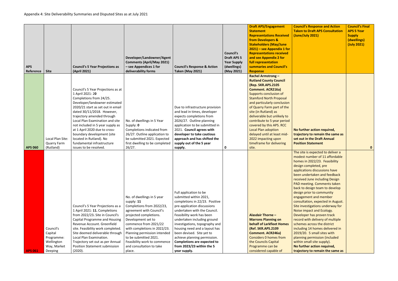|                |                    |                                        |                                  |                                        |                    | <b>Draft APS/Engagement</b>     | <b>Council's Response and Action</b>   | <b>Council's Final</b> |
|----------------|--------------------|----------------------------------------|----------------------------------|----------------------------------------|--------------------|---------------------------------|----------------------------------------|------------------------|
|                |                    |                                        |                                  |                                        |                    | <b>Statement</b>                | <b>Taken to Draft APS Consultation</b> | <b>APS 5 Year</b>      |
|                |                    |                                        |                                  |                                        |                    | <b>Representations Received</b> | (June/July 2021)                       | <b>Supply</b>          |
|                |                    |                                        |                                  |                                        |                    | from Developers &               |                                        | (dwellings)            |
|                |                    |                                        |                                  |                                        |                    | <b>Stakeholders (May/June</b>   |                                        | (July 2021)            |
|                |                    |                                        |                                  |                                        |                    | $2021$ ) – see Appendix 1 for   |                                        |                        |
|                |                    |                                        |                                  |                                        | <b>Council's</b>   | <b>Representations received</b> |                                        |                        |
|                |                    |                                        | Developer/Landowner/Agent        |                                        | <b>Draft APS 5</b> | and see Appendix 2 for          |                                        |                        |
|                |                    |                                        | <b>Comments (April/May 2021)</b> |                                        | <b>Year Supply</b> | full representation             |                                        |                        |
| <b>APS</b>     |                    | <b>Council's 5 Year Projections as</b> | - see Appendices 1 for           | <b>Council's Response &amp; Action</b> | (dwellings)        | summaries and Council's         |                                        |                        |
| Reference      | <b>Site</b>        | (April 2021)                           | deliverability forms             | <b>Taken (May 2021)</b>                | (May 2021)         | <b>Response</b>                 |                                        |                        |
|                |                    |                                        |                                  |                                        |                    | <b>Rachel Armstrong -</b>       |                                        |                        |
|                |                    |                                        |                                  |                                        |                    | <b>Rutland County Council</b>   |                                        |                        |
|                |                    |                                        |                                  |                                        |                    | (Rep. SKR.APS.2105              |                                        |                        |
|                |                    | Council's 5 Year Projections as at     |                                  |                                        |                    | <b>Comment. ACR216a)</b>        |                                        |                        |
|                |                    | 1 April 2021: 20                       |                                  |                                        |                    | Supports conclusion of          |                                        |                        |
|                |                    | Completions from 24/25.                |                                  |                                        |                    | <b>Stamford North Proposal</b>  |                                        |                        |
|                |                    | Developer/landowner estimated          |                                  |                                        |                    | and particularly conclusion     |                                        |                        |
|                |                    | 2020/21 start as set out in email      |                                  | Due to infrastructure provision        |                    | of Quarry Farm part of the      |                                        |                        |
|                |                    | dated 30/11/2018. However,             |                                  | and lead in times, developer           |                    | site (in Rutland) as            |                                        |                        |
|                |                    | trajectory amended through             |                                  | expects completions from               |                    | deliverable but unlikely to     |                                        |                        |
|                |                    | Local Plan Examination and site        | No. of dwellings in 5 Year       | 2026/27. Outline planning              |                    | contribute to 5 year period     |                                        |                        |
|                |                    | not included in 5 year supply as       | Supply: 0                        | application to be submitted in         |                    | covered by this APS. RCC        |                                        |                        |
|                |                    | at 1 April 2020 due to cross-          | Completions indicated from       | 2021. Council agrees with              |                    | Local Plan adoption             | No further action required,            |                        |
|                |                    | boundary development (site             | 26/27. Outline application to    | developer to take cautious             |                    | delayed until at least mid-     | trajectory to remain the same as       |                        |
|                | Local Plan Site:   | located in Rutland). No                | be submitted 2021. Expected      | approach and has shifted the           |                    | 2022 impacting upon             | set out in the Draft Annual            |                        |
|                | <b>Quarry Farm</b> | fundamental infrastructure             | first dwelling to be completed   | supply out of the 5 year               |                    | timeframe for delivering        | <b>Position Statement</b>              |                        |
| <b>APS 060</b> | (Rutland)          | issues to be resolved.                 | 26/27.                           | supply.                                | 0                  | site.                           |                                        | $\mathbf{0}$           |
|                |                    |                                        |                                  |                                        |                    |                                 | The site is expected to deliver a      |                        |
|                |                    |                                        |                                  |                                        |                    |                                 | modest number of 11 affordable         |                        |
|                |                    |                                        |                                  |                                        |                    |                                 | homes in 2022/23. Feasibility          |                        |
|                |                    |                                        |                                  |                                        |                    |                                 | design completed, pre                  |                        |
|                |                    |                                        |                                  |                                        |                    |                                 | applications discussions have          |                        |
|                |                    |                                        |                                  |                                        |                    |                                 | been undertaken and feedback           |                        |
|                |                    |                                        |                                  |                                        |                    |                                 | received June including Design         |                        |
|                |                    |                                        |                                  |                                        |                    |                                 | PAD meeting. Comments taken            |                        |
|                |                    |                                        |                                  |                                        |                    |                                 | back to design team to develop         |                        |
|                |                    |                                        |                                  | Full application to be                 |                    |                                 | design prior to community              |                        |
|                |                    |                                        | No. of dwellings in 5 year       | submitted within 2021,                 |                    |                                 | engagement and member                  |                        |
|                |                    |                                        | supply: 11                       | completions in 22/23. Positive         |                    |                                 | consultation, expected in August.      |                        |
|                |                    | Council's 5 Year Projections as a      | Completions from 2022/23,        | pre-application discussions            |                    |                                 | Site investigations underway for       |                        |
|                |                    | 1 April 2021: 11. Completions          | agreement with Council's         | undertaken with the Council.           |                    |                                 | Noise impact and Ecology.              |                        |
|                |                    | from 2022/23. Site in Council's        | projected completions.           | Feasibility work has been              |                    | <b>Alasdair Thorne -</b>        | Developer has proven track             |                        |
|                |                    | Capital Programme and Housing          | Development set to               | undertaken including ground            |                    | <b>Marrons Planning on</b>      | record with delivery of multiple       |                        |
|                |                    | Revenue Account. Greenfield            | commence from 2021/22            | investigations, topography and         |                    | behalf of Larkfleet Homes       | schemes across the district            |                        |
|                | Council's          | site. Feasibility work completed.      | with completions in 2022/23.     | housing need and a layout has          |                    | (Ref. SKR.APS.2109              | including 14 homes delivered in        |                        |
|                | Capital            | Site deemed deliverable through        | Planning permission intended     | been devised. Site yet to              |                    | <b>Comment. ACR246a)</b>        | 2019/20. 5 small sites with            |                        |
|                | Programme:         | Local Plan Examination.                | to be submitted 2021.            | achieve planning permission.           |                    | <b>Considers 0 homes from</b>   | planning permission (included          |                        |
|                | Wellington         | Trajectory set out as per Annual       | Feasibility work to commence     | <b>Completions are expected to</b>     |                    | the Councils Capital            | within small site supply).             |                        |
|                | Way, Market        | Position Statement submission          | and consultation to take         | from 2023/23 within the 5              |                    | Programme can be                | No further action required,            |                        |
| <b>APS 061</b> | Deeping            | (2020).                                | place.                           | year supply.                           |                    | considered capable of           | trajectory to remain the same as       |                        |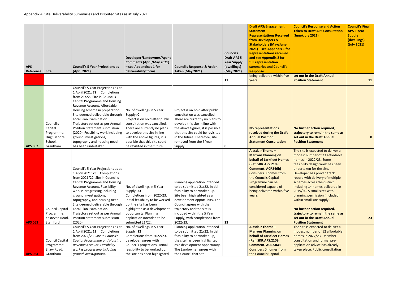| <b>APS</b>     |                                                                                | <b>Council's 5 Year Projections as</b>                                                                                                                                                                                                                                                                                                                                                                                                                          | Developer/Landowner/Agent<br><b>Comments (April/May 2021)</b><br>- see Appendices 1 for                                                                                                                                                                                    | <b>Council's Response &amp; Action</b>                                                                                                                                                                                                                                                            | Council's<br><b>Draft APS 5</b><br><b>Year Supply</b><br>(dwellings) | <b>Draft APS/Engagement</b><br><b>Statement</b><br><b>Representations Received</b><br>from Developers &<br><b>Stakeholders (May/June</b><br>$2021$ ) – see Appendix 1 for<br><b>Representations received</b><br>and see Appendix 2 for<br>full representation<br>summaries and Council's | <b>Council's Response and Action</b><br><b>Taken to Draft APS Consultation</b><br>(June/July 2021)                                                                                                                                                                                                                                                                                                                                                                                                                             | <b>Council's Final</b><br><b>APS 5 Year</b><br><b>Supply</b><br>(dwellings)<br>(July 2021) |
|----------------|--------------------------------------------------------------------------------|-----------------------------------------------------------------------------------------------------------------------------------------------------------------------------------------------------------------------------------------------------------------------------------------------------------------------------------------------------------------------------------------------------------------------------------------------------------------|----------------------------------------------------------------------------------------------------------------------------------------------------------------------------------------------------------------------------------------------------------------------------|---------------------------------------------------------------------------------------------------------------------------------------------------------------------------------------------------------------------------------------------------------------------------------------------------|----------------------------------------------------------------------|------------------------------------------------------------------------------------------------------------------------------------------------------------------------------------------------------------------------------------------------------------------------------------------|--------------------------------------------------------------------------------------------------------------------------------------------------------------------------------------------------------------------------------------------------------------------------------------------------------------------------------------------------------------------------------------------------------------------------------------------------------------------------------------------------------------------------------|--------------------------------------------------------------------------------------------|
| Reference      | <b>Site</b>                                                                    | (April 2021)                                                                                                                                                                                                                                                                                                                                                                                                                                                    | deliverability forms                                                                                                                                                                                                                                                       | <b>Taken (May 2021)</b>                                                                                                                                                                                                                                                                           | (May 2021)                                                           | <b>Response</b>                                                                                                                                                                                                                                                                          |                                                                                                                                                                                                                                                                                                                                                                                                                                                                                                                                |                                                                                            |
|                |                                                                                |                                                                                                                                                                                                                                                                                                                                                                                                                                                                 |                                                                                                                                                                                                                                                                            |                                                                                                                                                                                                                                                                                                   | 11                                                                   | being delivered within five<br>years.                                                                                                                                                                                                                                                    | set out in the Draft Annual<br><b>Position Statement</b>                                                                                                                                                                                                                                                                                                                                                                                                                                                                       | 11                                                                                         |
| <b>APS 062</b> | Council's<br>Capital<br>Programme:<br><b>Hugh Moore</b><br>School,<br>Grantham | Council's 5 Year Projections as at<br>1 April 2021: 72 Completions<br>from 21/22. Site in Council's<br>Capital Programme and Housing<br>Revenue Account. Affordable<br>Housing scheme in preparation.<br>Site deemed deliverable through<br>Local Plan Examination.<br>Trajectory set out as per Annual<br>Position Statement submission<br>(2020). Feasibility work including<br>ground investigations,<br>topography and housing need<br>has been undertaken. | No. of dwellings in 5 Year<br>Supply: 0<br>Project is on hold after public<br>consultation was cancelled.<br>There are currently no plans<br>to develop this site in line<br>with the above figures, it is<br>possible that this site could<br>be revisited in the future. | Project is on hold after public<br>consultation was cancelled.<br>There are currently no plans to<br>develop this site in line with<br>the above figures, it is possible<br>that this site could be revisited<br>in the future. Therefore, site<br>removed from the 5 Year<br>Supply.             | 0                                                                    | <b>No representations</b><br>received during the Draft<br><b>Annual Position</b><br><b>Statement Consultation</b>                                                                                                                                                                        | No further action required,<br>trajectory to remain the same as<br>set out in the Draft Annual<br><b>Position Statement</b>                                                                                                                                                                                                                                                                                                                                                                                                    |                                                                                            |
| <b>APS 063</b> | Council Capital<br>Programme:<br>Kesteven Road,<br>Stamford                    | Council's 5 Year Projections as at<br>1 April 2021: 23. Completions<br>from 2021/22. Site in Council's<br>Capital Programme and Housing<br>Revenue Account. Feasibility<br>work is progressing including<br>ground investigations,<br>topography, and housing need.<br>Site deemed deliverable through<br>Local Plan Examination.<br>Trajectory set out as per Annual<br>Position Statement submission<br>(2020).                                               | No. of dwellings in 5 Year<br>Supply: 23<br>Completions from 2022/23.<br>Initial feasibility to be worked<br>up, the site has been<br>highlighted as a development<br>opportunity. Planning<br>application intended to be<br>submitted 21/22.                              | Planning application intended<br>to be submitted 21/22. Initial<br>feasibility to be worked up.<br>Site been highlighted as a<br>development opportunity. The<br>Council agrees with the<br>trajectory and the site is<br>included within the 5 Year<br>Supply, with completions from<br>2022/23. | 23                                                                   | <b>Alasdair Thorne -</b><br><b>Marrons Planning on</b><br>behalf of Larkfleet Homes<br>(Ref. SKR.APS.2109<br><b>Comment. ACR246b)</b><br>Considers 0 homes from<br>the Councils Capital<br>Programme can be<br>considered capable of<br>being delivered within five<br>years.            | The site is expected to deliver a<br>modest number of 23 affordable<br>homes in 2022/23. Some<br>feasibility design work has been<br>undertaken for the site.<br>Developer has proven track<br>record with delivery of multiple<br>schemes across the district<br>including 14 homes delivered in<br>2019/20. 5 small sites with<br>planning permission (included<br>within small site supply).<br>No further action required,<br>trajectory to remain the same as<br>set out in the Draft Annual<br><b>Position Statement</b> | 23                                                                                         |
| <b>APS 064</b> | <b>Council Capital</b><br>Programme:<br>Shaw Road,<br>Grantham                 | Council's 5 Year Projections as at<br>1 April 2021: 12 Completions<br>from 2022/23. Site in Council's<br><b>Capital Programme and Housing</b><br>Revenue Account. Feasibility<br>work is progressing including<br>ground investigations,                                                                                                                                                                                                                        | No. of dwellings in 5 Year<br>Supply: 12<br>Completions from 2022/23,<br>developer agrees with<br>Council's projections. Initial<br>feasibility to be worked up,<br>the site has been highlighted                                                                          | Planning application intended<br>to be submitted 21/22. Initial<br>feasibility to be worked up,<br>the site has been highlighted<br>as a development opportunity.<br>The Landowner agrees with<br>the Council that site                                                                           |                                                                      | <b>Alasdair Thorne -</b><br><b>Marrons Planning on</b><br><b>behalf of Larkfleet Homes</b><br>(Ref. SKR.APS.2109<br><b>Comment. ACR246c)</b><br><b>Considers 0 homes from</b><br>the Councils Capital                                                                                    | The site is expected to deliver a<br>modest number of 12 affordable<br>homes in 2022/23. Member<br>consultation and formal pre-<br>application advice has already<br>taken place. Public consultation                                                                                                                                                                                                                                                                                                                          |                                                                                            |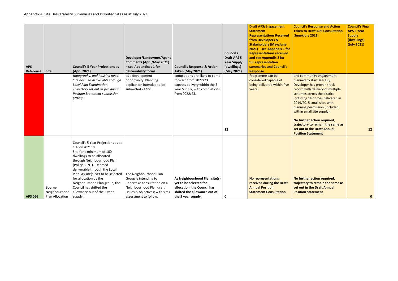| <b>Council's Response and Action</b><br><b>Taken to Draft APS Consultation</b><br>(June/July 2021)                                                                                                                                                                                                                                                                       | <b>Council's Final</b><br><b>APS 5 Year</b><br><b>Supply</b><br>(dwellings)<br>(July 2021) |
|--------------------------------------------------------------------------------------------------------------------------------------------------------------------------------------------------------------------------------------------------------------------------------------------------------------------------------------------------------------------------|--------------------------------------------------------------------------------------------|
| and community engagement<br>planned to start 26 <sup>th</sup> July.<br>Developer has proven track<br>record with delivery of multiple<br>schemes across the district<br>including 14 homes delivered in<br>2019/20. 5 small sites with<br>planning permission (included<br>within small site supply).<br>No further action required,<br>trajectory to remain the same as |                                                                                            |
| set out in the Draft Annual<br><b>Position Statement</b>                                                                                                                                                                                                                                                                                                                 | 12                                                                                         |
| No further action required,<br>trajectory to remain the same as<br>set out in the Draft Annual<br><b>Position Statement</b>                                                                                                                                                                                                                                              | 0                                                                                          |

| <b>APS</b><br>Reference | <b>Site</b>             | <b>Council's 5 Year Projections as</b><br>(April 2021)                                                                                                                                                                                                                                                 | Developer/Landowner/Agent<br><b>Comments (April/May 2021)</b><br>- see Appendices 1 for<br>deliverability forms | <b>Council's Response &amp; Action</b><br><b>Taken (May 2021)</b>                                                                          | <b>Council's</b><br><b>Draft APS 5</b><br><b>Year Supply</b><br>(dwellings)<br>(May 2021) | <b>Draft APS/Engagement</b><br><b>Statement</b><br><b>Representations Received</b><br>from Developers &<br><b>Stakeholders (May/June</b><br>$2021$ ) – see Appendix 1 for<br><b>Representations received</b><br>and see Appendix 2 for<br>full representation<br>summaries and Council's<br><b>Response</b> | <b>Coun</b><br><b>Take</b><br>(June                                                                           |
|-------------------------|-------------------------|--------------------------------------------------------------------------------------------------------------------------------------------------------------------------------------------------------------------------------------------------------------------------------------------------------|-----------------------------------------------------------------------------------------------------------------|--------------------------------------------------------------------------------------------------------------------------------------------|-------------------------------------------------------------------------------------------|-------------------------------------------------------------------------------------------------------------------------------------------------------------------------------------------------------------------------------------------------------------------------------------------------------------|---------------------------------------------------------------------------------------------------------------|
|                         |                         | topography, and housing need.<br>Site deemed deliverable through<br>Local Plan Examination.<br>Trajectory set out as per Annual<br><b>Position Statement submission</b><br>(2020).                                                                                                                     | as a development<br>opportunity. Planning<br>application intended to be<br>submitted 21/22.                     | completions are likely to come<br>forward from 2022/23.<br>expects delivery within the 5<br>Year Supply, with completions<br>from 2022/23. | 12                                                                                        | Programme can be<br>considered capable of<br>being delivered within five<br>years.                                                                                                                                                                                                                          | and o<br>planr<br><b>Deve</b><br>recor<br>scher<br>inclu<br>2019<br>planr<br>withi<br>No fu<br>traje<br>set o |
|                         |                         |                                                                                                                                                                                                                                                                                                        |                                                                                                                 |                                                                                                                                            |                                                                                           |                                                                                                                                                                                                                                                                                                             | <b>Posit</b>                                                                                                  |
|                         |                         | Council's 5 Year Projections as at<br>1 April 2021: 0<br>Site for a minimum of 100<br>dwellings to be allocated<br>through Neighbourhood Plan<br>(Policy BRN1). Deemed<br>deliverable through the Local<br>Plan. As site(s) yet to be selected $\vert$ The Neighbourhood Plan<br>for allocation by the | Group is intending to                                                                                           | As Neighbourhood Plan site(s)                                                                                                              |                                                                                           | <b>No representations</b>                                                                                                                                                                                                                                                                                   | No fu                                                                                                         |
|                         |                         | Neighbourhood Plan group, the                                                                                                                                                                                                                                                                          | undertake consultation on a                                                                                     | yet to be selected for                                                                                                                     |                                                                                           | received during the Draft                                                                                                                                                                                                                                                                                   | traje                                                                                                         |
|                         | Bourne<br>Neighbourhood | Council has shifted the<br>allowance out of the 5 year                                                                                                                                                                                                                                                 | Neighbourhood Plan draft<br>Issues & objectives; with sites                                                     | allocation, the Council has<br>shifted the allowance out of                                                                                |                                                                                           | <b>Annual Position</b><br><b>Statement Consultation</b>                                                                                                                                                                                                                                                     | set o<br><b>Posit</b>                                                                                         |
| <b>APS 066</b>          | Plan Allocation         | supply.                                                                                                                                                                                                                                                                                                | assessment to follow.                                                                                           | the 5 year supply.                                                                                                                         | 0                                                                                         |                                                                                                                                                                                                                                                                                                             |                                                                                                               |
|                         |                         |                                                                                                                                                                                                                                                                                                        |                                                                                                                 |                                                                                                                                            |                                                                                           |                                                                                                                                                                                                                                                                                                             |                                                                                                               |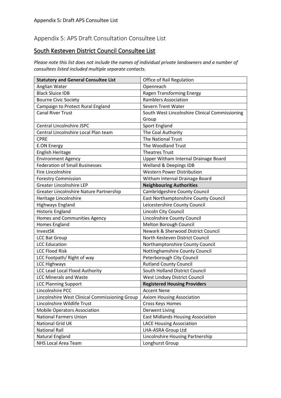#### Appendix 5: APS Draft Consultation Consultee List

#### South Kesteven District Council Consultee List

*Please note this list does not include the names of individual private landowners and a number of consultees listed included multiple separate contacts.* 

| <b>Statutory and General Consultee List</b>    | Office of Rail Regulation                      |
|------------------------------------------------|------------------------------------------------|
| Anglian Water                                  | Openreach                                      |
| <b>Black Sluice IDB</b>                        | Ragen Transforming Energy                      |
| <b>Bourne Civic Society</b>                    | <b>Ramblers Association</b>                    |
| Campaign to Protect Rural England              | Severn Trent Water                             |
| <b>Canal River Trust</b>                       | South West Lincolnshire Clinical Commissioning |
|                                                | Group                                          |
| Central Lincolnshire JSPC                      | Sport England                                  |
| Central Lincolnshire Local Plan team           | The Coal Authority                             |
| <b>CPRE</b>                                    | <b>The National Trust</b>                      |
| <b>E.ON Energy</b>                             | The Woodland Trust                             |
| English Heritage                               | <b>Theatres Trust</b>                          |
| <b>Environment Agency</b>                      | Upper Witham Internal Drainage Board           |
| <b>Federation of Small Businesses</b>          | <b>Welland &amp; Deepings IDB</b>              |
| <b>Fire Lincolnshire</b>                       | <b>Western Power Distribution</b>              |
| <b>Forestry Commission</b>                     | Witham Internal Drainage Board                 |
| <b>Greater Lincolnshire LEP</b>                | <b>Neighbouring Authorities</b>                |
| Greater Lincolnshire Nature Partnership        | Cambridgeshire County Council                  |
| Heritage Lincolnshire                          | East Northamptonshire County Council           |
| <b>Highways England</b>                        | Leicestershire County Council                  |
| <b>Historic England</b>                        | Lincoln City Council                           |
| Homes and Communities Agency                   | Lincolnshire County Council                    |
| Homes England                                  | Melton Borough Council                         |
| InvestSK                                       | Newark & Sherwood District Council             |
| <b>LCC Bat Group</b>                           | North Kesteven District Council                |
| <b>LCC Education</b>                           | Northamptonshire County Council                |
| <b>LCC Flood Risk</b>                          | Nottinghamshire County Council                 |
| LCC Footpath/ Right of way                     | Peterborough City Council                      |
| <b>LCC Highways</b>                            | <b>Rutland County Council</b>                  |
| <b>LCC Lead Local Flood Authority</b>          | South Holland District Council                 |
| <b>LCC Minerals and Waste</b>                  | West Lindsey District Council                  |
| <b>LCC Planning Support</b>                    | <b>Registered Housing Providers</b>            |
| Lincolnshire PCC                               | <b>Accent Nene</b>                             |
| Lincolnshire West Clinical Commissioning Group | Axiom Housing Association                      |
| Lincolnshire Wildlife Trust                    | Cross Keys Homes                               |
| <b>Mobile Operators Association</b>            | Derwent Living                                 |
| <b>National Farmers Union</b>                  | <b>East Midlands Housing Association</b>       |
| National Grid UK                               | <b>LACE Housing Association</b>                |
| <b>National Rail</b>                           | LHA-ASRA Group Ltd                             |
| Natural England                                | Lincolnshire Housing Partnership               |
| NHS Local Area Team                            | Longhurst Group                                |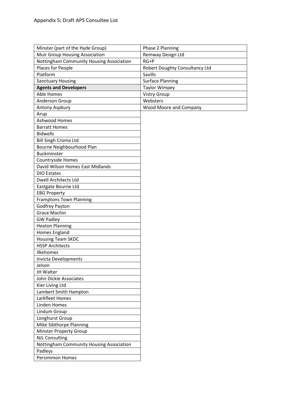| Minster (part of the Hyde Group)         | Phase 2 Planning               |
|------------------------------------------|--------------------------------|
| Muir Group Housing Association           | Remway Design Ltd              |
| Nottingham Community Housing Association | $RG+P$                         |
| Places for People                        | Robert Doughty Consultancy Ltd |
| Platform                                 | Savills                        |
| <b>Sanctuary Housing</b>                 | <b>Surface Planning</b>        |
| <b>Agents and Developers</b>             | <b>Taylor Wimpey</b>           |
| <b>Able Homes</b>                        | <b>Vistry Group</b>            |
| Anderson Group                           | Websters                       |
| Antony Aspbury                           | <b>Wood Moore and Company</b>  |
| Arup                                     |                                |
| Ashwood Homes                            |                                |
| <b>Barratt Homes</b>                     |                                |
| <b>Bidwells</b>                          |                                |
| <b>Bill Singh Croma Ltd</b>              |                                |
| Bourne Neighbourhood Plan                |                                |
| <b>Buckminster</b>                       |                                |
| Countryside Homes                        |                                |
| David Wilson Homes East Midlands         |                                |
| <b>DIO Estates</b>                       |                                |
| <b>Dwell Architects Ltd</b>              |                                |
| Eastgate Bourne Ltd                      |                                |
| <b>EBG Property</b>                      |                                |
| <b>Framptons Town Planning</b>           |                                |
| Godfrey Payton                           |                                |
| <b>Grace Machin</b>                      |                                |
| <b>GW Padley</b>                         |                                |
| <b>Heaton Planning</b>                   |                                |
| Homes England                            |                                |
| <b>Housing Team SKDC</b>                 |                                |
| <b>HSSP Architects</b>                   |                                |
| Ilkehomes                                |                                |
| Invicta Developments                     |                                |
| Jelson                                   |                                |
| JH Walter                                |                                |
| John Dickie Associates                   |                                |
| Kier Living Ltd                          |                                |
| Lambert Smith Hampton                    |                                |
| Larkfleet Homes                          |                                |
| <b>Linden Homes</b>                      |                                |
| Lindum Group                             |                                |
| Longhurst Group                          |                                |
| Mike Sibthorpe Planning                  |                                |
| <b>Minster Property Group</b>            |                                |
| <b>NJL Consulting</b>                    |                                |
| Nottingham Community Housing Association |                                |
| Padleys                                  |                                |
| Persimmon Homes                          |                                |